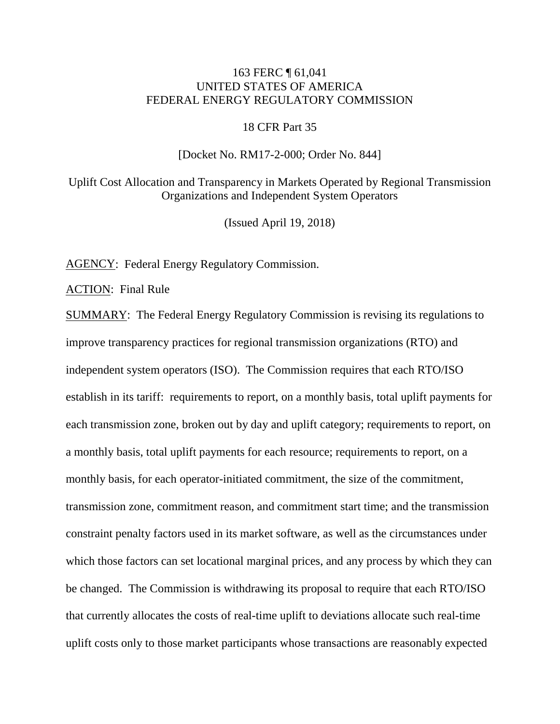# 163 FERC ¶ 61,041 UNITED STATES OF AMERICA FEDERAL ENERGY REGULATORY COMMISSION

### 18 CFR Part 35

#### [Docket No. RM17-2-000; Order No. 844]

Uplift Cost Allocation and Transparency in Markets Operated by Regional Transmission Organizations and Independent System Operators

(Issued April 19, 2018)

AGENCY: Federal Energy Regulatory Commission.

ACTION: Final Rule

SUMMARY: The Federal Energy Regulatory Commission is revising its regulations to improve transparency practices for regional transmission organizations (RTO) and independent system operators (ISO). The Commission requires that each RTO/ISO establish in its tariff: requirements to report, on a monthly basis, total uplift payments for each transmission zone, broken out by day and uplift category; requirements to report, on a monthly basis, total uplift payments for each resource; requirements to report, on a monthly basis, for each operator-initiated commitment, the size of the commitment, transmission zone, commitment reason, and commitment start time; and the transmission constraint penalty factors used in its market software, as well as the circumstances under which those factors can set locational marginal prices, and any process by which they can be changed. The Commission is withdrawing its proposal to require that each RTO/ISO that currently allocates the costs of real-time uplift to deviations allocate such real-time uplift costs only to those market participants whose transactions are reasonably expected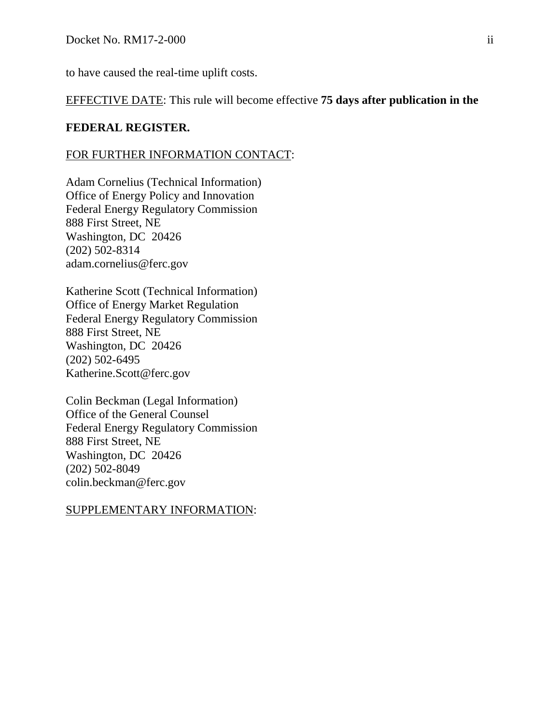to have caused the real-time uplift costs.

EFFECTIVE DATE: This rule will become effective **75 days after publication in the** 

## **FEDERAL REGISTER.**

#### FOR FURTHER INFORMATION CONTACT:

Adam Cornelius (Technical Information) Office of Energy Policy and Innovation Federal Energy Regulatory Commission 888 First Street, NE Washington, DC 20426 (202) 502-8314 adam.cornelius@ferc.gov

Katherine Scott (Technical Information) Office of Energy Market Regulation Federal Energy Regulatory Commission 888 First Street, NE Washington, DC 20426 (202) 502-6495 Katherine.Scott@ferc.gov

Colin Beckman (Legal Information) Office of the General Counsel Federal Energy Regulatory Commission 888 First Street, NE Washington, DC 20426 (202) 502-8049 colin.beckman@ferc.gov

### SUPPLEMENTARY INFORMATION: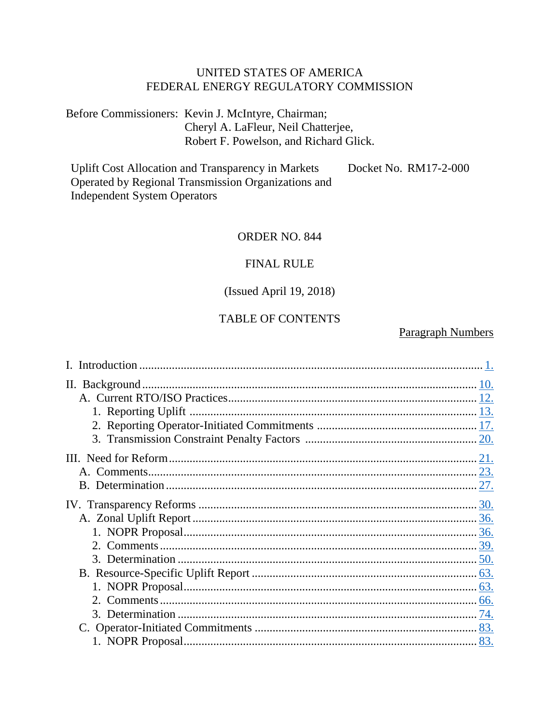# UNITED STATES OF AMERICA FEDERAL ENERGY REGULATORY COMMISSION

Before Commissioners: Kevin J. McIntyre, Chairman; Cheryl A. LaFleur, Neil Chatterjee, Robert F. Powelson, and Richard Glick.

**Uplift Cost Allocation and Transparency in Markets** Docket No. RM17-2-000 Operated by Regional Transmission Organizations and **Independent System Operators** 

## ORDER NO. 844

### **FINAL RULE**

## (Issued April 19, 2018)

# **TABLE OF CONTENTS**

## **Paragraph Numbers**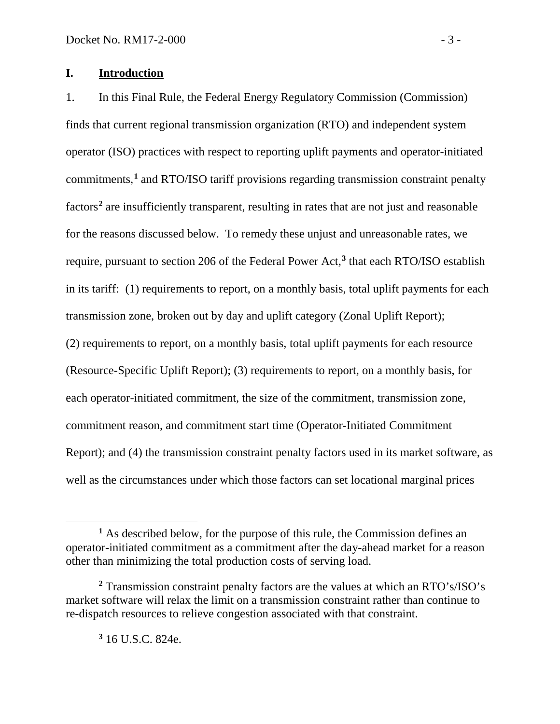# <span id="page-4-0"></span>**I. Introduction**

1. In this Final Rule, the Federal Energy Regulatory Commission (Commission) finds that current regional transmission organization (RTO) and independent system operator (ISO) practices with respect to reporting uplift payments and operator-initiated commitments,**[1](#page-4-1)** and RTO/ISO tariff provisions regarding transmission constraint penalty factors**[2](#page-4-2)** are insufficiently transparent, resulting in rates that are not just and reasonable for the reasons discussed below. To remedy these unjust and unreasonable rates, we require, pursuant to section 206 of the Federal Power Act,**[3](#page-4-3)** that each RTO/ISO establish in its tariff: (1) requirements to report, on a monthly basis, total uplift payments for each transmission zone, broken out by day and uplift category (Zonal Uplift Report); (2) requirements to report, on a monthly basis, total uplift payments for each resource (Resource-Specific Uplift Report); (3) requirements to report, on a monthly basis, for each operator-initiated commitment, the size of the commitment, transmission zone, commitment reason, and commitment start time (Operator-Initiated Commitment Report); and (4) the transmission constraint penalty factors used in its market software, as well as the circumstances under which those factors can set locational marginal prices

**<sup>3</sup>** 16 U.S.C. 824e.

<span id="page-4-1"></span>**<sup>1</sup>** As described below, for the purpose of this rule, the Commission defines an operator-initiated commitment as a commitment after the day-ahead market for a reason other than minimizing the total production costs of serving load.

<span id="page-4-3"></span><span id="page-4-2"></span>**<sup>2</sup>** Transmission constraint penalty factors are the values at which an RTO's/ISO's market software will relax the limit on a transmission constraint rather than continue to re-dispatch resources to relieve congestion associated with that constraint.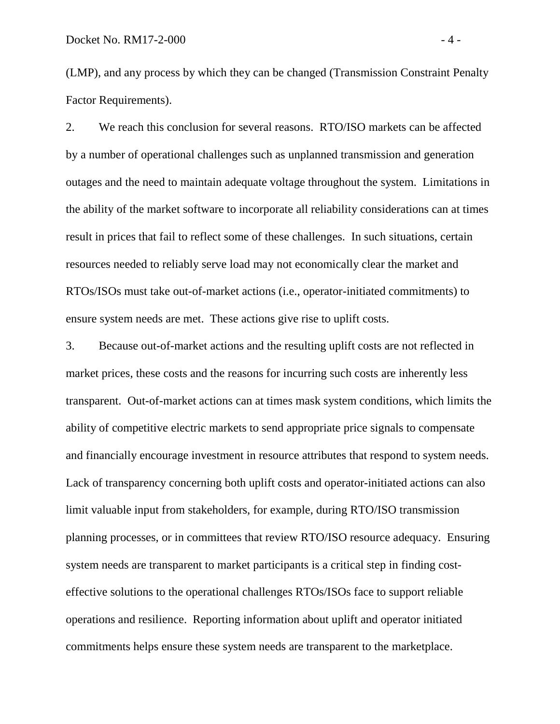(LMP), and any process by which they can be changed (Transmission Constraint Penalty Factor Requirements).

2. We reach this conclusion for several reasons. RTO/ISO markets can be affected by a number of operational challenges such as unplanned transmission and generation outages and the need to maintain adequate voltage throughout the system. Limitations in the ability of the market software to incorporate all reliability considerations can at times result in prices that fail to reflect some of these challenges. In such situations, certain resources needed to reliably serve load may not economically clear the market and RTOs/ISOs must take out-of-market actions (i.e., operator-initiated commitments) to ensure system needs are met. These actions give rise to uplift costs.

3. Because out-of-market actions and the resulting uplift costs are not reflected in market prices, these costs and the reasons for incurring such costs are inherently less transparent. Out-of-market actions can at times mask system conditions, which limits the ability of competitive electric markets to send appropriate price signals to compensate and financially encourage investment in resource attributes that respond to system needs. Lack of transparency concerning both uplift costs and operator-initiated actions can also limit valuable input from stakeholders, for example, during RTO/ISO transmission planning processes, or in committees that review RTO/ISO resource adequacy. Ensuring system needs are transparent to market participants is a critical step in finding costeffective solutions to the operational challenges RTOs/ISOs face to support reliable operations and resilience. Reporting information about uplift and operator initiated commitments helps ensure these system needs are transparent to the marketplace.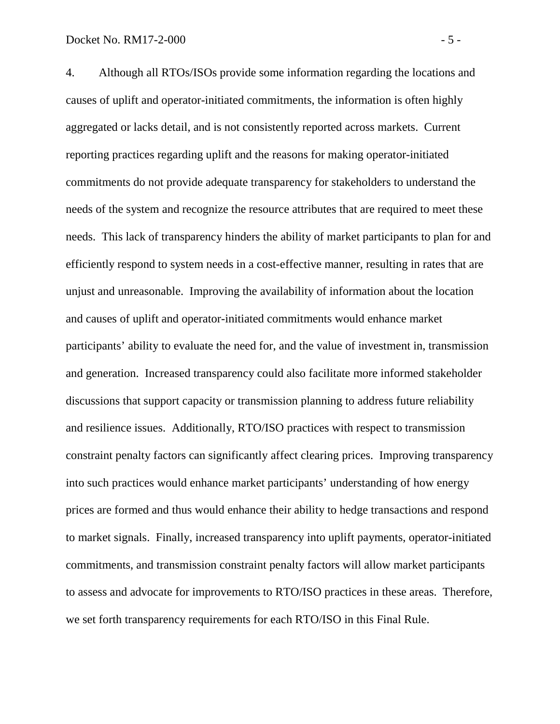4. Although all RTOs/ISOs provide some information regarding the locations and causes of uplift and operator-initiated commitments, the information is often highly aggregated or lacks detail, and is not consistently reported across markets. Current reporting practices regarding uplift and the reasons for making operator-initiated commitments do not provide adequate transparency for stakeholders to understand the needs of the system and recognize the resource attributes that are required to meet these needs. This lack of transparency hinders the ability of market participants to plan for and efficiently respond to system needs in a cost-effective manner, resulting in rates that are unjust and unreasonable. Improving the availability of information about the location and causes of uplift and operator-initiated commitments would enhance market participants' ability to evaluate the need for, and the value of investment in, transmission and generation. Increased transparency could also facilitate more informed stakeholder discussions that support capacity or transmission planning to address future reliability and resilience issues. Additionally, RTO/ISO practices with respect to transmission constraint penalty factors can significantly affect clearing prices. Improving transparency into such practices would enhance market participants' understanding of how energy prices are formed and thus would enhance their ability to hedge transactions and respond to market signals. Finally, increased transparency into uplift payments, operator-initiated commitments, and transmission constraint penalty factors will allow market participants to assess and advocate for improvements to RTO/ISO practices in these areas. Therefore, we set forth transparency requirements for each RTO/ISO in this Final Rule.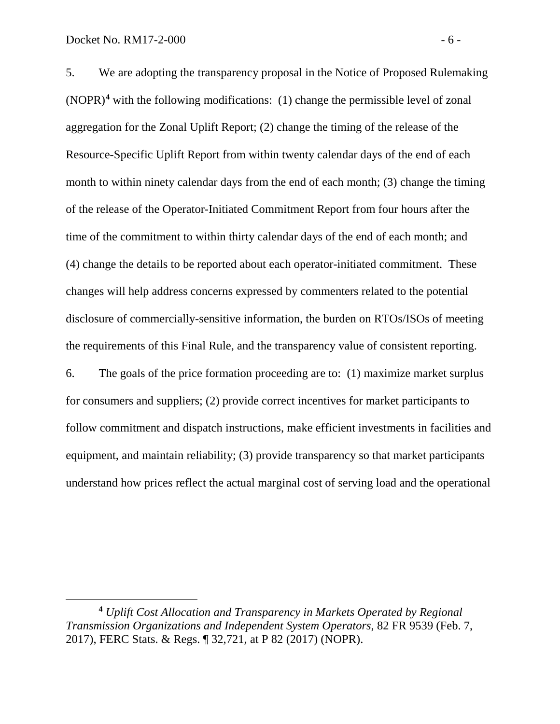$\overline{a}$ 

5. We are adopting the transparency proposal in the Notice of Proposed Rulemaking (NOPR)**[4](#page-7-0)** with the following modifications: (1) change the permissible level of zonal aggregation for the Zonal Uplift Report; (2) change the timing of the release of the Resource-Specific Uplift Report from within twenty calendar days of the end of each month to within ninety calendar days from the end of each month; (3) change the timing of the release of the Operator-Initiated Commitment Report from four hours after the time of the commitment to within thirty calendar days of the end of each month; and (4) change the details to be reported about each operator-initiated commitment. These changes will help address concerns expressed by commenters related to the potential disclosure of commercially-sensitive information, the burden on RTOs/ISOs of meeting the requirements of this Final Rule, and the transparency value of consistent reporting.

6. The goals of the price formation proceeding are to: (1) maximize market surplus for consumers and suppliers; (2) provide correct incentives for market participants to follow commitment and dispatch instructions, make efficient investments in facilities and equipment, and maintain reliability; (3) provide transparency so that market participants understand how prices reflect the actual marginal cost of serving load and the operational

<span id="page-7-0"></span>**<sup>4</sup>** *Uplift Cost Allocation and Transparency in Markets Operated by Regional Transmission Organizations and Independent System Operators*, 82 FR 9539 (Feb. 7, 2017), FERC Stats. & Regs. ¶ 32,721, at P 82 (2017) (NOPR).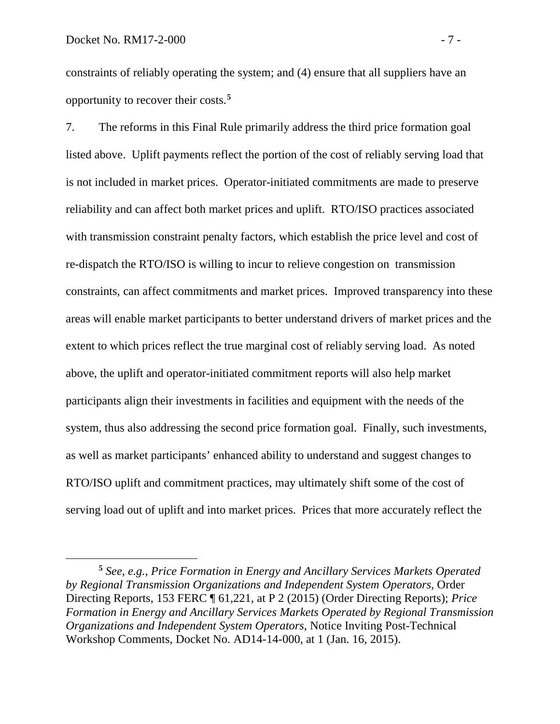$\overline{a}$ 

constraints of reliably operating the system; and (4) ensure that all suppliers have an opportunity to recover their costs.**[5](#page-8-0)**

7. The reforms in this Final Rule primarily address the third price formation goal listed above. Uplift payments reflect the portion of the cost of reliably serving load that is not included in market prices. Operator-initiated commitments are made to preserve reliability and can affect both market prices and uplift. RTO/ISO practices associated with transmission constraint penalty factors, which establish the price level and cost of re-dispatch the RTO/ISO is willing to incur to relieve congestion on transmission constraints, can affect commitments and market prices. Improved transparency into these areas will enable market participants to better understand drivers of market prices and the extent to which prices reflect the true marginal cost of reliably serving load. As noted above, the uplift and operator-initiated commitment reports will also help market participants align their investments in facilities and equipment with the needs of the system, thus also addressing the second price formation goal. Finally, such investments, as well as market participants' enhanced ability to understand and suggest changes to RTO/ISO uplift and commitment practices, may ultimately shift some of the cost of serving load out of uplift and into market prices. Prices that more accurately reflect the

<span id="page-8-0"></span>**<sup>5</sup>** *See, e.g.*, *Price Formation in Energy and Ancillary Services Markets Operated by Regional Transmission Organizations and Independent System Operators*, Order Directing Reports, 153 FERC ¶ 61,221, at P 2 (2015) (Order Directing Reports); *Price Formation in Energy and Ancillary Services Markets Operated by Regional Transmission Organizations and Independent System Operators*, Notice Inviting Post-Technical Workshop Comments, Docket No. AD14-14-000, at 1 (Jan. 16, 2015).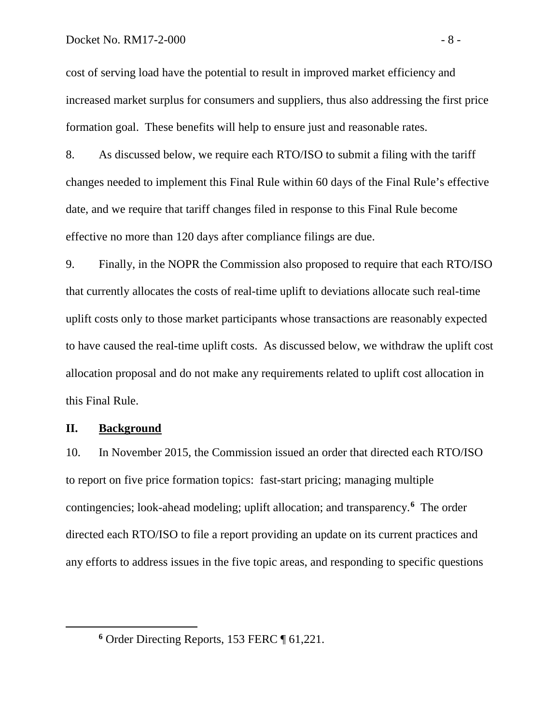cost of serving load have the potential to result in improved market efficiency and increased market surplus for consumers and suppliers, thus also addressing the first price formation goal. These benefits will help to ensure just and reasonable rates.

8. As discussed below, we require each RTO/ISO to submit a filing with the tariff changes needed to implement this Final Rule within 60 days of the Final Rule's effective date, and we require that tariff changes filed in response to this Final Rule become effective no more than 120 days after compliance filings are due.

9. Finally, in the NOPR the Commission also proposed to require that each RTO/ISO that currently allocates the costs of real-time uplift to deviations allocate such real-time uplift costs only to those market participants whose transactions are reasonably expected to have caused the real-time uplift costs. As discussed below, we withdraw the uplift cost allocation proposal and do not make any requirements related to uplift cost allocation in this Final Rule.

### <span id="page-9-0"></span>**II. Background**

<span id="page-9-1"></span> $\overline{a}$ 

10. In November 2015, the Commission issued an order that directed each RTO/ISO to report on five price formation topics: fast-start pricing; managing multiple contingencies; look-ahead modeling; uplift allocation; and transparency.**[6](#page-9-1)** The order directed each RTO/ISO to file a report providing an update on its current practices and any efforts to address issues in the five topic areas, and responding to specific questions

**<sup>6</sup>** Order Directing Reports, 153 FERC ¶ 61,221.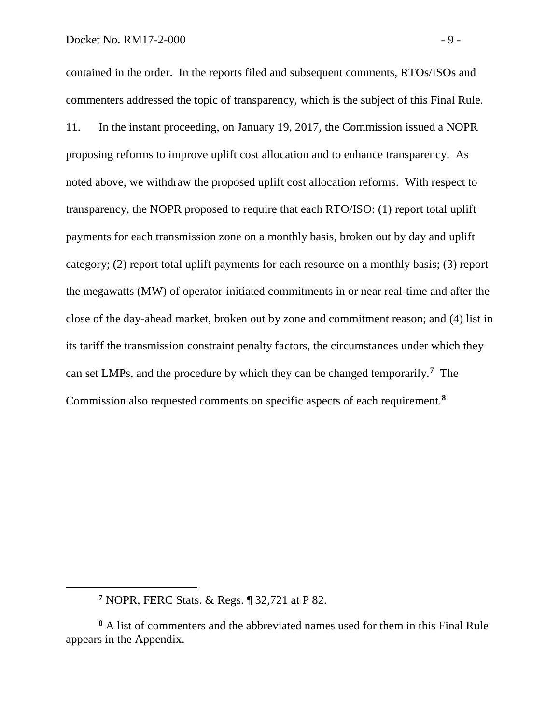contained in the order. In the reports filed and subsequent comments, RTOs/ISOs and commenters addressed the topic of transparency, which is the subject of this Final Rule. 11. In the instant proceeding, on January 19, 2017, the Commission issued a NOPR proposing reforms to improve uplift cost allocation and to enhance transparency. As noted above, we withdraw the proposed uplift cost allocation reforms. With respect to transparency, the NOPR proposed to require that each RTO/ISO: (1) report total uplift payments for each transmission zone on a monthly basis, broken out by day and uplift category; (2) report total uplift payments for each resource on a monthly basis; (3) report the megawatts (MW) of operator-initiated commitments in or near real-time and after the close of the day-ahead market, broken out by zone and commitment reason; and (4) list in its tariff the transmission constraint penalty factors, the circumstances under which they can set LMPs, and the procedure by which they can be changed temporarily.**[7](#page-10-0)** The Commission also requested comments on specific aspects of each requirement. **[8](#page-10-1)**

**<sup>7</sup>** NOPR, FERC Stats. & Regs. ¶ 32,721 at P 82.

<span id="page-10-1"></span><span id="page-10-0"></span>**<sup>8</sup>** A list of commenters and the abbreviated names used for them in this Final Rule appears in the Appendix.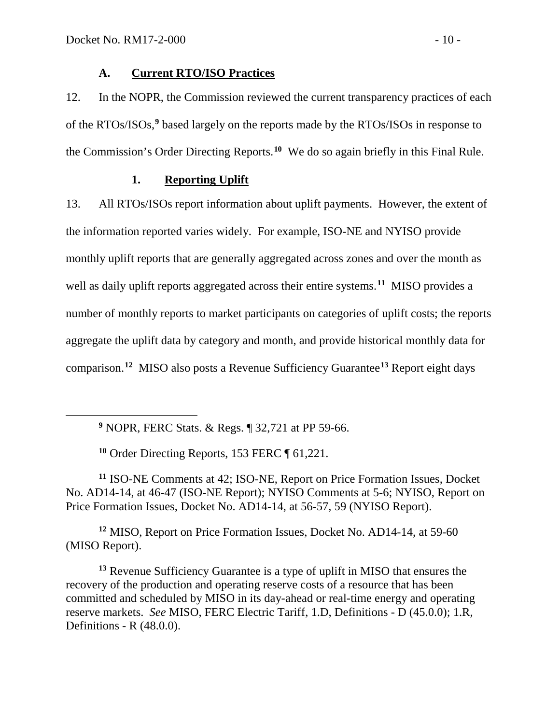<span id="page-11-2"></span> $\overline{a}$ 

# <span id="page-11-0"></span>**A. Current RTO/ISO Practices**

12. In the NOPR, the Commission reviewed the current transparency practices of each of the RTOs/ISOs,**[9](#page-11-2)** based largely on the reports made by the RTOs/ISOs in response to the Commission's Order Directing Reports.**[10](#page-11-3)** We do so again briefly in this Final Rule.

# <span id="page-11-1"></span>**1. Reporting Uplift**

13. All RTOs/ISOs report information about uplift payments. However, the extent of the information reported varies widely. For example, ISO-NE and NYISO provide monthly uplift reports that are generally aggregated across zones and over the month as well as daily uplift reports aggregated across their entire systems. **[11](#page-11-4)** MISO provides a number of monthly reports to market participants on categories of uplift costs; the reports aggregate the uplift data by category and month, and provide historical monthly data for comparison.**[12](#page-11-5)** MISO also posts a Revenue Sufficiency Guarantee**[13](#page-11-6)** Report eight days

**<sup>10</sup>** Order Directing Reports, 153 FERC ¶ 61,221.

<span id="page-11-4"></span><span id="page-11-3"></span>**<sup>11</sup>** ISO-NE Comments at 42; ISO-NE, Report on Price Formation Issues, Docket No. AD14-14, at 46-47 (ISO-NE Report); NYISO Comments at 5-6; NYISO, Report on Price Formation Issues, Docket No. AD14-14, at 56-57, 59 (NYISO Report).

<span id="page-11-5"></span>**<sup>12</sup>** MISO, Report on Price Formation Issues, Docket No. AD14-14, at 59-60 (MISO Report).

<span id="page-11-6"></span>**<sup>13</sup>** Revenue Sufficiency Guarantee is a type of uplift in MISO that ensures the recovery of the production and operating reserve costs of a resource that has been committed and scheduled by MISO in its day-ahead or real-time energy and operating reserve markets. *See* MISO, FERC Electric Tariff, 1.D, Definitions - D (45.0.0); 1.R, Definitions - R (48.0.0).

**<sup>9</sup>** NOPR, FERC Stats. & Regs. ¶ 32,721 at PP 59-66.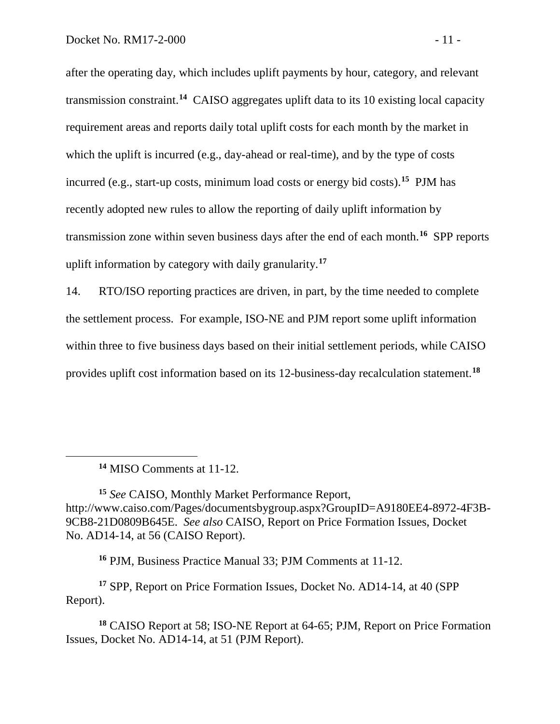after the operating day, which includes uplift payments by hour, category, and relevant transmission constraint. **[14](#page-12-0)** CAISO aggregates uplift data to its 10 existing local capacity requirement areas and reports daily total uplift costs for each month by the market in which the uplift is incurred (e.g., day-ahead or real-time), and by the type of costs incurred (e.g., start-up costs, minimum load costs or energy bid costs). **[15](#page-12-1)** PJM has recently adopted new rules to allow the reporting of daily uplift information by transmission zone within seven business days after the end of each month. **[16](#page-12-2)** SPP reports uplift information by category with daily granularity. **[17](#page-12-3)**

14. RTO/ISO reporting practices are driven, in part, by the time needed to complete the settlement process. For example, ISO-NE and PJM report some uplift information within three to five business days based on their initial settlement periods, while CAISO provides uplift cost information based on its 12-business-day recalculation statement.**[18](#page-12-4)**

<span id="page-12-0"></span> $\overline{a}$ 

**<sup>16</sup>** PJM, Business Practice Manual 33; PJM Comments at 11-12.

<span id="page-12-3"></span><span id="page-12-2"></span>**<sup>17</sup>** SPP, Report on Price Formation Issues, Docket No. AD14-14, at 40 (SPP Report).

<span id="page-12-4"></span>**<sup>18</sup>** CAISO Report at 58; ISO-NE Report at 64-65; PJM, Report on Price Formation Issues, Docket No. AD14-14, at 51 (PJM Report).

**<sup>14</sup>** MISO Comments at 11-12.

<span id="page-12-1"></span>**<sup>15</sup>** *See* CAISO, Monthly Market Performance Report, http://www.caiso.com/Pages/documentsbygroup.aspx?GroupID=A9180EE4-8972-4F3B-9CB8-21D0809B645E. *See also* CAISO, Report on Price Formation Issues, Docket No. AD14-14, at 56 (CAISO Report).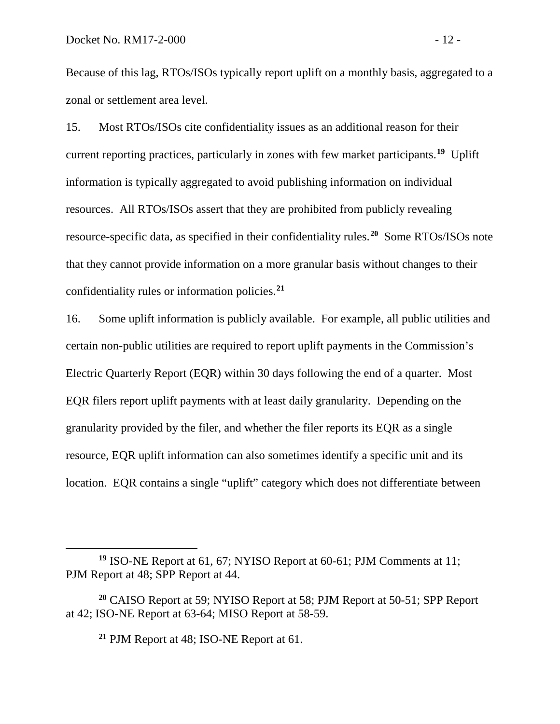Because of this lag, RTOs/ISOs typically report uplift on a monthly basis, aggregated to a zonal or settlement area level.

15. Most RTOs/ISOs cite confidentiality issues as an additional reason for their current reporting practices, particularly in zones with few market participants.**[19](#page-13-0)** Uplift information is typically aggregated to avoid publishing information on individual resources. All RTOs/ISOs assert that they are prohibited from publicly revealing resource-specific data, as specified in their confidentiality rules.**[20](#page-13-1)** Some RTOs/ISOs note that they cannot provide information on a more granular basis without changes to their confidentiality rules or information policies.**[21](#page-13-2)**

16. Some uplift information is publicly available. For example, all public utilities and certain non-public utilities are required to report uplift payments in the Commission's Electric Quarterly Report (EQR) within 30 days following the end of a quarter. Most EQR filers report uplift payments with at least daily granularity. Depending on the granularity provided by the filer, and whether the filer reports its EQR as a single resource, EQR uplift information can also sometimes identify a specific unit and its location. EQR contains a single "uplift" category which does not differentiate between

**<sup>21</sup>** PJM Report at 48; ISO-NE Report at 61.

<span id="page-13-0"></span>**<sup>19</sup>** ISO-NE Report at 61, 67; NYISO Report at 60-61; PJM Comments at 11; PJM Report at 48; SPP Report at 44.

<span id="page-13-2"></span><span id="page-13-1"></span>**<sup>20</sup>** CAISO Report at 59; NYISO Report at 58; PJM Report at 50-51; SPP Report at 42; ISO-NE Report at 63-64; MISO Report at 58-59.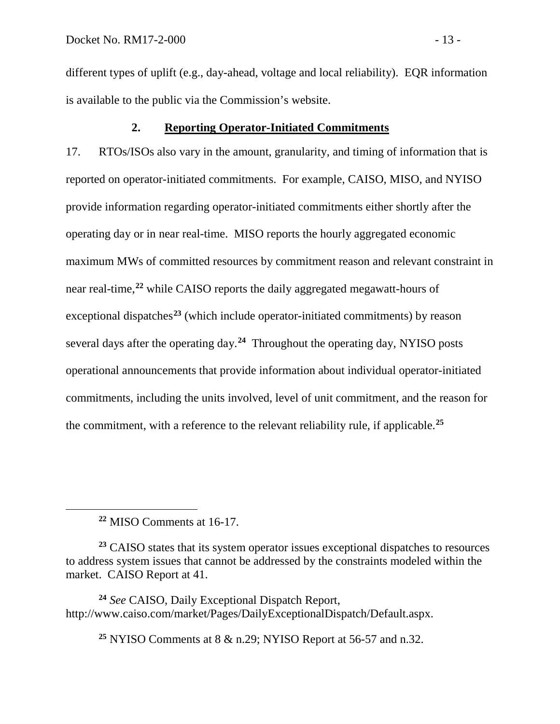different types of uplift (e.g., day-ahead, voltage and local reliability). EQR information is available to the public via the Commission's website.

## <span id="page-14-0"></span>**2. Reporting Operator-Initiated Commitments**

17. RTOs/ISOs also vary in the amount, granularity, and timing of information that is reported on operator-initiated commitments. For example, CAISO, MISO, and NYISO provide information regarding operator-initiated commitments either shortly after the operating day or in near real-time. MISO reports the hourly aggregated economic maximum MWs of committed resources by commitment reason and relevant constraint in near real-time,**[22](#page-14-1)** while CAISO reports the daily aggregated megawatt-hours of exceptional dispatches**[23](#page-14-2)** (which include operator-initiated commitments) by reason several days after the operating day.**[24](#page-14-3)** Throughout the operating day, NYISO posts operational announcements that provide information about individual operator-initiated commitments, including the units involved, level of unit commitment, and the reason for the commitment, with a reference to the relevant reliability rule, if applicable. **[25](#page-14-4)**

**<sup>22</sup>** MISO Comments at 16-17.

<span id="page-14-1"></span> $\overline{a}$ 

<span id="page-14-2"></span>**<sup>23</sup>** CAISO states that its system operator issues exceptional dispatches to resources to address system issues that cannot be addressed by the constraints modeled within the market. CAISO Report at 41.

<span id="page-14-4"></span><span id="page-14-3"></span>**<sup>24</sup>** *See* CAISO, Daily Exceptional Dispatch Report, http://www.caiso.com/market/Pages/DailyExceptionalDispatch/Default.aspx.

**<sup>25</sup>** NYISO Comments at 8 & n.29; NYISO Report at 56-57 and n.32.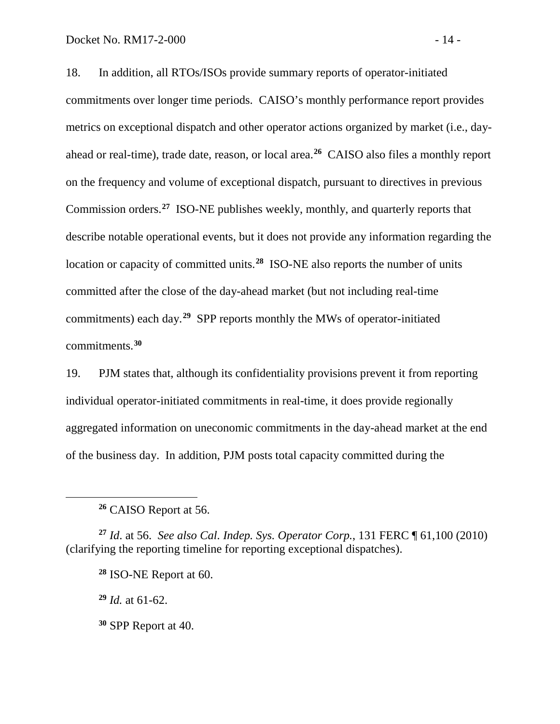18. In addition, all RTOs/ISOs provide summary reports of operator-initiated commitments over longer time periods. CAISO's monthly performance report provides metrics on exceptional dispatch and other operator actions organized by market (i.e., dayahead or real-time), trade date, reason, or local area.**[26](#page-15-0)** CAISO also files a monthly report on the frequency and volume of exceptional dispatch, pursuant to directives in previous Commission orders. **[27](#page-15-1)** ISO-NE publishes weekly, monthly, and quarterly reports that describe notable operational events, but it does not provide any information regarding the location or capacity of committed units. **[28](#page-15-2)** ISO-NE also reports the number of units committed after the close of the day-ahead market (but not including real-time commitments) each day. **[29](#page-15-3)** SPP reports monthly the MWs of operator-initiated commitments. **[30](#page-15-4)**

19. PJM states that, although its confidentiality provisions prevent it from reporting individual operator-initiated commitments in real-time, it does provide regionally aggregated information on uneconomic commitments in the day-ahead market at the end of the business day. In addition, PJM posts total capacity committed during the

<span id="page-15-3"></span><span id="page-15-2"></span><span id="page-15-1"></span>**<sup>27</sup>** *Id*. at 56. *See also Cal. Indep. Sys. Operator Corp.*, 131 FERC ¶ 61,100 (2010) (clarifying the reporting timeline for reporting exceptional dispatches).

**<sup>29</sup>** *Id.* at 61-62.

<span id="page-15-0"></span> $\overline{a}$ 

<span id="page-15-4"></span>**<sup>30</sup>** SPP Report at 40.

**<sup>26</sup>** CAISO Report at 56.

**<sup>28</sup>** ISO-NE Report at 60.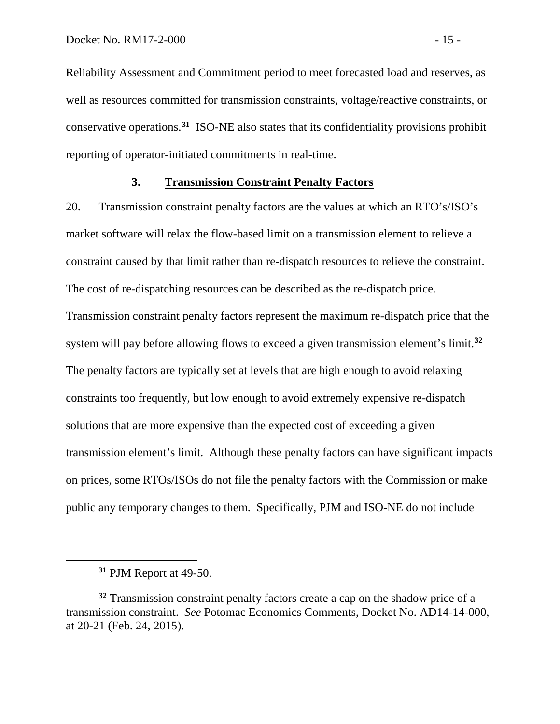Reliability Assessment and Commitment period to meet forecasted load and reserves, as well as resources committed for transmission constraints, voltage/reactive constraints, or conservative operations. **[31](#page-16-1)** ISO-NE also states that its confidentiality provisions prohibit reporting of operator-initiated commitments in real-time.

### <span id="page-16-0"></span>**3. Transmission Constraint Penalty Factors**

20. Transmission constraint penalty factors are the values at which an RTO's/ISO's market software will relax the flow-based limit on a transmission element to relieve a constraint caused by that limit rather than re-dispatch resources to relieve the constraint. The cost of re-dispatching resources can be described as the re-dispatch price. Transmission constraint penalty factors represent the maximum re-dispatch price that the system will pay before allowing flows to exceed a given transmission element's limit.**[32](#page-16-2)** The penalty factors are typically set at levels that are high enough to avoid relaxing constraints too frequently, but low enough to avoid extremely expensive re-dispatch solutions that are more expensive than the expected cost of exceeding a given transmission element's limit. Although these penalty factors can have significant impacts on prices, some RTOs/ISOs do not file the penalty factors with the Commission or make public any temporary changes to them. Specifically, PJM and ISO-NE do not include

**<sup>31</sup>** PJM Report at 49-50.

<span id="page-16-2"></span><span id="page-16-1"></span>**<sup>32</sup>** Transmission constraint penalty factors create a cap on the shadow price of a transmission constraint. *See* Potomac Economics Comments, Docket No. AD14-14-000, at 20-21 (Feb. 24, 2015).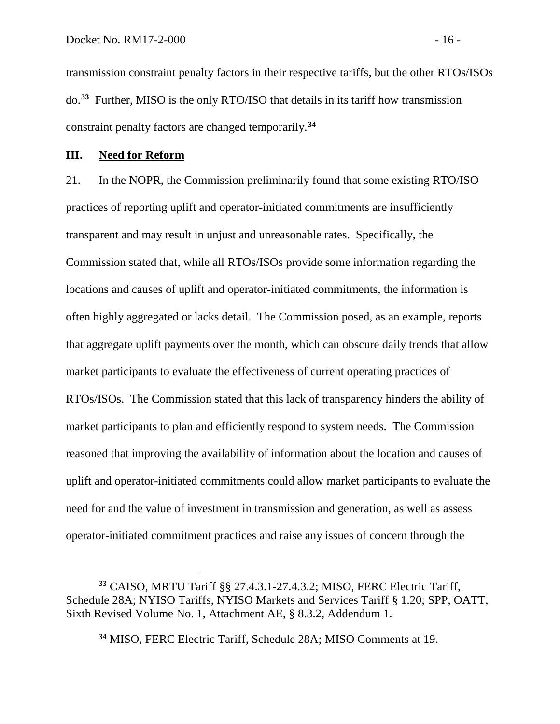transmission constraint penalty factors in their respective tariffs, but the other RTOs/ISOs do. **[33](#page-17-1)** Further, MISO is the only RTO/ISO that details in its tariff how transmission constraint penalty factors are changed temporarily.**[34](#page-17-2)**

## <span id="page-17-0"></span>**III. Need for Reform**

 $\overline{a}$ 

21. In the NOPR, the Commission preliminarily found that some existing RTO/ISO practices of reporting uplift and operator-initiated commitments are insufficiently transparent and may result in unjust and unreasonable rates. Specifically, the Commission stated that, while all RTOs/ISOs provide some information regarding the locations and causes of uplift and operator-initiated commitments, the information is often highly aggregated or lacks detail. The Commission posed, as an example, reports that aggregate uplift payments over the month, which can obscure daily trends that allow market participants to evaluate the effectiveness of current operating practices of RTOs/ISOs. The Commission stated that this lack of transparency hinders the ability of market participants to plan and efficiently respond to system needs. The Commission reasoned that improving the availability of information about the location and causes of uplift and operator-initiated commitments could allow market participants to evaluate the need for and the value of investment in transmission and generation, as well as assess operator-initiated commitment practices and raise any issues of concern through the

<span id="page-17-2"></span><span id="page-17-1"></span>**<sup>33</sup>** CAISO, MRTU Tariff §§ 27.4.3.1-27.4.3.2; MISO, FERC Electric Tariff, Schedule 28A; NYISO Tariffs, NYISO Markets and Services Tariff § 1.20; SPP, OATT, Sixth Revised Volume No. 1, Attachment AE, § 8.3.2, Addendum 1.

**<sup>34</sup>** MISO, FERC Electric Tariff, Schedule 28A; MISO Comments at 19.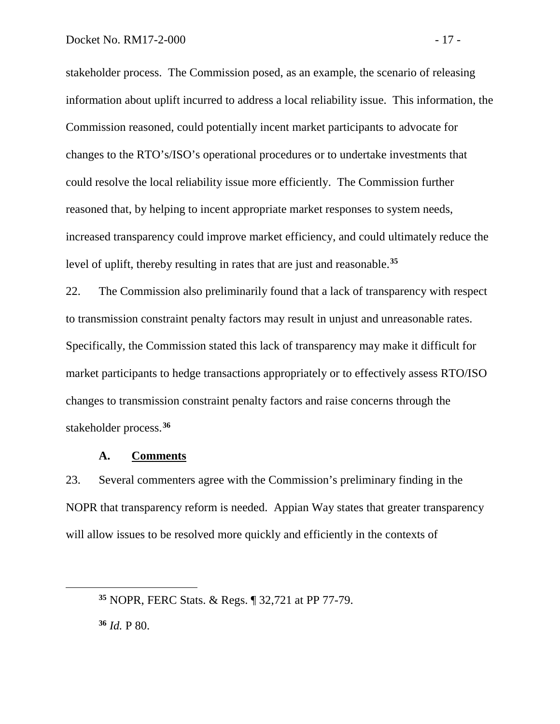stakeholder process. The Commission posed, as an example, the scenario of releasing information about uplift incurred to address a local reliability issue. This information, the Commission reasoned, could potentially incent market participants to advocate for changes to the RTO's/ISO's operational procedures or to undertake investments that could resolve the local reliability issue more efficiently. The Commission further reasoned that, by helping to incent appropriate market responses to system needs, increased transparency could improve market efficiency, and could ultimately reduce the level of uplift, thereby resulting in rates that are just and reasonable.**[35](#page-18-1)**

22. The Commission also preliminarily found that a lack of transparency with respect to transmission constraint penalty factors may result in unjust and unreasonable rates. Specifically, the Commission stated this lack of transparency may make it difficult for market participants to hedge transactions appropriately or to effectively assess RTO/ISO changes to transmission constraint penalty factors and raise concerns through the stakeholder process. **[36](#page-18-2)**

## <span id="page-18-0"></span>**A. Comments**

23. Several commenters agree with the Commission's preliminary finding in the NOPR that transparency reform is needed. Appian Way states that greater transparency will allow issues to be resolved more quickly and efficiently in the contexts of

<span id="page-18-2"></span>**<sup>36</sup>** *Id.* P 80.

<span id="page-18-1"></span>**<sup>35</sup>** NOPR, FERC Stats. & Regs. ¶ 32,721 at PP 77-79.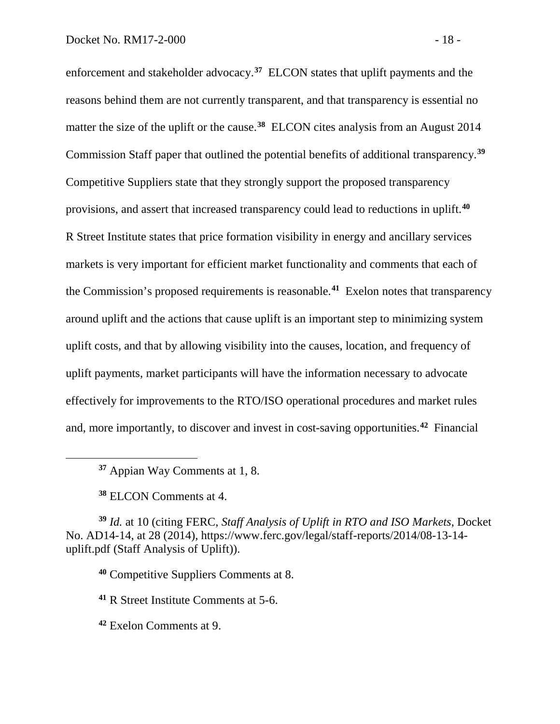enforcement and stakeholder advocacy. **[37](#page-19-0)** ELCON states that uplift payments and the reasons behind them are not currently transparent, and that transparency is essential no matter the size of the uplift or the cause.<sup>[38](#page-19-1)</sup> ELCON cites analysis from an August 2014 Commission Staff paper that outlined the potential benefits of additional transparency.**[39](#page-19-2)** Competitive Suppliers state that they strongly support the proposed transparency provisions, and assert that increased transparency could lead to reductions in uplift.**[40](#page-19-3)** R Street Institute states that price formation visibility in energy and ancillary services markets is very important for efficient market functionality and comments that each of the Commission's proposed requirements is reasonable.**[41](#page-19-4)** Exelon notes that transparency around uplift and the actions that cause uplift is an important step to minimizing system uplift costs, and that by allowing visibility into the causes, location, and frequency of uplift payments, market participants will have the information necessary to advocate effectively for improvements to the RTO/ISO operational procedures and market rules and, more importantly, to discover and invest in cost-saving opportunities.**[42](#page-19-5)** Financial

**<sup>37</sup>** Appian Way Comments at 1, 8.

**<sup>38</sup>** ELCON Comments at 4.

<span id="page-19-0"></span> $\overline{a}$ 

<span id="page-19-3"></span><span id="page-19-2"></span><span id="page-19-1"></span>**<sup>39</sup>** *Id.* at 10 (citing FERC, *Staff Analysis of Uplift in RTO and ISO Markets*, Docket No. AD14-14, at 28 (2014), https://www.ferc.gov/legal/staff-reports/2014/08-13-14 uplift.pdf (Staff Analysis of Uplift)).

**<sup>40</sup>** Competitive Suppliers Comments at 8.

<span id="page-19-4"></span>**<sup>41</sup>** R Street Institute Comments at 5-6.

<span id="page-19-5"></span>**<sup>42</sup>** Exelon Comments at 9.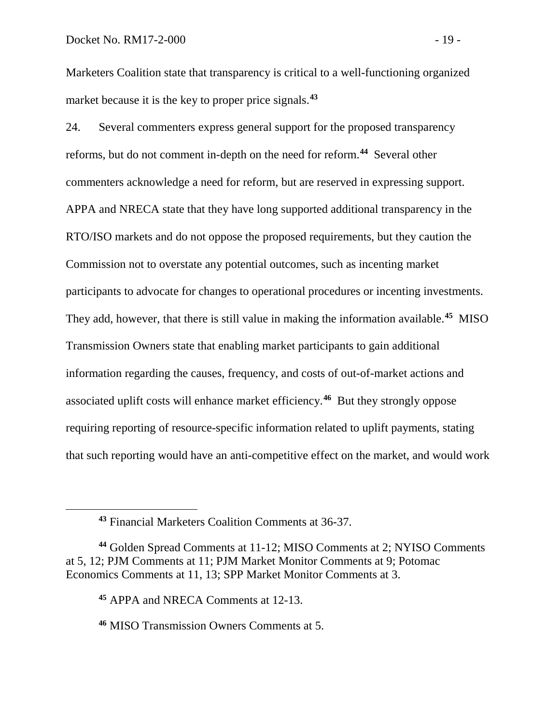Marketers Coalition state that transparency is critical to a well-functioning organized market because it is the key to proper price signals. **[43](#page-20-0)**

24. Several commenters express general support for the proposed transparency reforms, but do not comment in-depth on the need for reform. **[44](#page-20-1)** Several other commenters acknowledge a need for reform, but are reserved in expressing support. APPA and NRECA state that they have long supported additional transparency in the RTO/ISO markets and do not oppose the proposed requirements, but they caution the Commission not to overstate any potential outcomes, such as incenting market participants to advocate for changes to operational procedures or incenting investments. They add, however, that there is still value in making the information available.**[45](#page-20-2)** MISO Transmission Owners state that enabling market participants to gain additional information regarding the causes, frequency, and costs of out-of-market actions and associated uplift costs will enhance market efficiency.**[46](#page-20-3)** But they strongly oppose requiring reporting of resource-specific information related to uplift payments, stating that such reporting would have an anti-competitive effect on the market, and would work

**<sup>43</sup>** Financial Marketers Coalition Comments at 36-37.

<span id="page-20-2"></span><span id="page-20-1"></span><span id="page-20-0"></span>**<sup>44</sup>** Golden Spread Comments at 11-12; MISO Comments at 2; NYISO Comments at 5, 12; PJM Comments at 11; PJM Market Monitor Comments at 9; Potomac Economics Comments at 11, 13; SPP Market Monitor Comments at 3.

**<sup>45</sup>** APPA and NRECA Comments at 12-13.

<span id="page-20-3"></span>**<sup>46</sup>** MISO Transmission Owners Comments at 5.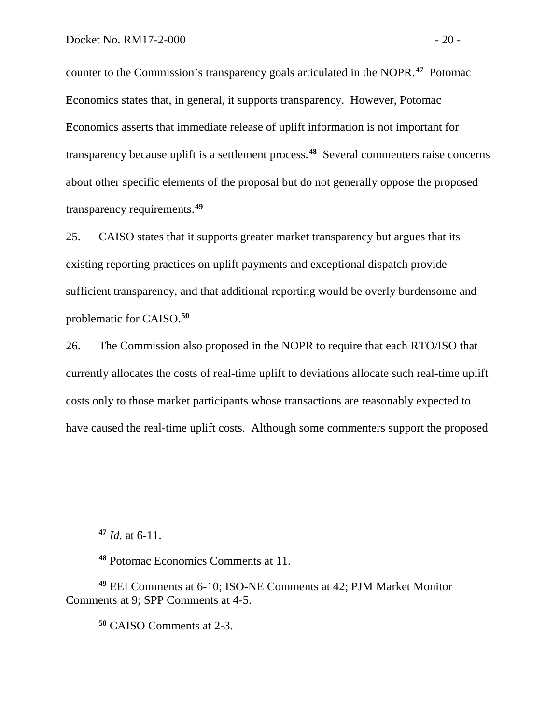counter to the Commission's transparency goals articulated in the NOPR.**[47](#page-21-0)** Potomac Economics states that, in general, it supports transparency. However, Potomac Economics asserts that immediate release of uplift information is not important for transparency because uplift is a settlement process. **[48](#page-21-1)** Several commenters raise concerns about other specific elements of the proposal but do not generally oppose the proposed transparency requirements. **[49](#page-21-2)**

25. CAISO states that it supports greater market transparency but argues that its existing reporting practices on uplift payments and exceptional dispatch provide sufficient transparency, and that additional reporting would be overly burdensome and problematic for CAISO.**[50](#page-21-3)**

26. The Commission also proposed in the NOPR to require that each RTO/ISO that currently allocates the costs of real-time uplift to deviations allocate such real-time uplift costs only to those market participants whose transactions are reasonably expected to have caused the real-time uplift costs. Although some commenters support the proposed

**<sup>47</sup>** *Id.* at 6-11.

<span id="page-21-0"></span> $\overline{a}$ 

**<sup>48</sup>** Potomac Economics Comments at 11.

<span id="page-21-3"></span><span id="page-21-2"></span><span id="page-21-1"></span>**<sup>49</sup>** EEI Comments at 6-10; ISO-NE Comments at 42; PJM Market Monitor Comments at 9; SPP Comments at 4-5.

**<sup>50</sup>** CAISO Comments at 2-3.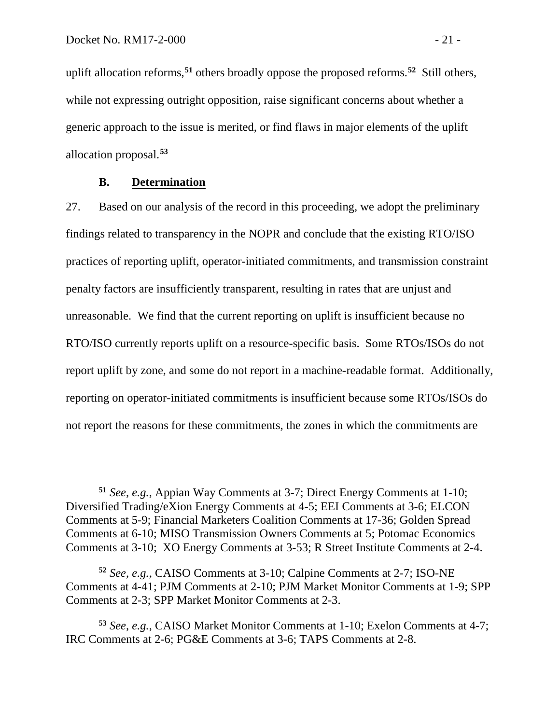uplift allocation reforms, **[51](#page-22-1)** others broadly oppose the proposed reforms. **[52](#page-22-2)** Still others, while not expressing outright opposition, raise significant concerns about whether a generic approach to the issue is merited, or find flaws in major elements of the uplift allocation proposal. **[53](#page-22-3)**

# <span id="page-22-0"></span>**B. Determination**

 $\overline{a}$ 

27. Based on our analysis of the record in this proceeding, we adopt the preliminary findings related to transparency in the NOPR and conclude that the existing RTO/ISO practices of reporting uplift, operator-initiated commitments, and transmission constraint penalty factors are insufficiently transparent, resulting in rates that are unjust and unreasonable. We find that the current reporting on uplift is insufficient because no RTO/ISO currently reports uplift on a resource-specific basis. Some RTOs/ISOs do not report uplift by zone, and some do not report in a machine-readable format. Additionally, reporting on operator-initiated commitments is insufficient because some RTOs/ISOs do not report the reasons for these commitments, the zones in which the commitments are

<span id="page-22-1"></span>**<sup>51</sup>** *See, e.g.*, Appian Way Comments at 3-7; Direct Energy Comments at 1-10; Diversified Trading/eXion Energy Comments at 4-5; EEI Comments at 3-6; ELCON Comments at 5-9; Financial Marketers Coalition Comments at 17-36; Golden Spread Comments at 6-10; MISO Transmission Owners Comments at 5; Potomac Economics Comments at 3-10; XO Energy Comments at 3-53; R Street Institute Comments at 2-4.

<span id="page-22-2"></span>**<sup>52</sup>** *See, e.g.*, CAISO Comments at 3-10; Calpine Comments at 2-7; ISO-NE Comments at 4-41; PJM Comments at 2-10; PJM Market Monitor Comments at 1-9; SPP Comments at 2-3; SPP Market Monitor Comments at 2-3.

<span id="page-22-3"></span>**<sup>53</sup>** *See, e.g.*, CAISO Market Monitor Comments at 1-10; Exelon Comments at 4-7; IRC Comments at 2-6; PG&E Comments at 3-6; TAPS Comments at 2-8.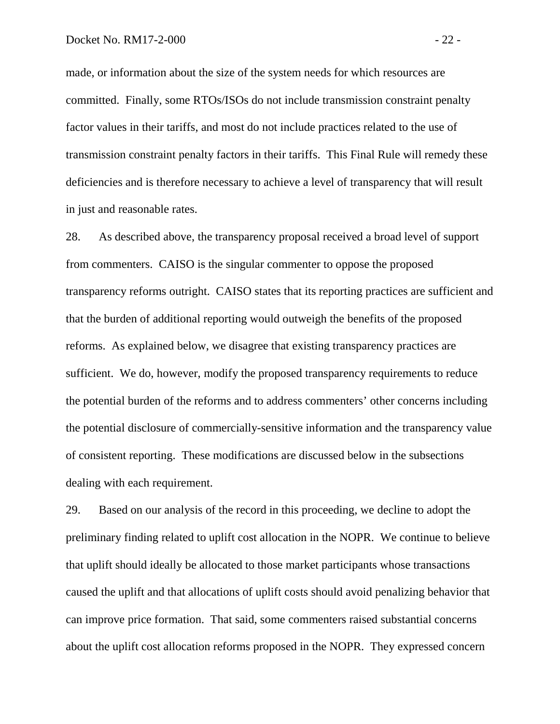made, or information about the size of the system needs for which resources are committed. Finally, some RTOs/ISOs do not include transmission constraint penalty factor values in their tariffs, and most do not include practices related to the use of transmission constraint penalty factors in their tariffs. This Final Rule will remedy these deficiencies and is therefore necessary to achieve a level of transparency that will result in just and reasonable rates.

28. As described above, the transparency proposal received a broad level of support from commenters. CAISO is the singular commenter to oppose the proposed transparency reforms outright. CAISO states that its reporting practices are sufficient and that the burden of additional reporting would outweigh the benefits of the proposed reforms. As explained below, we disagree that existing transparency practices are sufficient. We do, however, modify the proposed transparency requirements to reduce the potential burden of the reforms and to address commenters' other concerns including the potential disclosure of commercially-sensitive information and the transparency value of consistent reporting. These modifications are discussed below in the subsections dealing with each requirement.

29. Based on our analysis of the record in this proceeding, we decline to adopt the preliminary finding related to uplift cost allocation in the NOPR. We continue to believe that uplift should ideally be allocated to those market participants whose transactions caused the uplift and that allocations of uplift costs should avoid penalizing behavior that can improve price formation. That said, some commenters raised substantial concerns about the uplift cost allocation reforms proposed in the NOPR. They expressed concern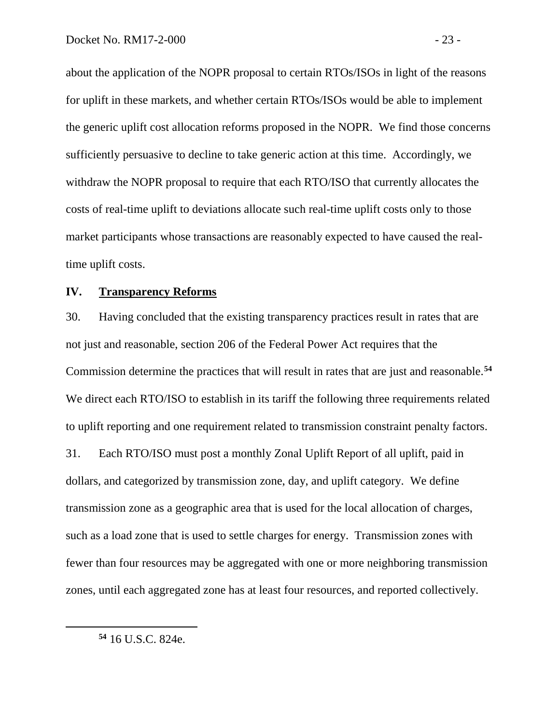about the application of the NOPR proposal to certain RTOs/ISOs in light of the reasons for uplift in these markets, and whether certain RTOs/ISOs would be able to implement the generic uplift cost allocation reforms proposed in the NOPR. We find those concerns sufficiently persuasive to decline to take generic action at this time. Accordingly, we withdraw the NOPR proposal to require that each RTO/ISO that currently allocates the costs of real-time uplift to deviations allocate such real-time uplift costs only to those market participants whose transactions are reasonably expected to have caused the realtime uplift costs.

### <span id="page-24-0"></span>**IV. Transparency Reforms**

30. Having concluded that the existing transparency practices result in rates that are not just and reasonable, section 206 of the Federal Power Act requires that the Commission determine the practices that will result in rates that are just and reasonable.**[54](#page-24-1)** We direct each RTO/ISO to establish in its tariff the following three requirements related to uplift reporting and one requirement related to transmission constraint penalty factors. 31. Each RTO/ISO must post a monthly Zonal Uplift Report of all uplift, paid in dollars, and categorized by transmission zone, day, and uplift category. We define transmission zone as a geographic area that is used for the local allocation of charges, such as a load zone that is used to settle charges for energy. Transmission zones with fewer than four resources may be aggregated with one or more neighboring transmission zones, until each aggregated zone has at least four resources, and reported collectively.

<span id="page-24-1"></span>**<sup>54</sup>** 16 U.S.C. 824e.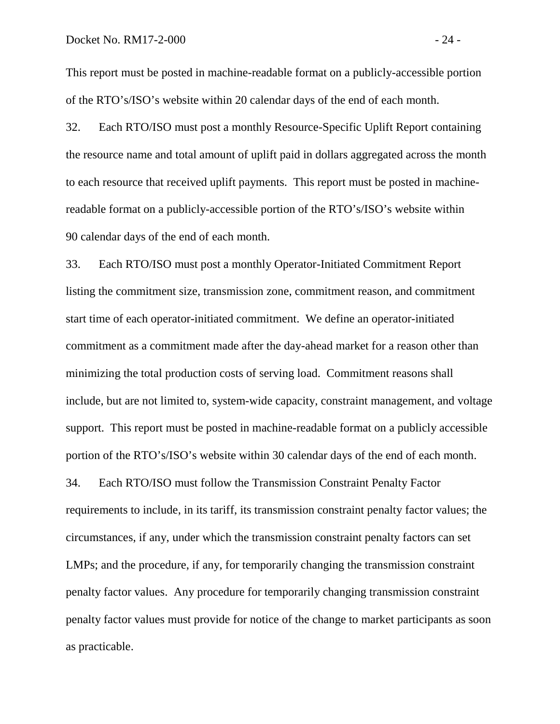This report must be posted in machine-readable format on a publicly-accessible portion of the RTO's/ISO's website within 20 calendar days of the end of each month.

32. Each RTO/ISO must post a monthly Resource-Specific Uplift Report containing the resource name and total amount of uplift paid in dollars aggregated across the month to each resource that received uplift payments. This report must be posted in machinereadable format on a publicly-accessible portion of the RTO's/ISO's website within 90 calendar days of the end of each month.

33. Each RTO/ISO must post a monthly Operator-Initiated Commitment Report listing the commitment size, transmission zone, commitment reason, and commitment start time of each operator-initiated commitment. We define an operator-initiated commitment as a commitment made after the day-ahead market for a reason other than minimizing the total production costs of serving load. Commitment reasons shall include, but are not limited to, system-wide capacity, constraint management, and voltage support. This report must be posted in machine-readable format on a publicly accessible portion of the RTO's/ISO's website within 30 calendar days of the end of each month. 34. Each RTO/ISO must follow the Transmission Constraint Penalty Factor requirements to include, in its tariff, its transmission constraint penalty factor values; the circumstances, if any, under which the transmission constraint penalty factors can set LMPs; and the procedure, if any, for temporarily changing the transmission constraint penalty factor values. Any procedure for temporarily changing transmission constraint penalty factor values must provide for notice of the change to market participants as soon as practicable.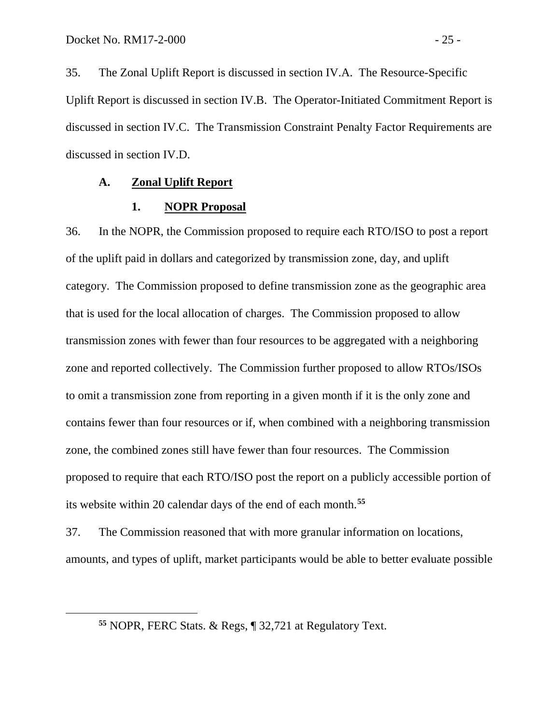<span id="page-26-2"></span> $\overline{a}$ 

35. The Zonal Uplift Report is discussed in section IV.A. The Resource-Specific Uplift Report is discussed in section IV.B. The Operator-Initiated Commitment Report is discussed in section IV.C. The Transmission Constraint Penalty Factor Requirements are discussed in section IV.D.

### **A. Zonal Uplift Report**

### <span id="page-26-1"></span><span id="page-26-0"></span>**1. NOPR Proposal**

36. In the NOPR, the Commission proposed to require each RTO/ISO to post a report of the uplift paid in dollars and categorized by transmission zone, day, and uplift category. The Commission proposed to define transmission zone as the geographic area that is used for the local allocation of charges. The Commission proposed to allow transmission zones with fewer than four resources to be aggregated with a neighboring zone and reported collectively. The Commission further proposed to allow RTOs/ISOs to omit a transmission zone from reporting in a given month if it is the only zone and contains fewer than four resources or if, when combined with a neighboring transmission zone, the combined zones still have fewer than four resources. The Commission proposed to require that each RTO/ISO post the report on a publicly accessible portion of its website within 20 calendar days of the end of each month.**[55](#page-26-2)**

37. The Commission reasoned that with more granular information on locations, amounts, and types of uplift, market participants would be able to better evaluate possible

**<sup>55</sup>** NOPR, FERC Stats. & Regs, ¶ 32,721 at Regulatory Text.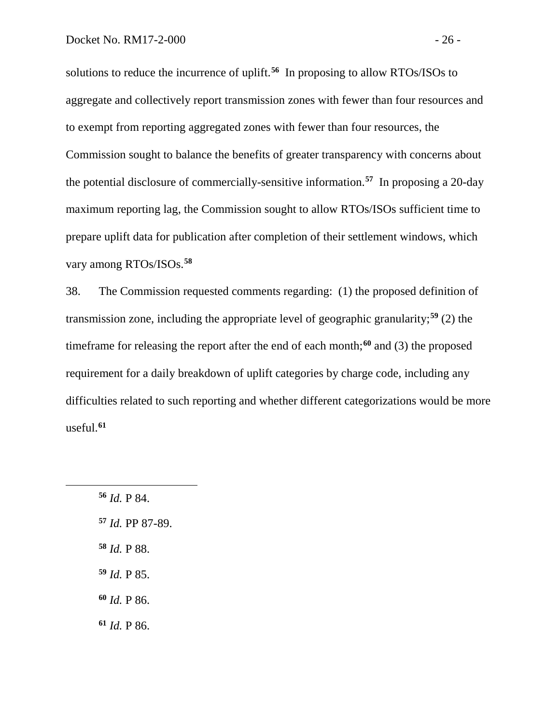solutions to reduce the incurrence of uplift.**[56](#page-27-0)** In proposing to allow RTOs/ISOs to aggregate and collectively report transmission zones with fewer than four resources and to exempt from reporting aggregated zones with fewer than four resources, the Commission sought to balance the benefits of greater transparency with concerns about the potential disclosure of commercially-sensitive information. **[57](#page-27-1)** In proposing a 20-day maximum reporting lag, the Commission sought to allow RTOs/ISOs sufficient time to prepare uplift data for publication after completion of their settlement windows, which vary among RTOs/ISOs.**[58](#page-27-2)**

38. The Commission requested comments regarding: (1) the proposed definition of transmission zone, including the appropriate level of geographic granularity;**[59](#page-27-3)** (2) the timeframe for releasing the report after the end of each month;**[60](#page-27-4)** and (3) the proposed requirement for a daily breakdown of uplift categories by charge code, including any difficulties related to such reporting and whether different categorizations would be more useful.**[61](#page-27-5)**

<span id="page-27-5"></span><span id="page-27-4"></span><span id="page-27-3"></span><span id="page-27-2"></span><span id="page-27-1"></span><span id="page-27-0"></span>**<sup>56</sup>** *Id.* P 84. **<sup>57</sup>** *Id.* PP 87-89. **<sup>58</sup>** *Id.* P 88. **<sup>59</sup>** *Id.* P 85. **<sup>60</sup>** *Id.* P 86. **<sup>61</sup>** *Id.* P 86.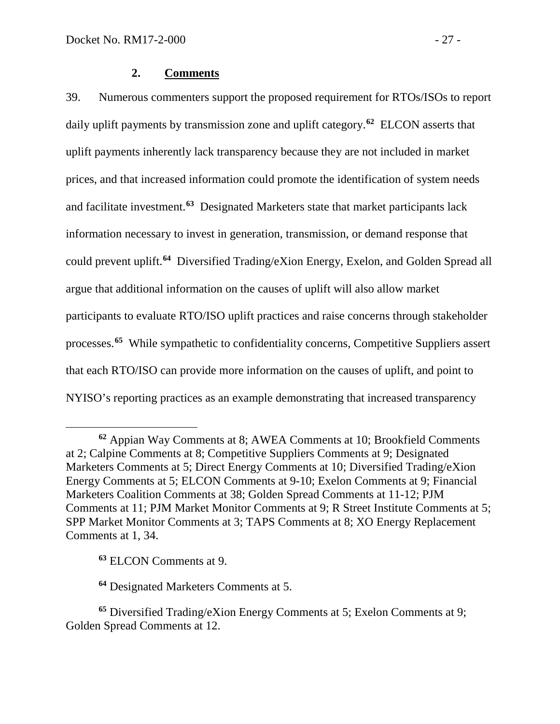## <span id="page-28-0"></span>**2. Comments**

39. Numerous commenters support the proposed requirement for RTOs/ISOs to report daily uplift payments by transmission zone and uplift category.**[62](#page-28-1)** ELCON asserts that uplift payments inherently lack transparency because they are not included in market prices, and that increased information could promote the identification of system needs and facilitate investment.**[63](#page-28-2)** Designated Marketers state that market participants lack information necessary to invest in generation, transmission, or demand response that could prevent uplift.**[64](#page-28-3)** Diversified Trading/eXion Energy, Exelon, and Golden Spread all argue that additional information on the causes of uplift will also allow market participants to evaluate RTO/ISO uplift practices and raise concerns through stakeholder processes.**[65](#page-28-4)** While sympathetic to confidentiality concerns, Competitive Suppliers assert that each RTO/ISO can provide more information on the causes of uplift, and point to NYISO's reporting practices as an example demonstrating that increased transparency

**<sup>63</sup>** ELCON Comments at 9.

 $\overline{a}$ 

**<sup>64</sup>** Designated Marketers Comments at 5.

<span id="page-28-1"></span>**<sup>62</sup>** Appian Way Comments at 8; AWEA Comments at 10; Brookfield Comments at 2; Calpine Comments at 8; Competitive Suppliers Comments at 9; Designated Marketers Comments at 5; Direct Energy Comments at 10; Diversified Trading/eXion Energy Comments at 5; ELCON Comments at 9-10; Exelon Comments at 9; Financial Marketers Coalition Comments at 38; Golden Spread Comments at 11-12; PJM Comments at 11; PJM Market Monitor Comments at 9; R Street Institute Comments at 5; SPP Market Monitor Comments at 3; TAPS Comments at 8; XO Energy Replacement Comments at 1, 34.

<span id="page-28-4"></span><span id="page-28-3"></span><span id="page-28-2"></span>**<sup>65</sup>** Diversified Trading/eXion Energy Comments at 5; Exelon Comments at 9; Golden Spread Comments at 12.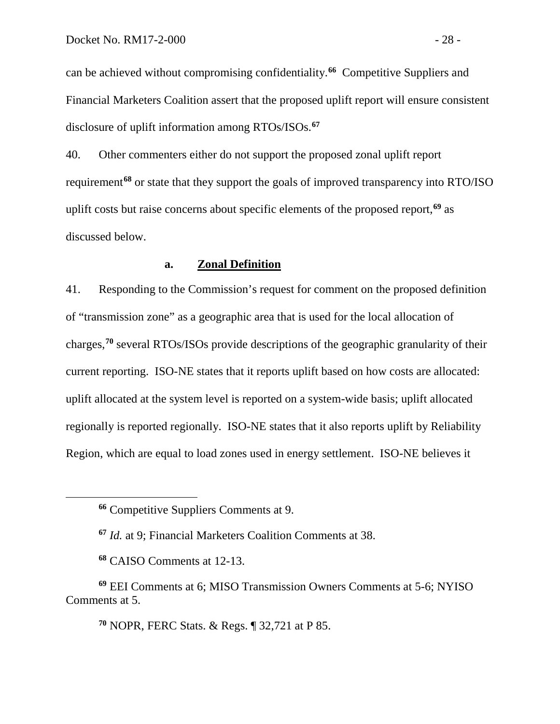can be achieved without compromising confidentiality.**[66](#page-29-0)** Competitive Suppliers and Financial Marketers Coalition assert that the proposed uplift report will ensure consistent disclosure of uplift information among RTOs/ISOs.**[67](#page-29-1)**

40. Other commenters either do not support the proposed zonal uplift report requirement**[68](#page-29-2)** or state that they support the goals of improved transparency into RTO/ISO uplift costs but raise concerns about specific elements of the proposed report,**[69](#page-29-3)** as discussed below.

## **a. Zonal Definition**

41. Responding to the Commission's request for comment on the proposed definition of "transmission zone" as a geographic area that is used for the local allocation of charges,**[70](#page-29-4)** several RTOs/ISOs provide descriptions of the geographic granularity of their current reporting. ISO-NE states that it reports uplift based on how costs are allocated: uplift allocated at the system level is reported on a system-wide basis; uplift allocated regionally is reported regionally. ISO-NE states that it also reports uplift by Reliability Region, which are equal to load zones used in energy settlement. ISO-NE believes it

<span id="page-29-1"></span><span id="page-29-0"></span> $\overline{a}$ 

**<sup>70</sup>** NOPR, FERC Stats. & Regs. ¶ 32,721 at P 85.

**<sup>66</sup>** Competitive Suppliers Comments at 9.

**<sup>67</sup>** *Id.* at 9; Financial Marketers Coalition Comments at 38.

**<sup>68</sup>** CAISO Comments at 12-13.

<span id="page-29-4"></span><span id="page-29-3"></span><span id="page-29-2"></span>**<sup>69</sup>** EEI Comments at 6; MISO Transmission Owners Comments at 5-6; NYISO Comments at 5.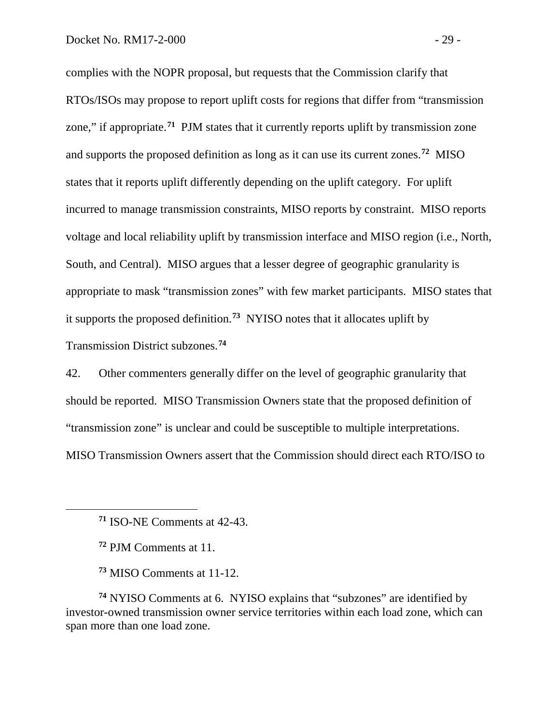complies with the NOPR proposal, but requests that the Commission clarify that RTOs/ISOs may propose to report uplift costs for regions that differ from "transmission zone," if appropriate.<sup>[71](#page-30-0)</sup> PJM states that it currently reports uplift by transmission zone and supports the proposed definition as long as it can use its current zones.**[72](#page-30-1)** MISO states that it reports uplift differently depending on the uplift category. For uplift incurred to manage transmission constraints, MISO reports by constraint. MISO reports voltage and local reliability uplift by transmission interface and MISO region (i.e., North, South, and Central). MISO argues that a lesser degree of geographic granularity is appropriate to mask "transmission zones" with few market participants. MISO states that it supports the proposed definition.**[73](#page-30-2)** NYISO notes that it allocates uplift by Transmission District subzones.**[74](#page-30-3)**

42. Other commenters generally differ on the level of geographic granularity that should be reported. MISO Transmission Owners state that the proposed definition of "transmission zone" is unclear and could be susceptible to multiple interpretations. MISO Transmission Owners assert that the Commission should direct each RTO/ISO to

<span id="page-30-1"></span><span id="page-30-0"></span> $\overline{a}$ 

<span id="page-30-3"></span><span id="page-30-2"></span>**<sup>74</sup>** NYISO Comments at 6. NYISO explains that "subzones" are identified by investor-owned transmission owner service territories within each load zone, which can span more than one load zone.

**<sup>71</sup>** ISO-NE Comments at 42-43.

**<sup>72</sup>** PJM Comments at 11.

**<sup>73</sup>** MISO Comments at 11-12.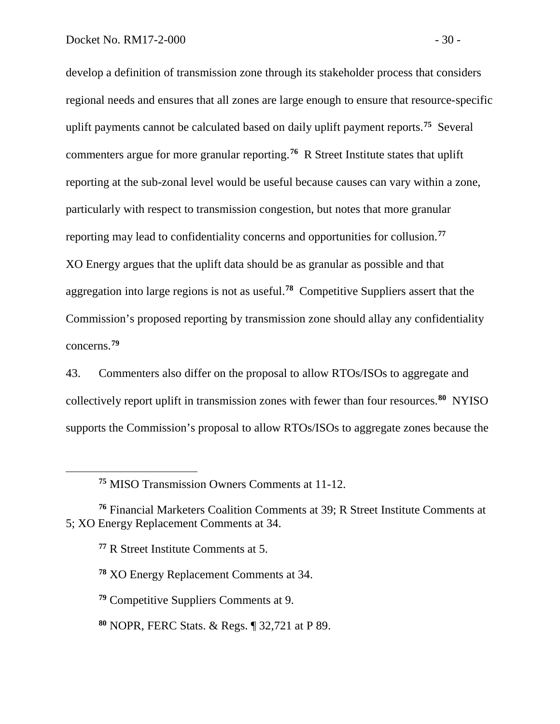develop a definition of transmission zone through its stakeholder process that considers regional needs and ensures that all zones are large enough to ensure that resource-specific uplift payments cannot be calculated based on daily uplift payment reports.**[75](#page-31-0)** Several commenters argue for more granular reporting.**[76](#page-31-1)** R Street Institute states that uplift reporting at the sub-zonal level would be useful because causes can vary within a zone, particularly with respect to transmission congestion, but notes that more granular reporting may lead to confidentiality concerns and opportunities for collusion.**[77](#page-31-2)** XO Energy argues that the uplift data should be as granular as possible and that aggregation into large regions is not as useful.**[78](#page-31-3)** Competitive Suppliers assert that the Commission's proposed reporting by transmission zone should allay any confidentiality concerns.**[79](#page-31-4)**

43. Commenters also differ on the proposal to allow RTOs/ISOs to aggregate and collectively report uplift in transmission zones with fewer than four resources.**[80](#page-31-5)** NYISO supports the Commission's proposal to allow RTOs/ISOs to aggregate zones because the

**<sup>77</sup>** R Street Institute Comments at 5.

**<sup>75</sup>** MISO Transmission Owners Comments at 11-12.

<span id="page-31-3"></span><span id="page-31-2"></span><span id="page-31-1"></span><span id="page-31-0"></span>**<sup>76</sup>** Financial Marketers Coalition Comments at 39; R Street Institute Comments at 5; XO Energy Replacement Comments at 34.

**<sup>78</sup>** XO Energy Replacement Comments at 34.

<span id="page-31-4"></span>**<sup>79</sup>** Competitive Suppliers Comments at 9.

<span id="page-31-5"></span>**<sup>80</sup>** NOPR, FERC Stats. & Regs. ¶ 32,721 at P 89.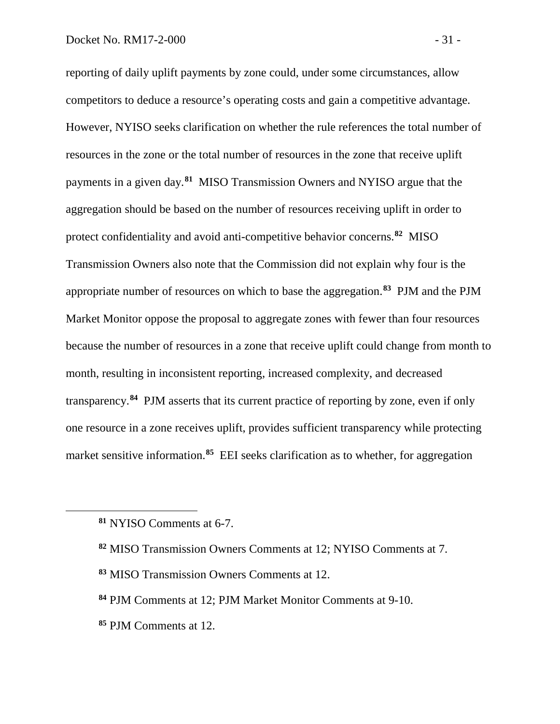reporting of daily uplift payments by zone could, under some circumstances, allow competitors to deduce a resource's operating costs and gain a competitive advantage. However, NYISO seeks clarification on whether the rule references the total number of resources in the zone or the total number of resources in the zone that receive uplift payments in a given day.**[81](#page-32-0)** MISO Transmission Owners and NYISO argue that the aggregation should be based on the number of resources receiving uplift in order to protect confidentiality and avoid anti-competitive behavior concerns.**[82](#page-32-1)** MISO Transmission Owners also note that the Commission did not explain why four is the appropriate number of resources on which to base the aggregation.**[83](#page-32-2)** PJM and the PJM Market Monitor oppose the proposal to aggregate zones with fewer than four resources because the number of resources in a zone that receive uplift could change from month to month, resulting in inconsistent reporting, increased complexity, and decreased transparency.**[84](#page-32-3)** PJM asserts that its current practice of reporting by zone, even if only one resource in a zone receives uplift, provides sufficient transparency while protecting market sensitive information.**[85](#page-32-4)** EEI seeks clarification as to whether, for aggregation

- <span id="page-32-1"></span>**<sup>82</sup>** MISO Transmission Owners Comments at 12; NYISO Comments at 7.
- <span id="page-32-2"></span>**<sup>83</sup>** MISO Transmission Owners Comments at 12.
- <span id="page-32-3"></span>**<sup>84</sup>** PJM Comments at 12; PJM Market Monitor Comments at 9-10.
- <span id="page-32-4"></span>**<sup>85</sup>** PJM Comments at 12.

<span id="page-32-0"></span>**<sup>81</sup>** NYISO Comments at 6-7.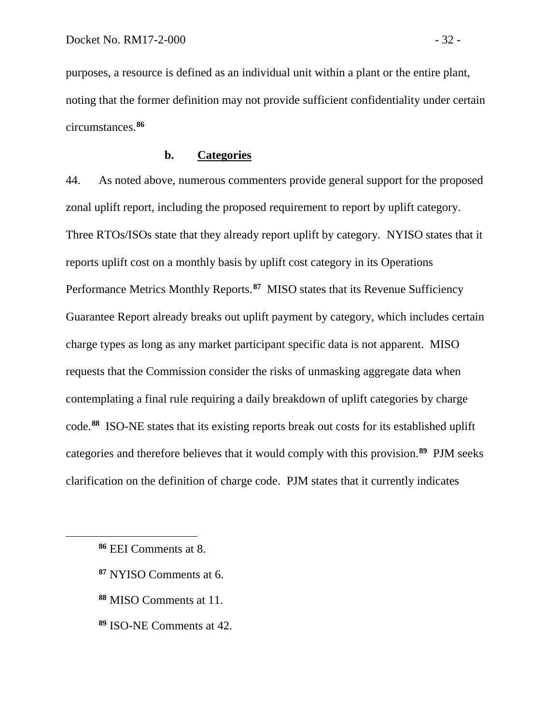purposes, a resource is defined as an individual unit within a plant or the entire plant, noting that the former definition may not provide sufficient confidentiality under certain circumstances.**[86](#page-33-0)**

## **b. Categories**

44. As noted above, numerous commenters provide general support for the proposed zonal uplift report, including the proposed requirement to report by uplift category. Three RTOs/ISOs state that they already report uplift by category. NYISO states that it reports uplift cost on a monthly basis by uplift cost category in its Operations Performance Metrics Monthly Reports.**[87](#page-33-1)** MISO states that its Revenue Sufficiency Guarantee Report already breaks out uplift payment by category, which includes certain charge types as long as any market participant specific data is not apparent. MISO requests that the Commission consider the risks of unmasking aggregate data when contemplating a final rule requiring a daily breakdown of uplift categories by charge code.**[88](#page-33-2)** ISO-NE states that its existing reports break out costs for its established uplift categories and therefore believes that it would comply with this provision.**[89](#page-33-3)** PJM seeks clarification on the definition of charge code. PJM states that it currently indicates

- <span id="page-33-1"></span>**<sup>87</sup>** NYISO Comments at 6.
- <span id="page-33-2"></span>**<sup>88</sup>** MISO Comments at 11.
- <span id="page-33-3"></span>**<sup>89</sup>** ISO-NE Comments at 42.

<span id="page-33-0"></span>**<sup>86</sup>** EEI Comments at 8.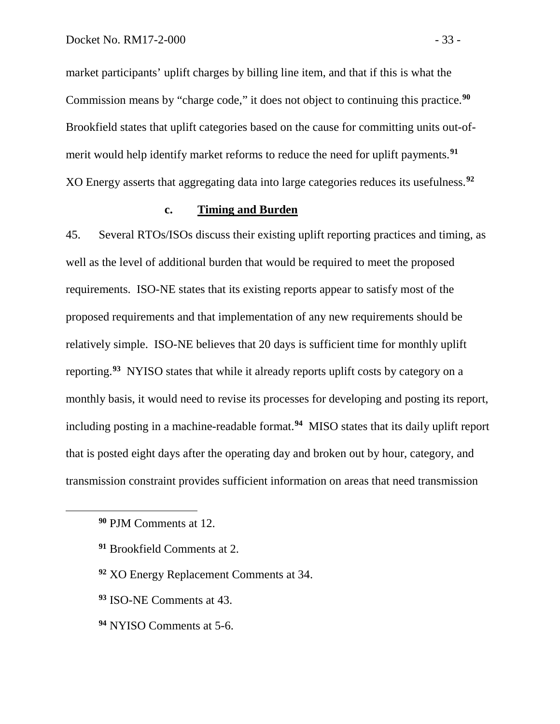market participants' uplift charges by billing line item, and that if this is what the Commission means by "charge code," it does not object to continuing this practice.**[90](#page-34-0)** Brookfield states that uplift categories based on the cause for committing units out-ofmerit would help identify market reforms to reduce the need for uplift payments.**[91](#page-34-1)** XO Energy asserts that aggregating data into large categories reduces its usefulness.**[92](#page-34-2)**

## **c. Timing and Burden**

45. Several RTOs/ISOs discuss their existing uplift reporting practices and timing, as well as the level of additional burden that would be required to meet the proposed requirements. ISO-NE states that its existing reports appear to satisfy most of the proposed requirements and that implementation of any new requirements should be relatively simple. ISO-NE believes that 20 days is sufficient time for monthly uplift reporting.**[93](#page-34-3)** NYISO states that while it already reports uplift costs by category on a monthly basis, it would need to revise its processes for developing and posting its report, including posting in a machine-readable format.**[94](#page-34-4)** MISO states that its daily uplift report that is posted eight days after the operating day and broken out by hour, category, and transmission constraint provides sufficient information on areas that need transmission

- <span id="page-34-2"></span>**<sup>92</sup>** XO Energy Replacement Comments at 34.
- <span id="page-34-3"></span>**<sup>93</sup>** ISO-NE Comments at 43.
- <span id="page-34-4"></span>**<sup>94</sup>** NYISO Comments at 5-6.

<span id="page-34-0"></span>**<sup>90</sup>** PJM Comments at 12.

<span id="page-34-1"></span>**<sup>91</sup>** Brookfield Comments at 2.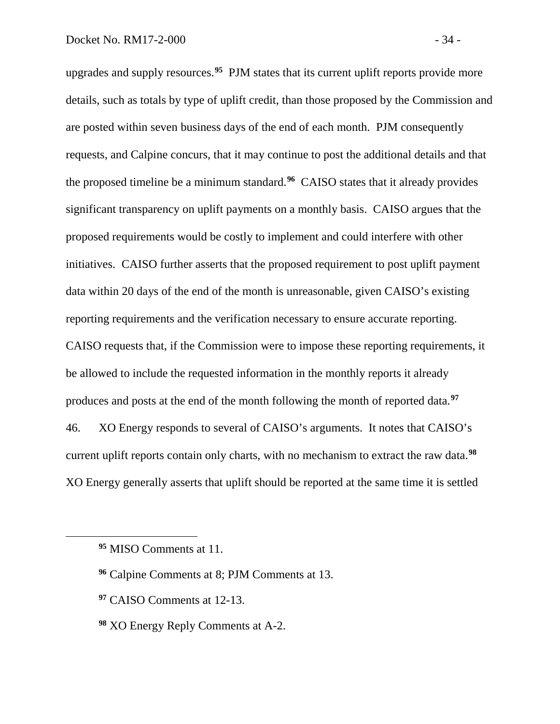upgrades and supply resources. **[95](#page-35-0)** PJM states that its current uplift reports provide more details, such as totals by type of uplift credit, than those proposed by the Commission and are posted within seven business days of the end of each month. PJM consequently requests, and Calpine concurs, that it may continue to post the additional details and that the proposed timeline be a minimum standard.**[96](#page-35-1)** CAISO states that it already provides significant transparency on uplift payments on a monthly basis. CAISO argues that the proposed requirements would be costly to implement and could interfere with other initiatives. CAISO further asserts that the proposed requirement to post uplift payment data within 20 days of the end of the month is unreasonable, given CAISO's existing reporting requirements and the verification necessary to ensure accurate reporting. CAISO requests that, if the Commission were to impose these reporting requirements, it be allowed to include the requested information in the monthly reports it already produces and posts at the end of the month following the month of reported data.**[97](#page-35-2)** 46. XO Energy responds to several of CAISO's arguments. It notes that CAISO's current uplift reports contain only charts, with no mechanism to extract the raw data.**[98](#page-35-3)** XO Energy generally asserts that uplift should be reported at the same time it is settled

<span id="page-35-2"></span><span id="page-35-1"></span><span id="page-35-0"></span> $\overline{a}$ 

**<sup>97</sup>** CAISO Comments at 12-13.

**<sup>95</sup>** MISO Comments at 11.

**<sup>96</sup>** Calpine Comments at 8; PJM Comments at 13.

<span id="page-35-3"></span>**<sup>98</sup>** XO Energy Reply Comments at A-2.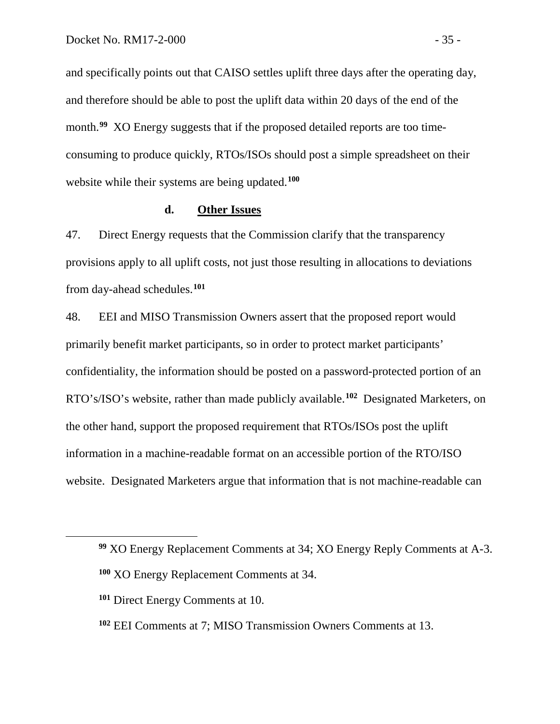and specifically points out that CAISO settles uplift three days after the operating day, and therefore should be able to post the uplift data within 20 days of the end of the month.<sup>[99](#page-36-0)</sup> XO Energy suggests that if the proposed detailed reports are too timeconsuming to produce quickly, RTOs/ISOs should post a simple spreadsheet on their website while their systems are being updated.**[100](#page-36-1)**

# **d. Other Issues**

47. Direct Energy requests that the Commission clarify that the transparency provisions apply to all uplift costs, not just those resulting in allocations to deviations from day-ahead schedules.**[101](#page-36-2)**

48. EEI and MISO Transmission Owners assert that the proposed report would primarily benefit market participants, so in order to protect market participants' confidentiality, the information should be posted on a password-protected portion of an RTO's/ISO's website, rather than made publicly available.**[102](#page-36-3)** Designated Marketers, on the other hand, support the proposed requirement that RTOs/ISOs post the uplift information in a machine-readable format on an accessible portion of the RTO/ISO website. Designated Marketers argue that information that is not machine-readable can

<span id="page-36-0"></span>**<sup>99</sup>** XO Energy Replacement Comments at 34; XO Energy Reply Comments at A-3.

<span id="page-36-1"></span>**<sup>100</sup>** XO Energy Replacement Comments at 34.

<span id="page-36-2"></span>**<sup>101</sup>** Direct Energy Comments at 10.

<span id="page-36-3"></span>**<sup>102</sup>** EEI Comments at 7; MISO Transmission Owners Comments at 13.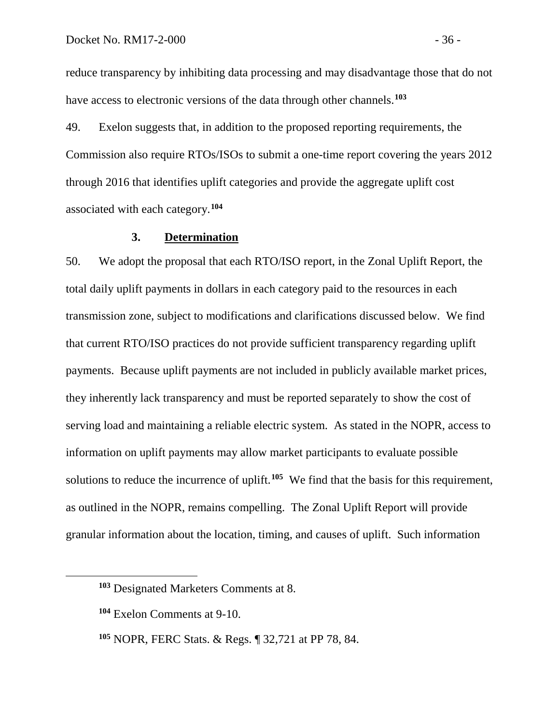reduce transparency by inhibiting data processing and may disadvantage those that do not have access to electronic versions of the data through other channels.**[103](#page-37-0)**

49. Exelon suggests that, in addition to the proposed reporting requirements, the Commission also require RTOs/ISOs to submit a one-time report covering the years 2012 through 2016 that identifies uplift categories and provide the aggregate uplift cost associated with each category.**[104](#page-37-1)**

# **3. Determination**

50. We adopt the proposal that each RTO/ISO report, in the Zonal Uplift Report, the total daily uplift payments in dollars in each category paid to the resources in each transmission zone, subject to modifications and clarifications discussed below. We find that current RTO/ISO practices do not provide sufficient transparency regarding uplift payments. Because uplift payments are not included in publicly available market prices, they inherently lack transparency and must be reported separately to show the cost of serving load and maintaining a reliable electric system. As stated in the NOPR, access to information on uplift payments may allow market participants to evaluate possible solutions to reduce the incurrence of uplift.**[105](#page-37-2)** We find that the basis for this requirement, as outlined in the NOPR, remains compelling. The Zonal Uplift Report will provide granular information about the location, timing, and causes of uplift. Such information

<span id="page-37-0"></span>**<sup>103</sup>** Designated Marketers Comments at 8.

<span id="page-37-1"></span>**<sup>104</sup>** Exelon Comments at 9-10.

<span id="page-37-2"></span>**<sup>105</sup>** NOPR, FERC Stats. & Regs. ¶ 32,721 at PP 78, 84.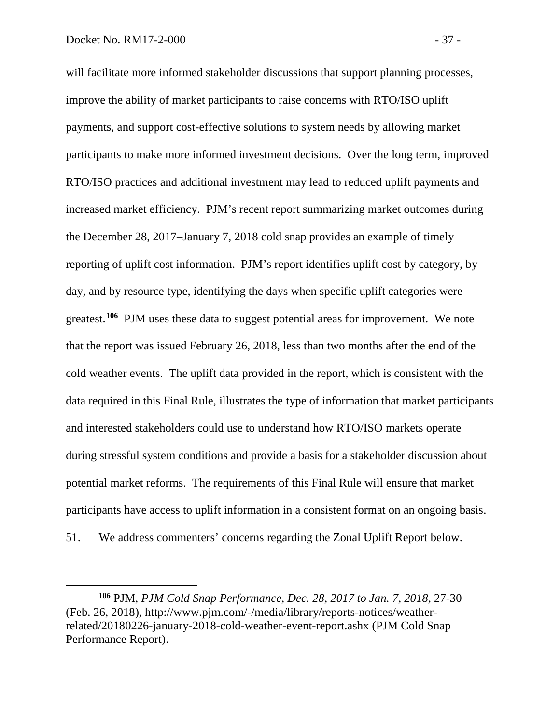$\overline{a}$ 

will facilitate more informed stakeholder discussions that support planning processes, improve the ability of market participants to raise concerns with RTO/ISO uplift payments, and support cost-effective solutions to system needs by allowing market participants to make more informed investment decisions. Over the long term, improved RTO/ISO practices and additional investment may lead to reduced uplift payments and increased market efficiency. PJM's recent report summarizing market outcomes during the December 28, 2017–January 7, 2018 cold snap provides an example of timely reporting of uplift cost information. PJM's report identifies uplift cost by category, by day, and by resource type, identifying the days when specific uplift categories were greatest.**[106](#page-38-0)** PJM uses these data to suggest potential areas for improvement. We note that the report was issued February 26, 2018, less than two months after the end of the cold weather events. The uplift data provided in the report, which is consistent with the data required in this Final Rule, illustrates the type of information that market participants and interested stakeholders could use to understand how RTO/ISO markets operate during stressful system conditions and provide a basis for a stakeholder discussion about potential market reforms. The requirements of this Final Rule will ensure that market participants have access to uplift information in a consistent format on an ongoing basis. 51. We address commenters' concerns regarding the Zonal Uplift Report below.

<span id="page-38-0"></span>**<sup>106</sup>** PJM, *PJM Cold Snap Performance, Dec. 28, 2017 to Jan. 7, 2018*, 27-30 (Feb. 26, 2018), http://www.pjm.com/-/media/library/reports-notices/weatherrelated/20180226-january-2018-cold-weather-event-report.ashx (PJM Cold Snap Performance Report).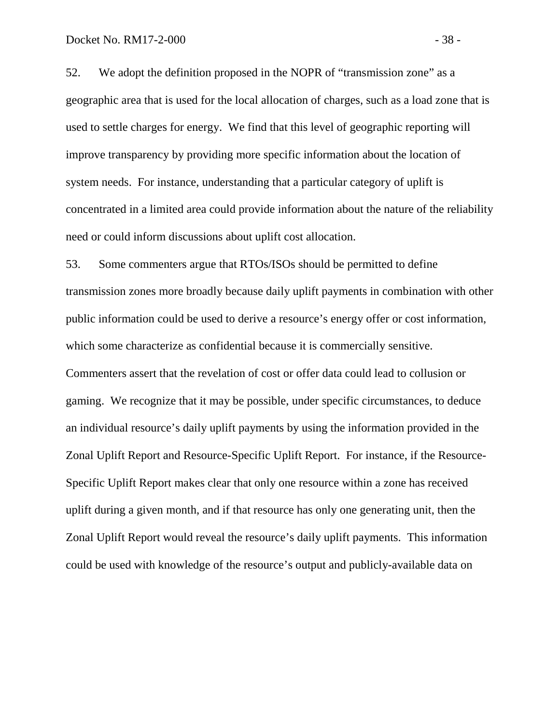52. We adopt the definition proposed in the NOPR of "transmission zone" as a geographic area that is used for the local allocation of charges, such as a load zone that is used to settle charges for energy. We find that this level of geographic reporting will improve transparency by providing more specific information about the location of system needs. For instance, understanding that a particular category of uplift is concentrated in a limited area could provide information about the nature of the reliability need or could inform discussions about uplift cost allocation.

53. Some commenters argue that RTOs/ISOs should be permitted to define transmission zones more broadly because daily uplift payments in combination with other public information could be used to derive a resource's energy offer or cost information, which some characterize as confidential because it is commercially sensitive. Commenters assert that the revelation of cost or offer data could lead to collusion or gaming. We recognize that it may be possible, under specific circumstances, to deduce an individual resource's daily uplift payments by using the information provided in the Zonal Uplift Report and Resource-Specific Uplift Report. For instance, if the Resource-Specific Uplift Report makes clear that only one resource within a zone has received uplift during a given month, and if that resource has only one generating unit, then the Zonal Uplift Report would reveal the resource's daily uplift payments. This information could be used with knowledge of the resource's output and publicly-available data on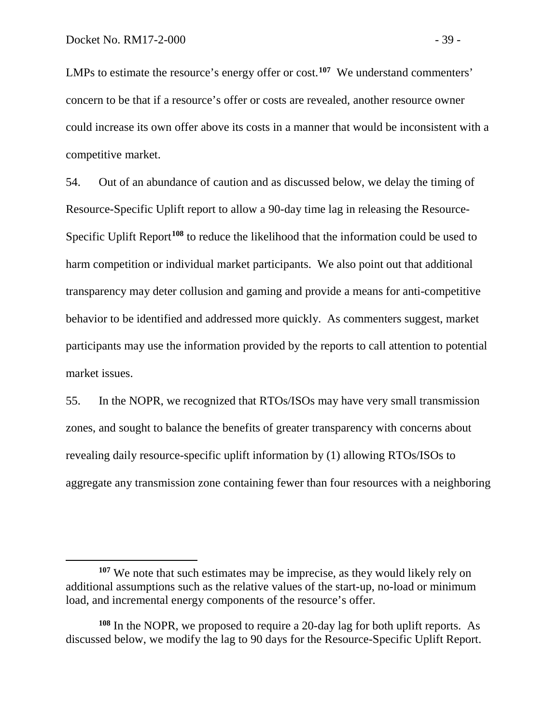$\overline{a}$ 

LMPs to estimate the resource's energy offer or cost.**[107](#page-40-0)** We understand commenters' concern to be that if a resource's offer or costs are revealed, another resource owner could increase its own offer above its costs in a manner that would be inconsistent with a competitive market.

54. Out of an abundance of caution and as discussed below, we delay the timing of Resource-Specific Uplift report to allow a 90-day time lag in releasing the Resource-Specific Uplift Report**[108](#page-40-1)** to reduce the likelihood that the information could be used to harm competition or individual market participants. We also point out that additional transparency may deter collusion and gaming and provide a means for anti-competitive behavior to be identified and addressed more quickly. As commenters suggest, market participants may use the information provided by the reports to call attention to potential market issues.

55. In the NOPR, we recognized that RTOs/ISOs may have very small transmission zones, and sought to balance the benefits of greater transparency with concerns about revealing daily resource-specific uplift information by (1) allowing RTOs/ISOs to aggregate any transmission zone containing fewer than four resources with a neighboring

<span id="page-40-0"></span>**<sup>107</sup>** We note that such estimates may be imprecise, as they would likely rely on additional assumptions such as the relative values of the start-up, no-load or minimum load, and incremental energy components of the resource's offer.

<span id="page-40-1"></span>**<sup>108</sup>** In the NOPR, we proposed to require a 20-day lag for both uplift reports. As discussed below, we modify the lag to 90 days for the Resource-Specific Uplift Report.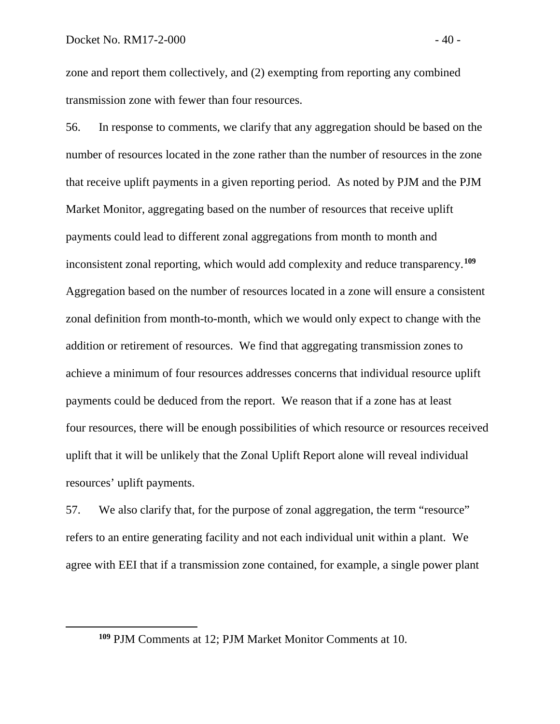<span id="page-41-0"></span> $\overline{a}$ 

zone and report them collectively, and (2) exempting from reporting any combined transmission zone with fewer than four resources.

56. In response to comments, we clarify that any aggregation should be based on the number of resources located in the zone rather than the number of resources in the zone that receive uplift payments in a given reporting period. As noted by PJM and the PJM Market Monitor, aggregating based on the number of resources that receive uplift payments could lead to different zonal aggregations from month to month and inconsistent zonal reporting, which would add complexity and reduce transparency. **[109](#page-41-0)** Aggregation based on the number of resources located in a zone will ensure a consistent zonal definition from month-to-month, which we would only expect to change with the addition or retirement of resources. We find that aggregating transmission zones to achieve a minimum of four resources addresses concerns that individual resource uplift payments could be deduced from the report. We reason that if a zone has at least four resources, there will be enough possibilities of which resource or resources received uplift that it will be unlikely that the Zonal Uplift Report alone will reveal individual resources' uplift payments.

57. We also clarify that, for the purpose of zonal aggregation, the term "resource" refers to an entire generating facility and not each individual unit within a plant. We agree with EEI that if a transmission zone contained, for example, a single power plant

**<sup>109</sup>** PJM Comments at 12; PJM Market Monitor Comments at 10.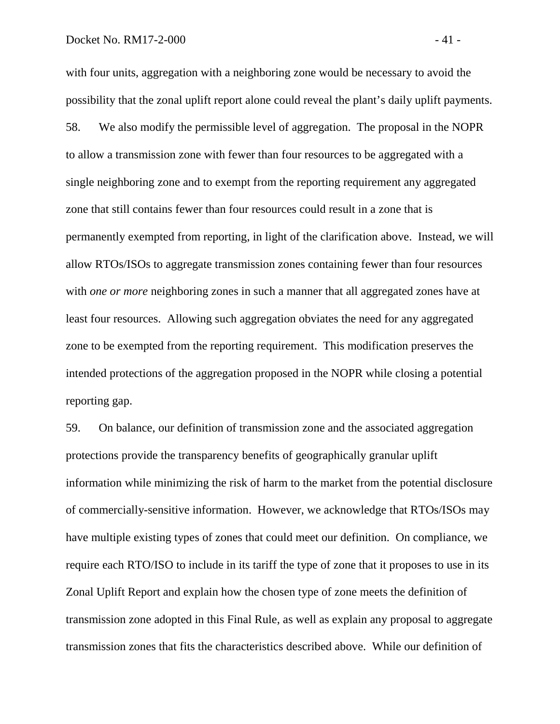with four units, aggregation with a neighboring zone would be necessary to avoid the possibility that the zonal uplift report alone could reveal the plant's daily uplift payments. 58. We also modify the permissible level of aggregation. The proposal in the NOPR to allow a transmission zone with fewer than four resources to be aggregated with a single neighboring zone and to exempt from the reporting requirement any aggregated zone that still contains fewer than four resources could result in a zone that is permanently exempted from reporting, in light of the clarification above. Instead, we will allow RTOs/ISOs to aggregate transmission zones containing fewer than four resources with *one or more* neighboring zones in such a manner that all aggregated zones have at least four resources. Allowing such aggregation obviates the need for any aggregated zone to be exempted from the reporting requirement. This modification preserves the intended protections of the aggregation proposed in the NOPR while closing a potential reporting gap.

59. On balance, our definition of transmission zone and the associated aggregation protections provide the transparency benefits of geographically granular uplift information while minimizing the risk of harm to the market from the potential disclosure of commercially-sensitive information. However, we acknowledge that RTOs/ISOs may have multiple existing types of zones that could meet our definition. On compliance, we require each RTO/ISO to include in its tariff the type of zone that it proposes to use in its Zonal Uplift Report and explain how the chosen type of zone meets the definition of transmission zone adopted in this Final Rule, as well as explain any proposal to aggregate transmission zones that fits the characteristics described above. While our definition of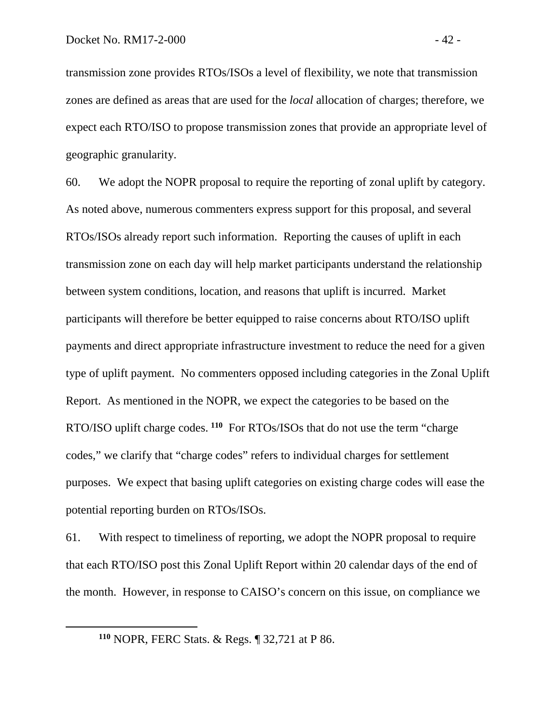transmission zone provides RTOs/ISOs a level of flexibility, we note that transmission zones are defined as areas that are used for the *local* allocation of charges; therefore, we expect each RTO/ISO to propose transmission zones that provide an appropriate level of geographic granularity.

60. We adopt the NOPR proposal to require the reporting of zonal uplift by category. As noted above, numerous commenters express support for this proposal, and several RTOs/ISOs already report such information. Reporting the causes of uplift in each transmission zone on each day will help market participants understand the relationship between system conditions, location, and reasons that uplift is incurred. Market participants will therefore be better equipped to raise concerns about RTO/ISO uplift payments and direct appropriate infrastructure investment to reduce the need for a given type of uplift payment. No commenters opposed including categories in the Zonal Uplift Report. As mentioned in the NOPR, we expect the categories to be based on the RTO/ISO uplift charge codes. **[110](#page-43-0)** For RTOs/ISOs that do not use the term "charge codes," we clarify that "charge codes" refers to individual charges for settlement purposes. We expect that basing uplift categories on existing charge codes will ease the potential reporting burden on RTOs/ISOs.

61. With respect to timeliness of reporting, we adopt the NOPR proposal to require that each RTO/ISO post this Zonal Uplift Report within 20 calendar days of the end of the month. However, in response to CAISO's concern on this issue, on compliance we

<span id="page-43-0"></span>**<sup>110</sup>** NOPR, FERC Stats. & Regs. ¶ 32,721 at P 86.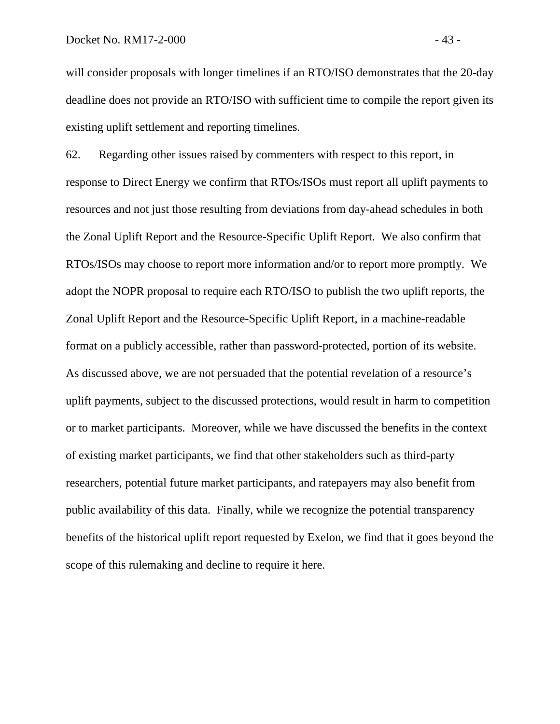will consider proposals with longer timelines if an RTO/ISO demonstrates that the 20-day deadline does not provide an RTO/ISO with sufficient time to compile the report given its existing uplift settlement and reporting timelines.

62. Regarding other issues raised by commenters with respect to this report, in response to Direct Energy we confirm that RTOs/ISOs must report all uplift payments to resources and not just those resulting from deviations from day-ahead schedules in both the Zonal Uplift Report and the Resource-Specific Uplift Report. We also confirm that RTOs/ISOs may choose to report more information and/or to report more promptly. We adopt the NOPR proposal to require each RTO/ISO to publish the two uplift reports, the Zonal Uplift Report and the Resource-Specific Uplift Report, in a machine-readable format on a publicly accessible, rather than password-protected, portion of its website. As discussed above, we are not persuaded that the potential revelation of a resource's uplift payments, subject to the discussed protections, would result in harm to competition or to market participants. Moreover, while we have discussed the benefits in the context of existing market participants, we find that other stakeholders such as third-party researchers, potential future market participants, and ratepayers may also benefit from public availability of this data. Finally, while we recognize the potential transparency benefits of the historical uplift report requested by Exelon, we find that it goes beyond the scope of this rulemaking and decline to require it here.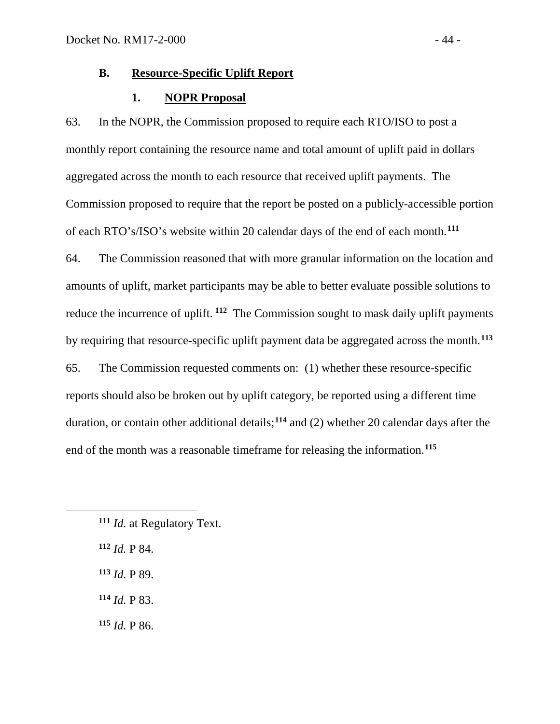## **B. Resource-Specific Uplift Report**

#### **1. NOPR Proposal**

63. In the NOPR, the Commission proposed to require each RTO/ISO to post a monthly report containing the resource name and total amount of uplift paid in dollars aggregated across the month to each resource that received uplift payments. The Commission proposed to require that the report be posted on a publicly-accessible portion of each RTO's/ISO's website within 20 calendar days of the end of each month. **[111](#page-45-0)** 64. The Commission reasoned that with more granular information on the location and amounts of uplift, market participants may be able to better evaluate possible solutions to reduce the incurrence of uplift. **[112](#page-45-1)** The Commission sought to mask daily uplift payments by requiring that resource-specific uplift payment data be aggregated across the month. **[113](#page-45-2)**

65. The Commission requested comments on: (1) whether these resource-specific reports should also be broken out by uplift category, be reported using a different time duration, or contain other additional details; **[114](#page-45-3)** and (2) whether 20 calendar days after the end of the month was a reasonable timeframe for releasing the information. **[115](#page-45-4)**

- <span id="page-45-2"></span>**<sup>113</sup>** *Id.* P 89.
- <span id="page-45-3"></span>**<sup>114</sup>** *Id.* P 83.
- <span id="page-45-4"></span>**<sup>115</sup>** *Id.* P 86.

<span id="page-45-0"></span>**<sup>111</sup>** *Id.* at Regulatory Text.

<span id="page-45-1"></span>**<sup>112</sup>** *Id.* P 84.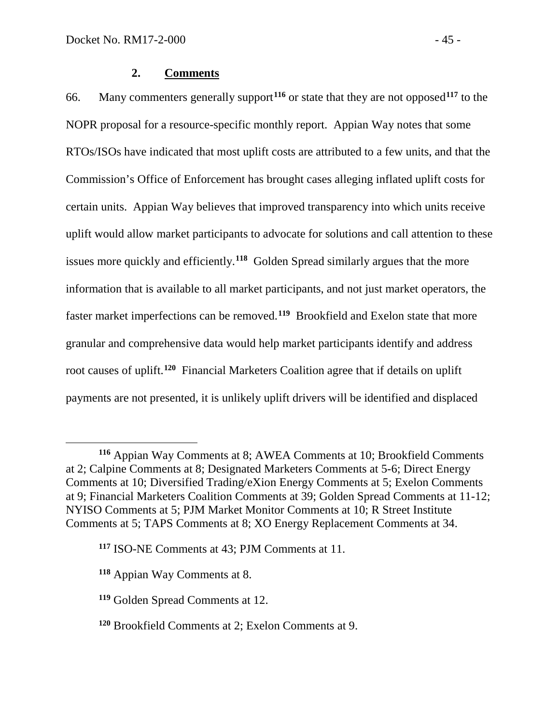# **2. Comments**

66. Many commenters generally support**[116](#page-46-0)** or state that they are not opposed**[117](#page-46-1)** to the NOPR proposal for a resource-specific monthly report. Appian Way notes that some RTOs/ISOs have indicated that most uplift costs are attributed to a few units, and that the Commission's Office of Enforcement has brought cases alleging inflated uplift costs for certain units. Appian Way believes that improved transparency into which units receive uplift would allow market participants to advocate for solutions and call attention to these issues more quickly and efficiently.**[118](#page-46-2)** Golden Spread similarly argues that the more information that is available to all market participants, and not just market operators, the faster market imperfections can be removed.**[119](#page-46-3)** Brookfield and Exelon state that more granular and comprehensive data would help market participants identify and address root causes of uplift.**[120](#page-46-4)** Financial Marketers Coalition agree that if details on uplift payments are not presented, it is unlikely uplift drivers will be identified and displaced

<span id="page-46-0"></span>**<sup>116</sup>** Appian Way Comments at 8; AWEA Comments at 10; Brookfield Comments at 2; Calpine Comments at 8; Designated Marketers Comments at 5-6; Direct Energy Comments at 10; Diversified Trading/eXion Energy Comments at 5; Exelon Comments at 9; Financial Marketers Coalition Comments at 39; Golden Spread Comments at 11-12; NYISO Comments at 5; PJM Market Monitor Comments at 10; R Street Institute Comments at 5; TAPS Comments at 8; XO Energy Replacement Comments at 34.

<span id="page-46-1"></span>**<sup>117</sup>** ISO-NE Comments at 43; PJM Comments at 11.

<span id="page-46-2"></span>**<sup>118</sup>** Appian Way Comments at 8.

<span id="page-46-3"></span>**<sup>119</sup>** Golden Spread Comments at 12.

<span id="page-46-4"></span>**<sup>120</sup>** Brookfield Comments at 2; Exelon Comments at 9.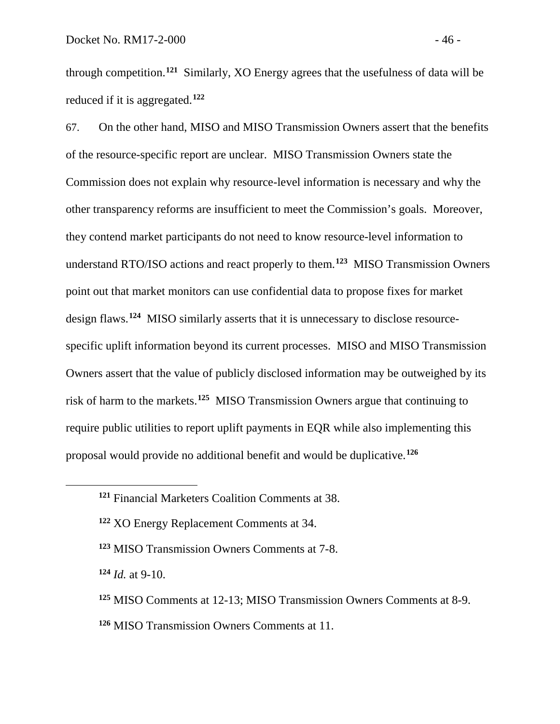through competition. **[121](#page-47-0)** Similarly, XO Energy agrees that the usefulness of data will be reduced if it is aggregated.**[122](#page-47-1)**

67. On the other hand, MISO and MISO Transmission Owners assert that the benefits of the resource-specific report are unclear. MISO Transmission Owners state the Commission does not explain why resource-level information is necessary and why the other transparency reforms are insufficient to meet the Commission's goals. Moreover, they contend market participants do not need to know resource-level information to understand RTO/ISO actions and react properly to them.**[123](#page-47-2)** MISO Transmission Owners point out that market monitors can use confidential data to propose fixes for market design flaws.**[124](#page-47-3)** MISO similarly asserts that it is unnecessary to disclose resourcespecific uplift information beyond its current processes. MISO and MISO Transmission Owners assert that the value of publicly disclosed information may be outweighed by its risk of harm to the markets. **[125](#page-47-4)** MISO Transmission Owners argue that continuing to require public utilities to report uplift payments in EQR while also implementing this proposal would provide no additional benefit and would be duplicative.**[126](#page-47-5)**

<span id="page-47-3"></span>**<sup>124</sup>** *Id.* at 9-10.

- <span id="page-47-4"></span>**<sup>125</sup>** MISO Comments at 12-13; MISO Transmission Owners Comments at 8-9.
- <span id="page-47-5"></span>**<sup>126</sup>** MISO Transmission Owners Comments at 11.

<span id="page-47-0"></span>**<sup>121</sup>** Financial Marketers Coalition Comments at 38.

<span id="page-47-1"></span>**<sup>122</sup>** XO Energy Replacement Comments at 34.

<span id="page-47-2"></span>**<sup>123</sup>** MISO Transmission Owners Comments at 7-8.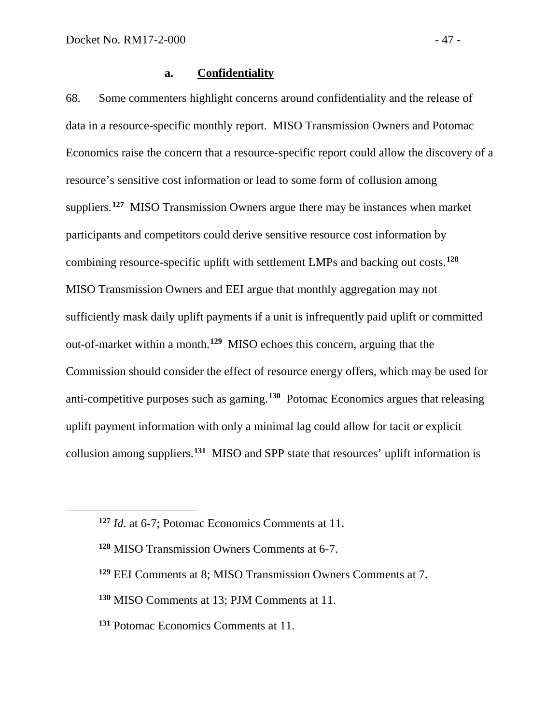<span id="page-48-2"></span><span id="page-48-1"></span><span id="page-48-0"></span> $\overline{a}$ 

# **a. Confidentiality**

68. Some commenters highlight concerns around confidentiality and the release of data in a resource-specific monthly report. MISO Transmission Owners and Potomac Economics raise the concern that a resource-specific report could allow the discovery of a resource's sensitive cost information or lead to some form of collusion among suppliers. **[127](#page-48-0)** MISO Transmission Owners argue there may be instances when market participants and competitors could derive sensitive resource cost information by combining resource-specific uplift with settlement LMPs and backing out costs.**[128](#page-48-1)** MISO Transmission Owners and EEI argue that monthly aggregation may not sufficiently mask daily uplift payments if a unit is infrequently paid uplift or committed out-of-market within a month.**[129](#page-48-2)** MISO echoes this concern, arguing that the Commission should consider the effect of resource energy offers, which may be used for anti-competitive purposes such as gaming.**[130](#page-48-3)** Potomac Economics argues that releasing uplift payment information with only a minimal lag could allow for tacit or explicit collusion among suppliers.**[131](#page-48-4)** MISO and SPP state that resources' uplift information is

- **<sup>129</sup>** EEI Comments at 8; MISO Transmission Owners Comments at 7.
- <span id="page-48-3"></span>**<sup>130</sup>** MISO Comments at 13; PJM Comments at 11.
- <span id="page-48-4"></span>**<sup>131</sup>** Potomac Economics Comments at 11.

**<sup>127</sup>** *Id.* at 6-7; Potomac Economics Comments at 11.

**<sup>128</sup>** MISO Transmission Owners Comments at 6-7.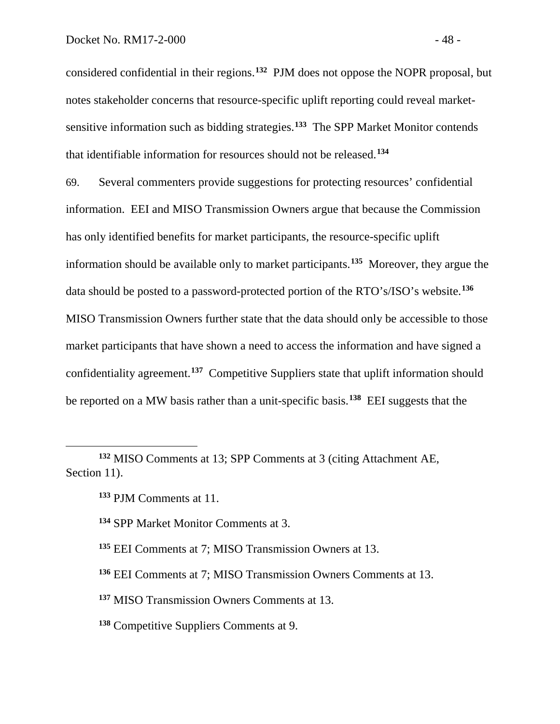considered confidential in their regions. **[132](#page-49-0)** PJM does not oppose the NOPR proposal, but notes stakeholder concerns that resource-specific uplift reporting could reveal marketsensitive information such as bidding strategies.**[133](#page-49-1)** The SPP Market Monitor contends that identifiable information for resources should not be released.**[134](#page-49-2)**

69. Several commenters provide suggestions for protecting resources' confidential information. EEI and MISO Transmission Owners argue that because the Commission has only identified benefits for market participants, the resource-specific uplift information should be available only to market participants. **[135](#page-49-3)** Moreover, they argue the data should be posted to a password-protected portion of the RTO's/ISO's website.**[136](#page-49-4)** MISO Transmission Owners further state that the data should only be accessible to those market participants that have shown a need to access the information and have signed a confidentiality agreement.**[137](#page-49-5)** Competitive Suppliers state that uplift information should be reported on a MW basis rather than a unit-specific basis.**[138](#page-49-6)** EEI suggests that the

<span id="page-49-2"></span><span id="page-49-1"></span><span id="page-49-0"></span>**<sup>132</sup>** MISO Comments at 13; SPP Comments at 3 (citing Attachment AE, Section 11).

- **<sup>134</sup>** SPP Market Monitor Comments at 3.
- <span id="page-49-3"></span>**<sup>135</sup>** EEI Comments at 7; MISO Transmission Owners at 13.
- <span id="page-49-4"></span>**<sup>136</sup>** EEI Comments at 7; MISO Transmission Owners Comments at 13.
- <span id="page-49-5"></span>**<sup>137</sup>** MISO Transmission Owners Comments at 13.
- <span id="page-49-6"></span>**<sup>138</sup>** Competitive Suppliers Comments at 9.

**<sup>133</sup>** PJM Comments at 11.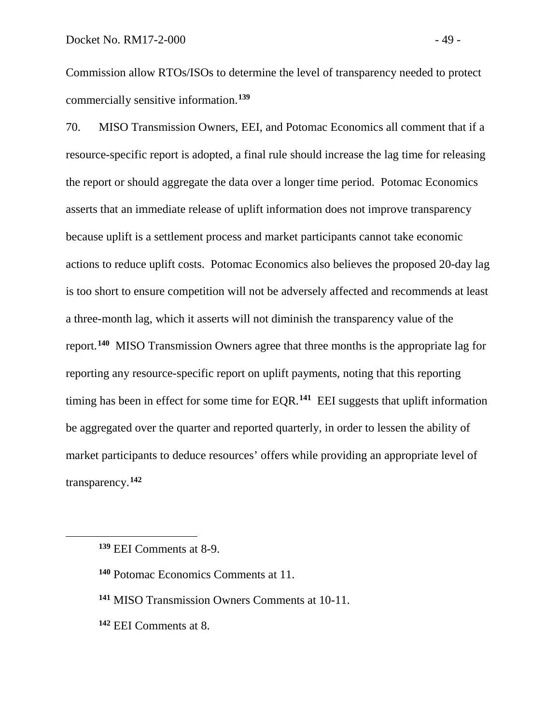Commission allow RTOs/ISOs to determine the level of transparency needed to protect commercially sensitive information.**[139](#page-50-0)**

70. MISO Transmission Owners, EEI, and Potomac Economics all comment that if a resource-specific report is adopted, a final rule should increase the lag time for releasing the report or should aggregate the data over a longer time period. Potomac Economics asserts that an immediate release of uplift information does not improve transparency because uplift is a settlement process and market participants cannot take economic actions to reduce uplift costs. Potomac Economics also believes the proposed 20-day lag is too short to ensure competition will not be adversely affected and recommends at least a three-month lag, which it asserts will not diminish the transparency value of the report. **[140](#page-50-1)** MISO Transmission Owners agree that three months is the appropriate lag for reporting any resource-specific report on uplift payments, noting that this reporting timing has been in effect for some time for EQR.**[141](#page-50-2)** EEI suggests that uplift information be aggregated over the quarter and reported quarterly, in order to lessen the ability of market participants to deduce resources' offers while providing an appropriate level of transparency.**[142](#page-50-3)**

- <span id="page-50-2"></span>**<sup>141</sup>** MISO Transmission Owners Comments at 10-11.
- <span id="page-50-3"></span>**<sup>142</sup>** EEI Comments at 8.

<span id="page-50-0"></span>**<sup>139</sup>** EEI Comments at 8-9.

<span id="page-50-1"></span>**<sup>140</sup>** Potomac Economics Comments at 11.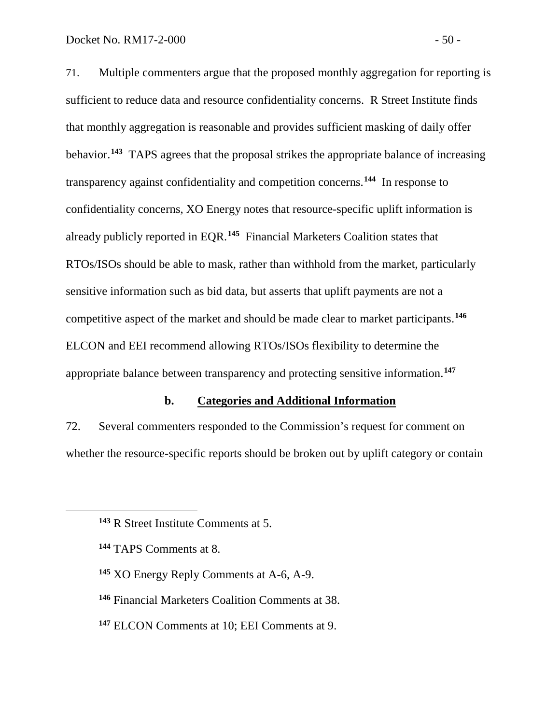71. Multiple commenters argue that the proposed monthly aggregation for reporting is sufficient to reduce data and resource confidentiality concerns. R Street Institute finds that monthly aggregation is reasonable and provides sufficient masking of daily offer behavior.**[143](#page-51-0)** TAPS agrees that the proposal strikes the appropriate balance of increasing transparency against confidentiality and competition concerns.**[144](#page-51-1)** In response to confidentiality concerns, XO Energy notes that resource-specific uplift information is already publicly reported in EQR.**[145](#page-51-2)** Financial Marketers Coalition states that RTOs/ISOs should be able to mask, rather than withhold from the market, particularly sensitive information such as bid data, but asserts that uplift payments are not a competitive aspect of the market and should be made clear to market participants. **[146](#page-51-3)** ELCON and EEI recommend allowing RTOs/ISOs flexibility to determine the appropriate balance between transparency and protecting sensitive information. **[147](#page-51-4)**

## **b. Categories and Additional Information**

72. Several commenters responded to the Commission's request for comment on whether the resource-specific reports should be broken out by uplift category or contain

- <span id="page-51-3"></span>**<sup>146</sup>** Financial Marketers Coalition Comments at 38.
- <span id="page-51-4"></span>**<sup>147</sup>** ELCON Comments at 10; EEI Comments at 9.

<span id="page-51-0"></span>**<sup>143</sup>** R Street Institute Comments at 5.

<span id="page-51-1"></span>**<sup>144</sup>** TAPS Comments at 8.

<span id="page-51-2"></span>**<sup>145</sup>** XO Energy Reply Comments at A-6, A-9.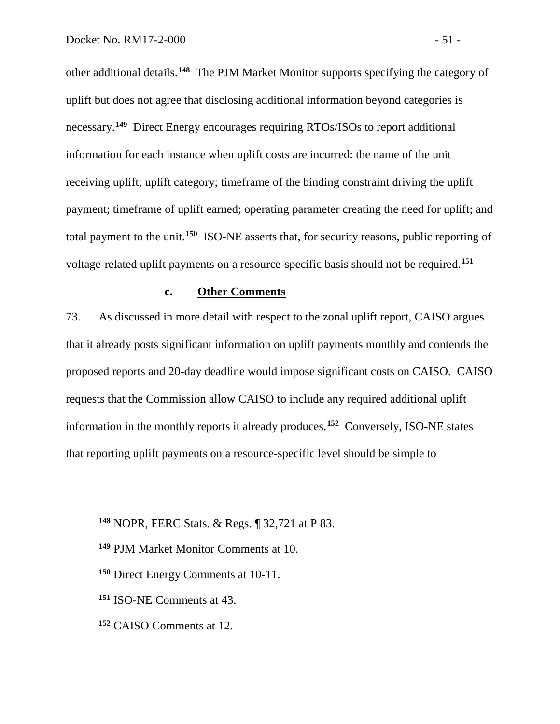other additional details. **[148](#page-52-0)** The PJM Market Monitor supports specifying the category of uplift but does not agree that disclosing additional information beyond categories is necessary. **[149](#page-52-1)** Direct Energy encourages requiring RTOs/ISOs to report additional information for each instance when uplift costs are incurred: the name of the unit receiving uplift; uplift category; timeframe of the binding constraint driving the uplift payment; timeframe of uplift earned; operating parameter creating the need for uplift; and total payment to the unit.**[150](#page-52-2)** ISO-NE asserts that, for security reasons, public reporting of voltage-related uplift payments on a resource-specific basis should not be required. **[151](#page-52-3)**

## **c. Other Comments**

73. As discussed in more detail with respect to the zonal uplift report, CAISO argues that it already posts significant information on uplift payments monthly and contends the proposed reports and 20-day deadline would impose significant costs on CAISO. CAISO requests that the Commission allow CAISO to include any required additional uplift information in the monthly reports it already produces.**[152](#page-52-4)** Conversely, ISO-NE states that reporting uplift payments on a resource-specific level should be simple to

- **<sup>149</sup>** PJM Market Monitor Comments at 10.
- **<sup>150</sup>** Direct Energy Comments at 10-11.
- <span id="page-52-3"></span>**<sup>151</sup>** ISO-NE Comments at 43.

<span id="page-52-2"></span><span id="page-52-1"></span><span id="page-52-0"></span> $\overline{a}$ 

<span id="page-52-5"></span><span id="page-52-4"></span>**<sup>152</sup>** CAISO Comments at 12.

**<sup>148</sup>** NOPR, FERC Stats. & Regs. ¶ 32,721 at P 83.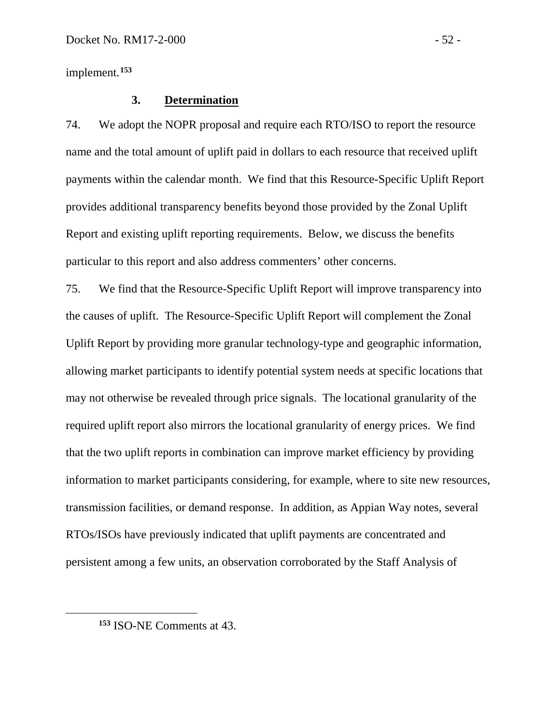implement.**[153](#page-52-5)**

#### **3. Determination**

74. We adopt the NOPR proposal and require each RTO/ISO to report the resource name and the total amount of uplift paid in dollars to each resource that received uplift payments within the calendar month. We find that this Resource-Specific Uplift Report provides additional transparency benefits beyond those provided by the Zonal Uplift Report and existing uplift reporting requirements. Below, we discuss the benefits particular to this report and also address commenters' other concerns.

75. We find that the Resource-Specific Uplift Report will improve transparency into the causes of uplift. The Resource-Specific Uplift Report will complement the Zonal Uplift Report by providing more granular technology-type and geographic information, allowing market participants to identify potential system needs at specific locations that may not otherwise be revealed through price signals. The locational granularity of the required uplift report also mirrors the locational granularity of energy prices. We find that the two uplift reports in combination can improve market efficiency by providing information to market participants considering, for example, where to site new resources, transmission facilities, or demand response. In addition, as Appian Way notes, several RTOs/ISOs have previously indicated that uplift payments are concentrated and persistent among a few units, an observation corroborated by the Staff Analysis of

**<sup>153</sup>** ISO-NE Comments at 43.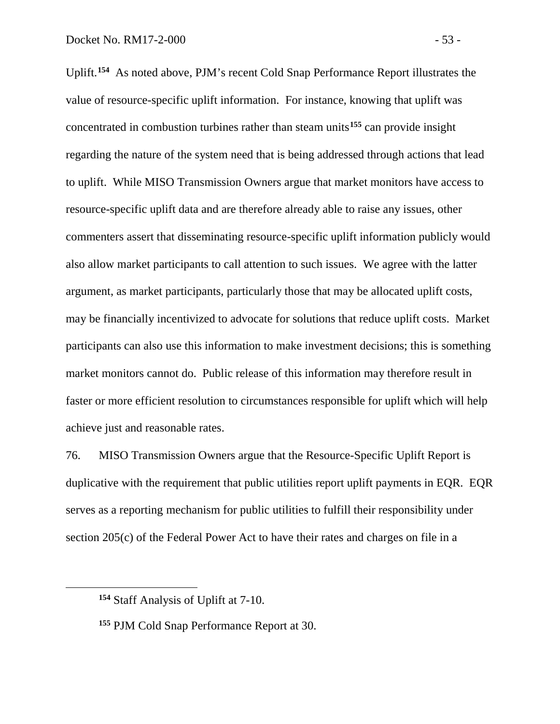Uplift. **[154](#page-54-0)** As noted above, PJM's recent Cold Snap Performance Report illustrates the value of resource-specific uplift information. For instance, knowing that uplift was concentrated in combustion turbines rather than steam units**[155](#page-54-1)** can provide insight regarding the nature of the system need that is being addressed through actions that lead to uplift. While MISO Transmission Owners argue that market monitors have access to resource-specific uplift data and are therefore already able to raise any issues, other commenters assert that disseminating resource-specific uplift information publicly would also allow market participants to call attention to such issues. We agree with the latter argument, as market participants, particularly those that may be allocated uplift costs, may be financially incentivized to advocate for solutions that reduce uplift costs. Market participants can also use this information to make investment decisions; this is something market monitors cannot do. Public release of this information may therefore result in faster or more efficient resolution to circumstances responsible for uplift which will help achieve just and reasonable rates.

76. MISO Transmission Owners argue that the Resource-Specific Uplift Report is duplicative with the requirement that public utilities report uplift payments in EQR. EQR serves as a reporting mechanism for public utilities to fulfill their responsibility under section 205(c) of the Federal Power Act to have their rates and charges on file in a

<span id="page-54-0"></span>**<sup>154</sup>** Staff Analysis of Uplift at 7-10.

<span id="page-54-1"></span>**<sup>155</sup>** PJM Cold Snap Performance Report at 30.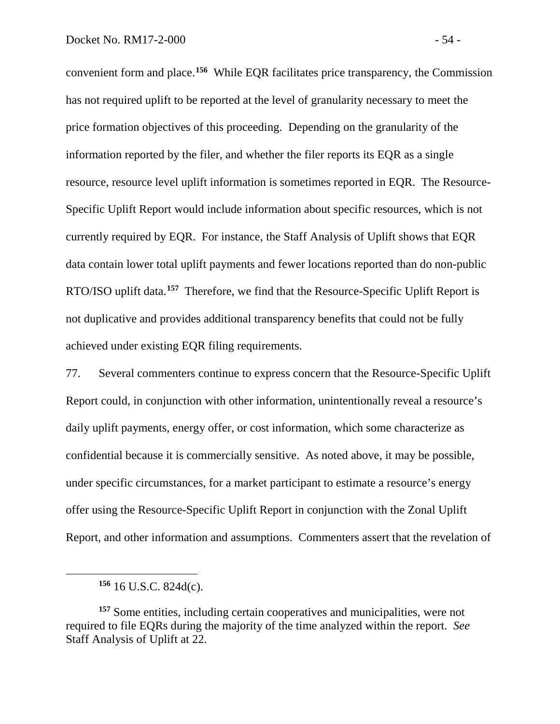convenient form and place.**[156](#page-55-0)** While EQR facilitates price transparency, the Commission has not required uplift to be reported at the level of granularity necessary to meet the price formation objectives of this proceeding. Depending on the granularity of the information reported by the filer, and whether the filer reports its EQR as a single resource, resource level uplift information is sometimes reported in EQR. The Resource-Specific Uplift Report would include information about specific resources, which is not currently required by EQR. For instance, the Staff Analysis of Uplift shows that EQR data contain lower total uplift payments and fewer locations reported than do non-public RTO/ISO uplift data. **[157](#page-55-1)** Therefore, we find that the Resource-Specific Uplift Report is not duplicative and provides additional transparency benefits that could not be fully achieved under existing EQR filing requirements.

77. Several commenters continue to express concern that the Resource-Specific Uplift Report could, in conjunction with other information, unintentionally reveal a resource's daily uplift payments, energy offer, or cost information, which some characterize as confidential because it is commercially sensitive. As noted above, it may be possible, under specific circumstances, for a market participant to estimate a resource's energy offer using the Resource-Specific Uplift Report in conjunction with the Zonal Uplift Report, and other information and assumptions. Commenters assert that the revelation of

**<sup>156</sup>** 16 U.S.C. 824d(c).

<span id="page-55-1"></span><span id="page-55-0"></span>**<sup>157</sup>** Some entities, including certain cooperatives and municipalities, were not required to file EQRs during the majority of the time analyzed within the report. *See*  Staff Analysis of Uplift at 22.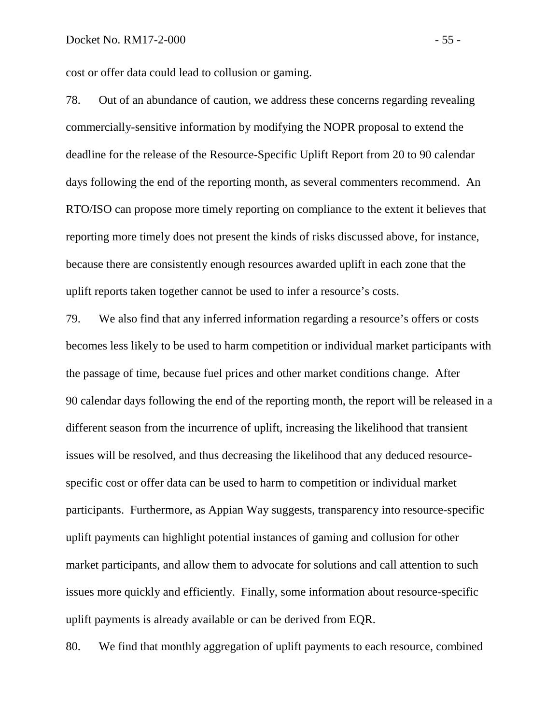cost or offer data could lead to collusion or gaming.

78. Out of an abundance of caution, we address these concerns regarding revealing commercially-sensitive information by modifying the NOPR proposal to extend the deadline for the release of the Resource-Specific Uplift Report from 20 to 90 calendar days following the end of the reporting month, as several commenters recommend. An RTO/ISO can propose more timely reporting on compliance to the extent it believes that reporting more timely does not present the kinds of risks discussed above, for instance, because there are consistently enough resources awarded uplift in each zone that the uplift reports taken together cannot be used to infer a resource's costs.

79. We also find that any inferred information regarding a resource's offers or costs becomes less likely to be used to harm competition or individual market participants with the passage of time, because fuel prices and other market conditions change. After 90 calendar days following the end of the reporting month, the report will be released in a different season from the incurrence of uplift, increasing the likelihood that transient issues will be resolved, and thus decreasing the likelihood that any deduced resourcespecific cost or offer data can be used to harm to competition or individual market participants. Furthermore, as Appian Way suggests, transparency into resource-specific uplift payments can highlight potential instances of gaming and collusion for other market participants, and allow them to advocate for solutions and call attention to such issues more quickly and efficiently. Finally, some information about resource-specific uplift payments is already available or can be derived from EQR.

80. We find that monthly aggregation of uplift payments to each resource, combined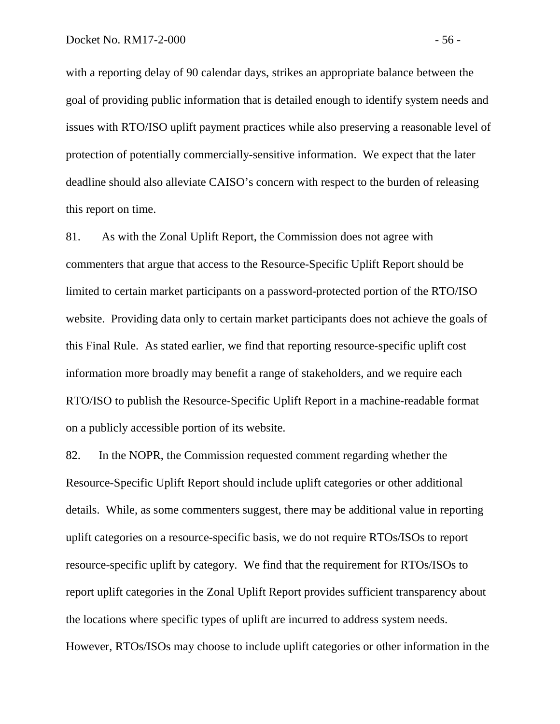with a reporting delay of 90 calendar days, strikes an appropriate balance between the goal of providing public information that is detailed enough to identify system needs and issues with RTO/ISO uplift payment practices while also preserving a reasonable level of protection of potentially commercially-sensitive information. We expect that the later deadline should also alleviate CAISO's concern with respect to the burden of releasing this report on time.

81. As with the Zonal Uplift Report, the Commission does not agree with commenters that argue that access to the Resource-Specific Uplift Report should be limited to certain market participants on a password-protected portion of the RTO/ISO website. Providing data only to certain market participants does not achieve the goals of this Final Rule. As stated earlier, we find that reporting resource-specific uplift cost information more broadly may benefit a range of stakeholders, and we require each RTO/ISO to publish the Resource-Specific Uplift Report in a machine-readable format on a publicly accessible portion of its website.

82. In the NOPR, the Commission requested comment regarding whether the Resource-Specific Uplift Report should include uplift categories or other additional details. While, as some commenters suggest, there may be additional value in reporting uplift categories on a resource-specific basis, we do not require RTOs/ISOs to report resource-specific uplift by category. We find that the requirement for RTOs/ISOs to report uplift categories in the Zonal Uplift Report provides sufficient transparency about the locations where specific types of uplift are incurred to address system needs. However, RTOs/ISOs may choose to include uplift categories or other information in the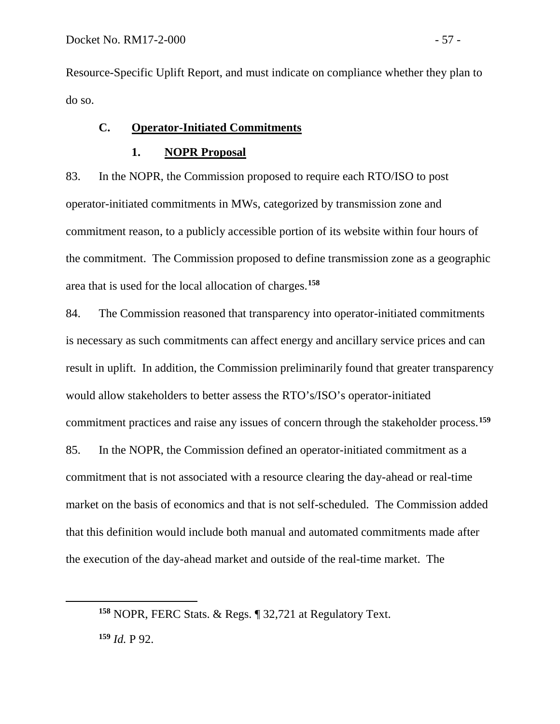<span id="page-58-1"></span><span id="page-58-0"></span> $\overline{a}$ 

Resource-Specific Uplift Report, and must indicate on compliance whether they plan to do so.

# **C. Operator-Initiated Commitments**

### **1. NOPR Proposal**

83. In the NOPR, the Commission proposed to require each RTO/ISO to post operator-initiated commitments in MWs, categorized by transmission zone and commitment reason, to a publicly accessible portion of its website within four hours of the commitment. The Commission proposed to define transmission zone as a geographic area that is used for the local allocation of charges. **[158](#page-58-0)**

84. The Commission reasoned that transparency into operator-initiated commitments is necessary as such commitments can affect energy and ancillary service prices and can result in uplift. In addition, the Commission preliminarily found that greater transparency would allow stakeholders to better assess the RTO's/ISO's operator-initiated commitment practices and raise any issues of concern through the stakeholder process.**[159](#page-58-1)**

85. In the NOPR, the Commission defined an operator-initiated commitment as a commitment that is not associated with a resource clearing the day-ahead or real-time market on the basis of economics and that is not self-scheduled. The Commission added that this definition would include both manual and automated commitments made after the execution of the day-ahead market and outside of the real-time market. The

**<sup>158</sup>** NOPR, FERC Stats. & Regs. ¶ 32,721 at Regulatory Text. **<sup>159</sup>** *Id.* P 92.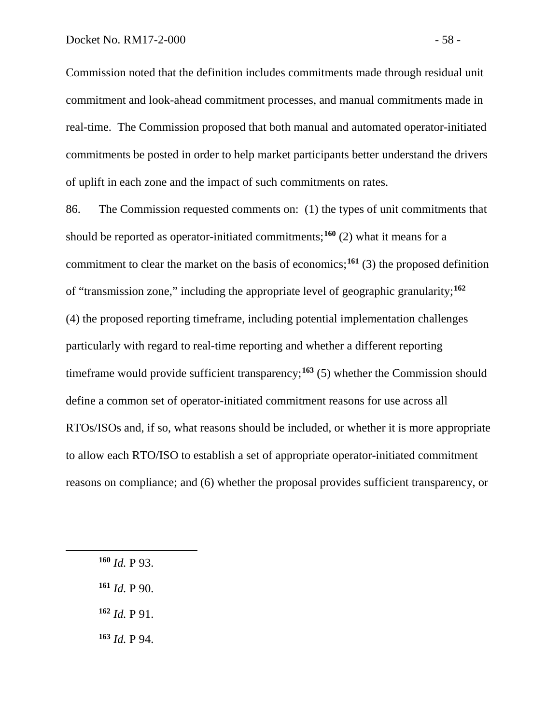Commission noted that the definition includes commitments made through residual unit commitment and look-ahead commitment processes, and manual commitments made in real-time. The Commission proposed that both manual and automated operator-initiated commitments be posted in order to help market participants better understand the drivers of uplift in each zone and the impact of such commitments on rates.

86. The Commission requested comments on: (1) the types of unit commitments that should be reported as operator-initiated commitments; **[160](#page-59-0)** (2) what it means for a commitment to clear the market on the basis of economics; **[161](#page-59-1)** (3) the proposed definition of "transmission zone," including the appropriate level of geographic granularity; **[162](#page-59-2)** (4) the proposed reporting timeframe, including potential implementation challenges particularly with regard to real-time reporting and whether a different reporting timeframe would provide sufficient transparency;<sup>[163](#page-59-3)</sup> (5) whether the Commission should define a common set of operator-initiated commitment reasons for use across all RTOs/ISOs and, if so, what reasons should be included, or whether it is more appropriate to allow each RTO/ISO to establish a set of appropriate operator-initiated commitment reasons on compliance; and (6) whether the proposal provides sufficient transparency, or

**<sup>160</sup>** *Id.* P 93.

<span id="page-59-2"></span><span id="page-59-1"></span><span id="page-59-0"></span> $\overline{a}$ 

**<sup>161</sup>** *Id.* P 90.

**<sup>162</sup>** *Id.* P 91.

<span id="page-59-3"></span>**<sup>163</sup>** *Id.* P 94.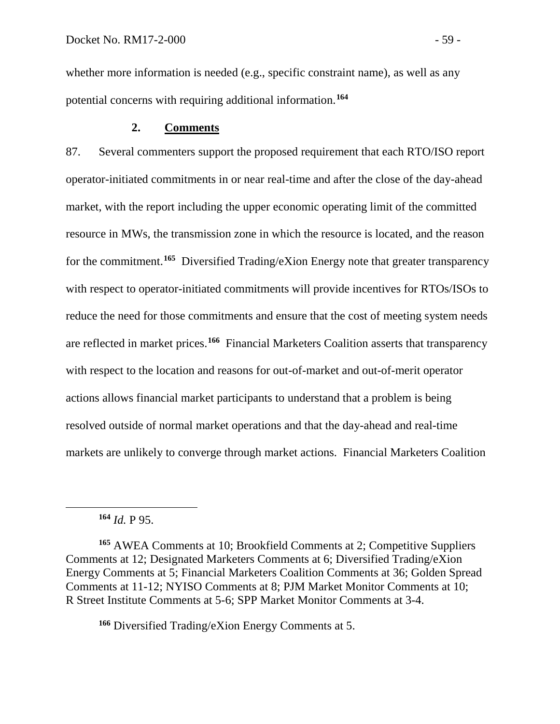whether more information is needed (e.g., specific constraint name), as well as any potential concerns with requiring additional information.**[164](#page-60-0)**

# **2. Comments**

87. Several commenters support the proposed requirement that each RTO/ISO report operator-initiated commitments in or near real-time and after the close of the day-ahead market, with the report including the upper economic operating limit of the committed resource in MWs, the transmission zone in which the resource is located, and the reason for the commitment.**[165](#page-60-1)** Diversified Trading/eXion Energy note that greater transparency with respect to operator-initiated commitments will provide incentives for RTOs/ISOs to reduce the need for those commitments and ensure that the cost of meeting system needs are reflected in market prices.**[166](#page-60-2)** Financial Marketers Coalition asserts that transparency with respect to the location and reasons for out-of-market and out-of-merit operator actions allows financial market participants to understand that a problem is being resolved outside of normal market operations and that the day-ahead and real-time markets are unlikely to converge through market actions. Financial Marketers Coalition

**<sup>164</sup>** *Id.* P 95.

<span id="page-60-0"></span> $\overline{a}$ 

<span id="page-60-1"></span>**<sup>165</sup>** AWEA Comments at 10; Brookfield Comments at 2; Competitive Suppliers Comments at 12; Designated Marketers Comments at 6; Diversified Trading/eXion Energy Comments at 5; Financial Marketers Coalition Comments at 36; Golden Spread Comments at 11-12; NYISO Comments at 8; PJM Market Monitor Comments at 10; R Street Institute Comments at 5-6; SPP Market Monitor Comments at 3-4.

<span id="page-60-2"></span>**<sup>166</sup>** Diversified Trading/eXion Energy Comments at 5.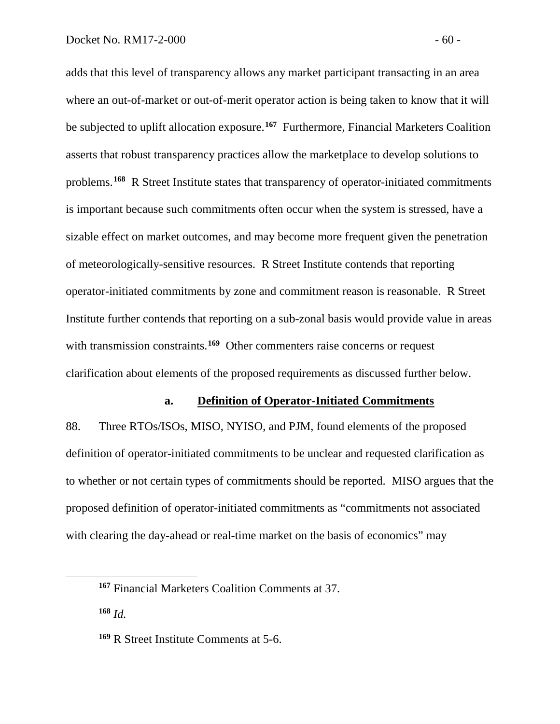adds that this level of transparency allows any market participant transacting in an area where an out-of-market or out-of-merit operator action is being taken to know that it will be subjected to uplift allocation exposure.**[167](#page-61-0)** Furthermore, Financial Marketers Coalition asserts that robust transparency practices allow the marketplace to develop solutions to problems.**[168](#page-61-1)** R Street Institute states that transparency of operator-initiated commitments is important because such commitments often occur when the system is stressed, have a sizable effect on market outcomes, and may become more frequent given the penetration of meteorologically-sensitive resources. R Street Institute contends that reporting operator-initiated commitments by zone and commitment reason is reasonable. R Street Institute further contends that reporting on a sub-zonal basis would provide value in areas with transmission constraints.<sup>[169](#page-61-2)</sup> Other commenters raise concerns or request clarification about elements of the proposed requirements as discussed further below.

#### **a. Definition of Operator-Initiated Commitments**

88. Three RTOs/ISOs, MISO, NYISO, and PJM, found elements of the proposed definition of operator-initiated commitments to be unclear and requested clarification as to whether or not certain types of commitments should be reported. MISO argues that the proposed definition of operator-initiated commitments as "commitments not associated with clearing the day-ahead or real-time market on the basis of economics" may

<span id="page-61-1"></span>**<sup>168</sup>** *Id.*

<span id="page-61-0"></span>**<sup>167</sup>** Financial Marketers Coalition Comments at 37.

<span id="page-61-2"></span>**<sup>169</sup>** R Street Institute Comments at 5-6.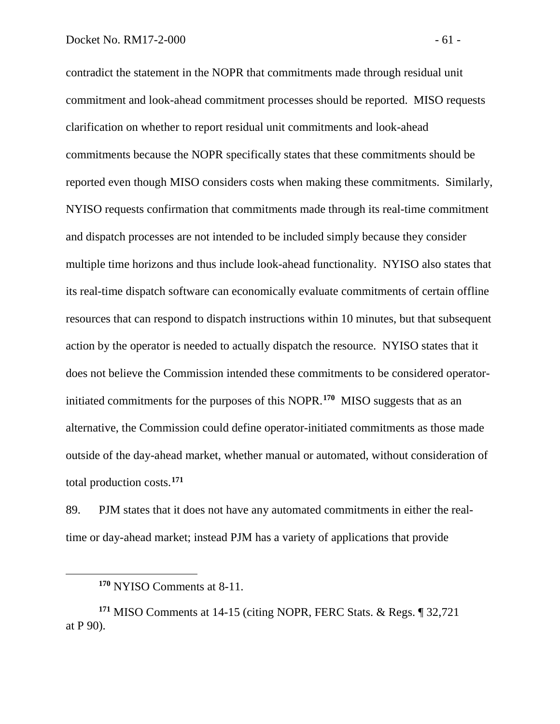contradict the statement in the NOPR that commitments made through residual unit commitment and look-ahead commitment processes should be reported. MISO requests clarification on whether to report residual unit commitments and look-ahead commitments because the NOPR specifically states that these commitments should be reported even though MISO considers costs when making these commitments. Similarly, NYISO requests confirmation that commitments made through its real-time commitment and dispatch processes are not intended to be included simply because they consider multiple time horizons and thus include look-ahead functionality. NYISO also states that its real-time dispatch software can economically evaluate commitments of certain offline resources that can respond to dispatch instructions within 10 minutes, but that subsequent action by the operator is needed to actually dispatch the resource. NYISO states that it does not believe the Commission intended these commitments to be considered operatorinitiated commitments for the purposes of this NOPR.**[170](#page-62-0)** MISO suggests that as an alternative, the Commission could define operator-initiated commitments as those made outside of the day-ahead market, whether manual or automated, without consideration of total production costs. **[171](#page-62-1)**

89. PJM states that it does not have any automated commitments in either the realtime or day-ahead market; instead PJM has a variety of applications that provide

**<sup>170</sup>** NYISO Comments at 8-11.

<span id="page-62-1"></span><span id="page-62-0"></span>**<sup>171</sup>** MISO Comments at 14-15 (citing NOPR, FERC Stats. & Regs. ¶ 32,721 at P 90).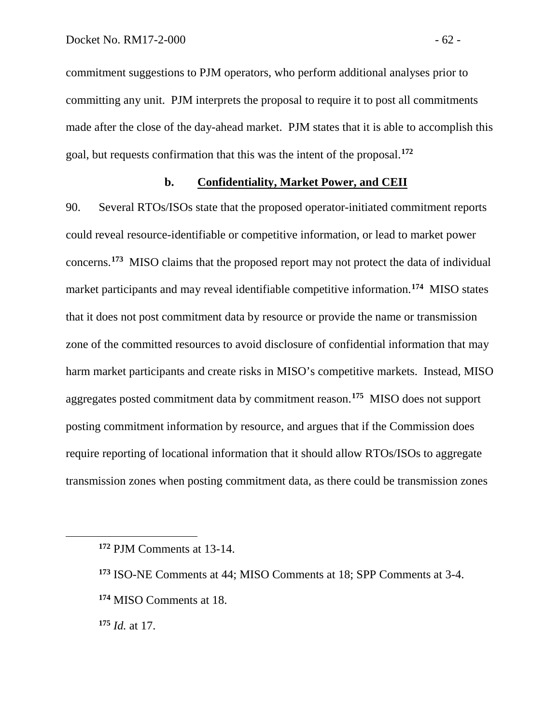commitment suggestions to PJM operators, who perform additional analyses prior to committing any unit. PJM interprets the proposal to require it to post all commitments made after the close of the day-ahead market. PJM states that it is able to accomplish this goal, but requests confirmation that this was the intent of the proposal.**[172](#page-63-0)**

# **b. Confidentiality, Market Power, and CEII**

90. Several RTOs/ISOs state that the proposed operator-initiated commitment reports could reveal resource-identifiable or competitive information, or lead to market power concerns.**[173](#page-63-1)** MISO claims that the proposed report may not protect the data of individual market participants and may reveal identifiable competitive information.**[174](#page-63-2)** MISO states that it does not post commitment data by resource or provide the name or transmission zone of the committed resources to avoid disclosure of confidential information that may harm market participants and create risks in MISO's competitive markets. Instead, MISO aggregates posted commitment data by commitment reason.**[175](#page-63-3)** MISO does not support posting commitment information by resource, and argues that if the Commission does require reporting of locational information that it should allow RTOs/ISOs to aggregate transmission zones when posting commitment data, as there could be transmission zones

<span id="page-63-3"></span>**<sup>175</sup>** *Id.* at 17.

<span id="page-63-0"></span>**<sup>172</sup>** PJM Comments at 13-14.

<span id="page-63-1"></span>**<sup>173</sup>** ISO-NE Comments at 44; MISO Comments at 18; SPP Comments at 3-4.

<span id="page-63-2"></span>**<sup>174</sup>** MISO Comments at 18.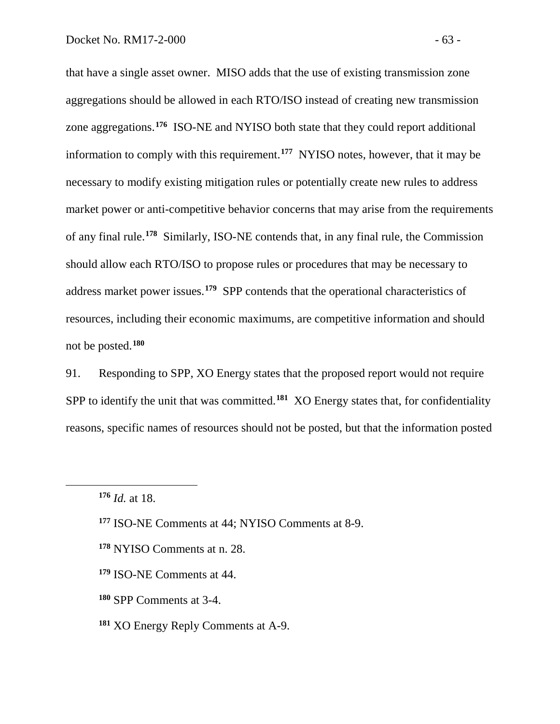that have a single asset owner. MISO adds that the use of existing transmission zone aggregations should be allowed in each RTO/ISO instead of creating new transmission zone aggregations.**[176](#page-64-0)** ISO-NE and NYISO both state that they could report additional information to comply with this requirement.**[177](#page-64-1)** NYISO notes, however, that it may be necessary to modify existing mitigation rules or potentially create new rules to address market power or anti-competitive behavior concerns that may arise from the requirements of any final rule.**[178](#page-64-2)** Similarly, ISO-NE contends that, in any final rule, the Commission should allow each RTO/ISO to propose rules or procedures that may be necessary to address market power issues. **[179](#page-64-3)** SPP contends that the operational characteristics of resources, including their economic maximums, are competitive information and should not be posted.**[180](#page-64-4)**

91. Responding to SPP, XO Energy states that the proposed report would not require SPP to identify the unit that was committed.**[181](#page-64-5)** XO Energy states that, for confidentiality reasons, specific names of resources should not be posted, but that the information posted

- <span id="page-64-4"></span>**<sup>180</sup>** SPP Comments at 3-4.
- <span id="page-64-5"></span>**<sup>181</sup>** XO Energy Reply Comments at A-9.

<span id="page-64-0"></span>**<sup>176</sup>** *Id.* at 18.

<span id="page-64-1"></span>**<sup>177</sup>** ISO-NE Comments at 44; NYISO Comments at 8-9.

<span id="page-64-2"></span>**<sup>178</sup>** NYISO Comments at n. 28.

<span id="page-64-3"></span>**<sup>179</sup>** ISO-NE Comments at 44.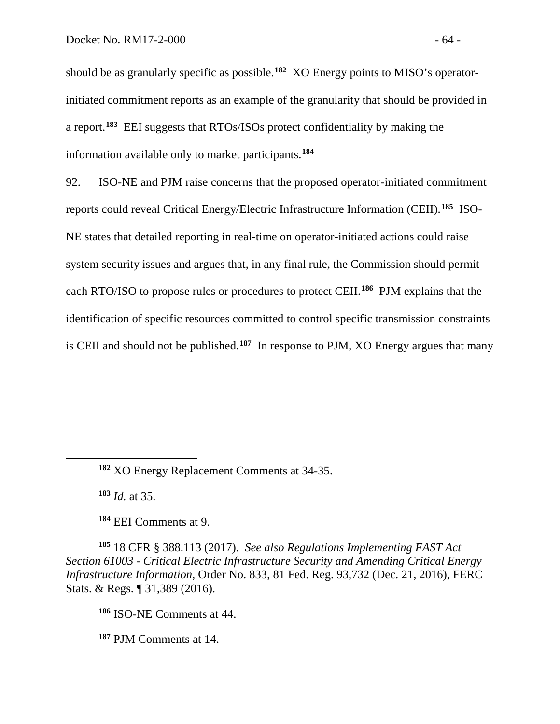should be as granularly specific as possible.**[182](#page-65-0)** XO Energy points to MISO's operatorinitiated commitment reports as an example of the granularity that should be provided in a report.**[183](#page-65-1)** EEI suggests that RTOs/ISOs protect confidentiality by making the information available only to market participants.**[184](#page-65-2)**

92. ISO-NE and PJM raise concerns that the proposed operator-initiated commitment reports could reveal Critical Energy/Electric Infrastructure Information (CEII). **[185](#page-65-3)** ISO-NE states that detailed reporting in real-time on operator-initiated actions could raise system security issues and argues that, in any final rule, the Commission should permit each RTO/ISO to propose rules or procedures to protect CEII.**[186](#page-65-4)** PJM explains that the identification of specific resources committed to control specific transmission constraints is CEII and should not be published.**[187](#page-65-5)** In response to PJM, XO Energy argues that many

**<sup>183</sup>** *Id.* at 35.

<span id="page-65-1"></span><span id="page-65-0"></span> $\overline{a}$ 

**<sup>184</sup>** EEI Comments at 9.

<span id="page-65-4"></span><span id="page-65-3"></span><span id="page-65-2"></span>**<sup>185</sup>** 18 CFR § 388.113 (2017). *See also Regulations Implementing FAST Act Section 61003 - Critical Electric Infrastructure Security and Amending Critical Energy Infrastructure Information*, Order No. 833, 81 Fed. Reg. 93,732 (Dec. 21, 2016), FERC Stats. & Regs. ¶ 31,389 (2016).

**<sup>186</sup>** ISO-NE Comments at 44.

<span id="page-65-5"></span>**<sup>187</sup>** PJM Comments at 14.

**<sup>182</sup>** XO Energy Replacement Comments at 34-35.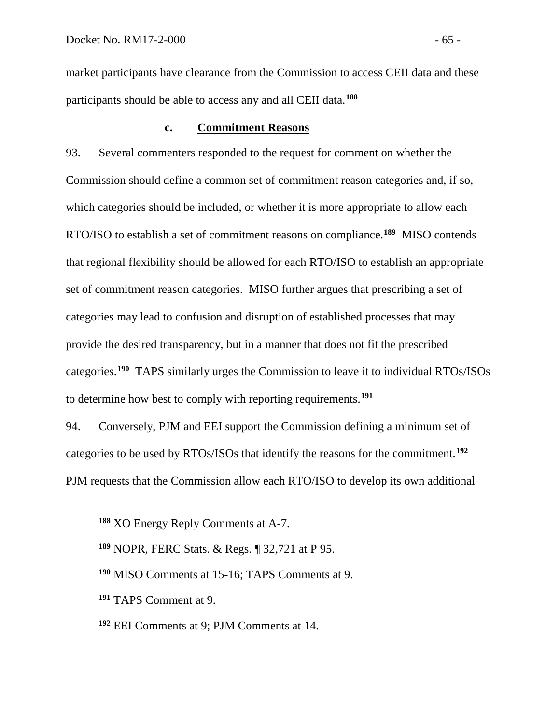market participants have clearance from the Commission to access CEII data and these participants should be able to access any and all CEII data.**[188](#page-66-0)**

# **c. Commitment Reasons**

93. Several commenters responded to the request for comment on whether the Commission should define a common set of commitment reason categories and, if so, which categories should be included, or whether it is more appropriate to allow each RTO/ISO to establish a set of commitment reasons on compliance.**[189](#page-66-1)** MISO contends that regional flexibility should be allowed for each RTO/ISO to establish an appropriate set of commitment reason categories. MISO further argues that prescribing a set of categories may lead to confusion and disruption of established processes that may provide the desired transparency, but in a manner that does not fit the prescribed categories.**[190](#page-66-2)** TAPS similarly urges the Commission to leave it to individual RTOs/ISOs to determine how best to comply with reporting requirements.**[191](#page-66-3)**

94. Conversely, PJM and EEI support the Commission defining a minimum set of categories to be used by RTOs/ISOs that identify the reasons for the commitment.**[192](#page-66-4)** PJM requests that the Commission allow each RTO/ISO to develop its own additional

- **<sup>190</sup>** MISO Comments at 15-16; TAPS Comments at 9.
- <span id="page-66-3"></span>**<sup>191</sup>** TAPS Comment at 9.

<span id="page-66-2"></span><span id="page-66-1"></span><span id="page-66-0"></span> $\overline{a}$ 

<span id="page-66-4"></span>**<sup>192</sup>** EEI Comments at 9; PJM Comments at 14.

**<sup>188</sup>** XO Energy Reply Comments at A-7.

**<sup>189</sup>** NOPR, FERC Stats. & Regs. ¶ 32,721 at P 95.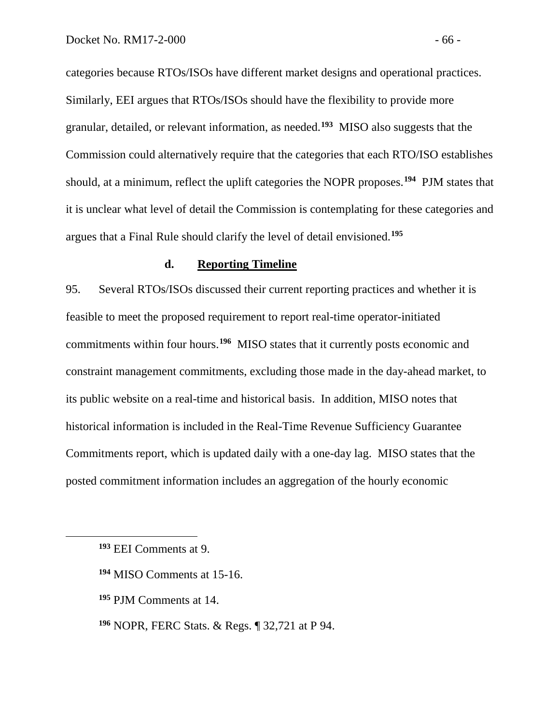categories because RTOs/ISOs have different market designs and operational practices. Similarly, EEI argues that RTOs/ISOs should have the flexibility to provide more granular, detailed, or relevant information, as needed.**[193](#page-67-0)** MISO also suggests that the Commission could alternatively require that the categories that each RTO/ISO establishes should, at a minimum, reflect the uplift categories the NOPR proposes. **[194](#page-67-1)** PJM states that it is unclear what level of detail the Commission is contemplating for these categories and argues that a Final Rule should clarify the level of detail envisioned.**[195](#page-67-2)**

#### **d. Reporting Timeline**

95. Several RTOs/ISOs discussed their current reporting practices and whether it is feasible to meet the proposed requirement to report real-time operator-initiated commitments within four hours. **[196](#page-67-3)** MISO states that it currently posts economic and constraint management commitments, excluding those made in the day-ahead market, to its public website on a real-time and historical basis. In addition, MISO notes that historical information is included in the Real-Time Revenue Sufficiency Guarantee Commitments report, which is updated daily with a one-day lag. MISO states that the posted commitment information includes an aggregation of the hourly economic

<span id="page-67-2"></span><span id="page-67-1"></span><span id="page-67-0"></span> $\overline{a}$ 

**<sup>195</sup>** PJM Comments at 14.

<span id="page-67-3"></span>**<sup>196</sup>** NOPR, FERC Stats. & Regs. ¶ 32,721 at P 94.

**<sup>193</sup>** EEI Comments at 9.

**<sup>194</sup>** MISO Comments at 15-16.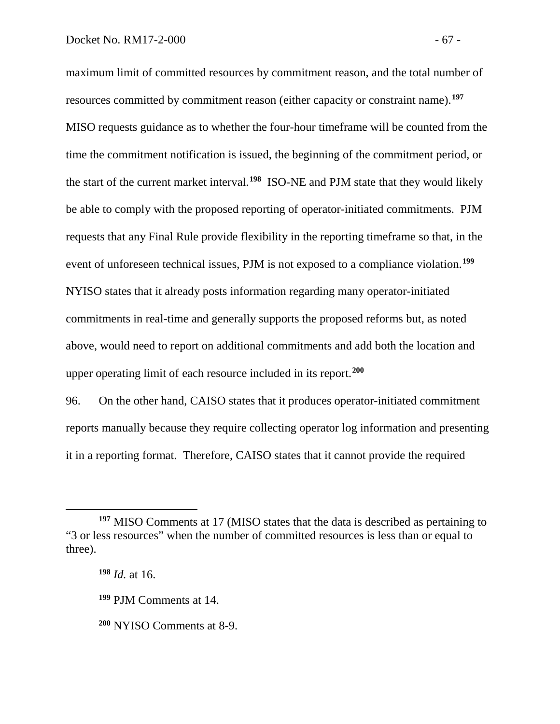maximum limit of committed resources by commitment reason, and the total number of resources committed by commitment reason (either capacity or constraint name).**[197](#page-68-0)** MISO requests guidance as to whether the four-hour timeframe will be counted from the time the commitment notification is issued, the beginning of the commitment period, or the start of the current market interval.**[198](#page-68-1)** ISO-NE and PJM state that they would likely be able to comply with the proposed reporting of operator-initiated commitments. PJM requests that any Final Rule provide flexibility in the reporting timeframe so that, in the event of unforeseen technical issues, PJM is not exposed to a compliance violation.**[199](#page-68-2)** NYISO states that it already posts information regarding many operator-initiated commitments in real-time and generally supports the proposed reforms but, as noted above, would need to report on additional commitments and add both the location and upper operating limit of each resource included in its report. **[200](#page-68-3)**

96. On the other hand, CAISO states that it produces operator-initiated commitment reports manually because they require collecting operator log information and presenting it in a reporting format. Therefore, CAISO states that it cannot provide the required

<span id="page-68-1"></span><span id="page-68-0"></span>**<sup>197</sup>** MISO Comments at 17 (MISO states that the data is described as pertaining to "3 or less resources" when the number of committed resources is less than or equal to three).

**<sup>198</sup>** *Id.* at 16.

<span id="page-68-2"></span>**<sup>199</sup>** PJM Comments at 14.

<span id="page-68-3"></span>**<sup>200</sup>** NYISO Comments at 8-9.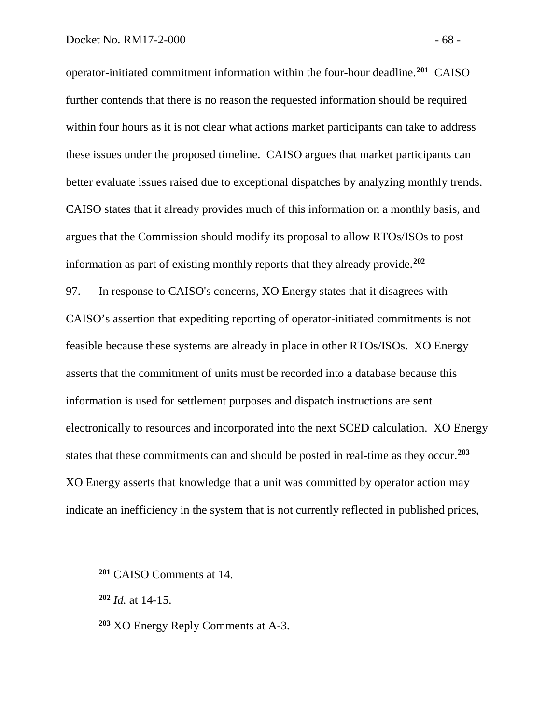operator-initiated commitment information within the four-hour deadline.**[201](#page-69-0)** CAISO further contends that there is no reason the requested information should be required within four hours as it is not clear what actions market participants can take to address these issues under the proposed timeline. CAISO argues that market participants can better evaluate issues raised due to exceptional dispatches by analyzing monthly trends. CAISO states that it already provides much of this information on a monthly basis, and argues that the Commission should modify its proposal to allow RTOs/ISOs to post information as part of existing monthly reports that they already provide.**[202](#page-69-1)**

97. In response to CAISO's concerns, XO Energy states that it disagrees with CAISO's assertion that expediting reporting of operator-initiated commitments is not feasible because these systems are already in place in other RTOs/ISOs. XO Energy asserts that the commitment of units must be recorded into a database because this information is used for settlement purposes and dispatch instructions are sent electronically to resources and incorporated into the next SCED calculation. XO Energy states that these commitments can and should be posted in real-time as they occur.**[203](#page-69-2)** XO Energy asserts that knowledge that a unit was committed by operator action may indicate an inefficiency in the system that is not currently reflected in published prices,

<span id="page-69-0"></span>**<sup>201</sup>** CAISO Comments at 14.

<span id="page-69-1"></span>**<sup>202</sup>** *Id.* at 14-15.

<span id="page-69-2"></span>**<sup>203</sup>** XO Energy Reply Comments at A-3.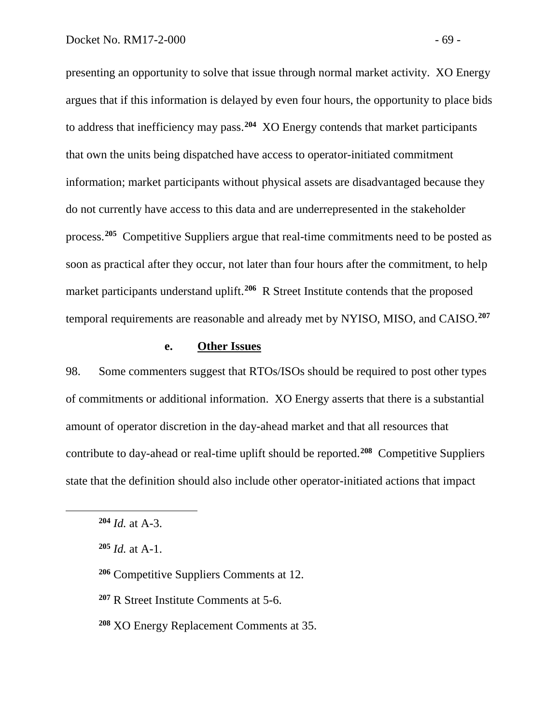presenting an opportunity to solve that issue through normal market activity. XO Energy argues that if this information is delayed by even four hours, the opportunity to place bids to address that inefficiency may pass.**[204](#page-70-0)** XO Energy contends that market participants that own the units being dispatched have access to operator-initiated commitment information; market participants without physical assets are disadvantaged because they do not currently have access to this data and are underrepresented in the stakeholder process.**[205](#page-70-1)** Competitive Suppliers argue that real-time commitments need to be posted as soon as practical after they occur, not later than four hours after the commitment, to help market participants understand uplift.<sup>[206](#page-70-2)</sup> R Street Institute contends that the proposed temporal requirements are reasonable and already met by NYISO, MISO, and CAISO.**[207](#page-70-3)**

#### **e. Other Issues**

98. Some commenters suggest that RTOs/ISOs should be required to post other types of commitments or additional information. XO Energy asserts that there is a substantial amount of operator discretion in the day-ahead market and that all resources that contribute to day-ahead or real-time uplift should be reported.**[208](#page-70-4)** Competitive Suppliers state that the definition should also include other operator-initiated actions that impact

- <span id="page-70-2"></span>**<sup>206</sup>** Competitive Suppliers Comments at 12.
- <span id="page-70-3"></span>**<sup>207</sup>** R Street Institute Comments at 5-6.
- <span id="page-70-4"></span>**<sup>208</sup>** XO Energy Replacement Comments at 35.

<span id="page-70-0"></span>**<sup>204</sup>** *Id.* at A-3.

<span id="page-70-1"></span>**<sup>205</sup>** *Id.* at A-1.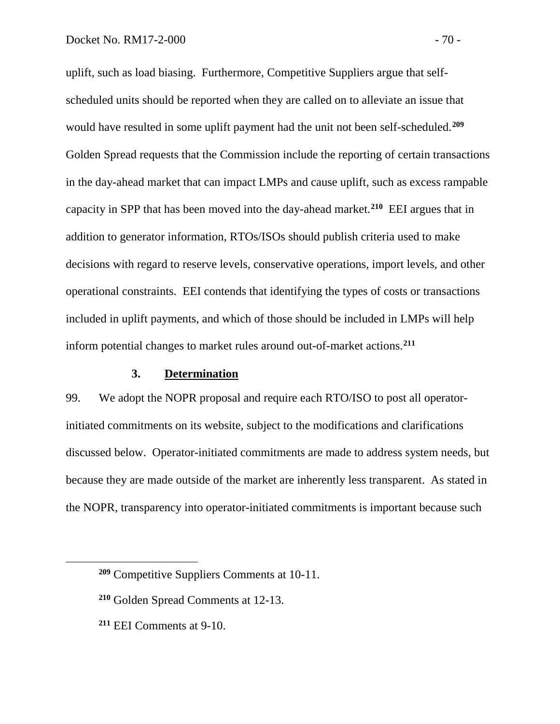uplift, such as load biasing. Furthermore, Competitive Suppliers argue that selfscheduled units should be reported when they are called on to alleviate an issue that would have resulted in some uplift payment had the unit not been self-scheduled. **[209](#page-71-0)** Golden Spread requests that the Commission include the reporting of certain transactions in the day-ahead market that can impact LMPs and cause uplift, such as excess rampable capacity in SPP that has been moved into the day-ahead market.**[210](#page-71-1)** EEI argues that in addition to generator information, RTOs/ISOs should publish criteria used to make decisions with regard to reserve levels, conservative operations, import levels, and other operational constraints. EEI contends that identifying the types of costs or transactions included in uplift payments, and which of those should be included in LMPs will help inform potential changes to market rules around out-of-market actions.**[211](#page-71-2)**

# **3. Determination**

99. We adopt the NOPR proposal and require each RTO/ISO to post all operatorinitiated commitments on its website, subject to the modifications and clarifications discussed below. Operator-initiated commitments are made to address system needs, but because they are made outside of the market are inherently less transparent. As stated in the NOPR, transparency into operator-initiated commitments is important because such

<span id="page-71-2"></span>**<sup>211</sup>** EEI Comments at 9-10.

<span id="page-71-0"></span>**<sup>209</sup>** Competitive Suppliers Comments at 10-11.

<span id="page-71-1"></span>**<sup>210</sup>** Golden Spread Comments at 12-13.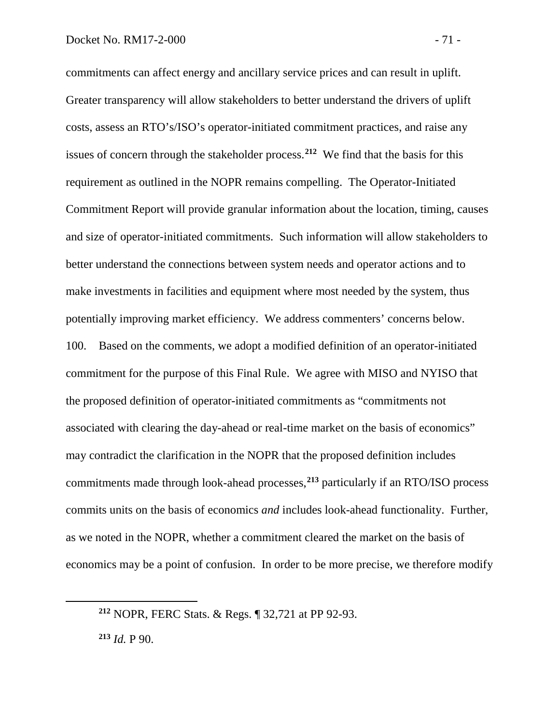commitments can affect energy and ancillary service prices and can result in uplift. Greater transparency will allow stakeholders to better understand the drivers of uplift costs, assess an RTO's/ISO's operator-initiated commitment practices, and raise any issues of concern through the stakeholder process.**[212](#page-72-0)** We find that the basis for this requirement as outlined in the NOPR remains compelling. The Operator-Initiated Commitment Report will provide granular information about the location, timing, causes and size of operator-initiated commitments. Such information will allow stakeholders to better understand the connections between system needs and operator actions and to make investments in facilities and equipment where most needed by the system, thus potentially improving market efficiency. We address commenters' concerns below. 100. Based on the comments, we adopt a modified definition of an operator-initiated commitment for the purpose of this Final Rule. We agree with MISO and NYISO that the proposed definition of operator-initiated commitments as "commitments not associated with clearing the day-ahead or real-time market on the basis of economics" may contradict the clarification in the NOPR that the proposed definition includes commitments made through look-ahead processes,**[213](#page-72-1)** particularly if an RTO/ISO process commits units on the basis of economics *and* includes look-ahead functionality. Further, as we noted in the NOPR, whether a commitment cleared the market on the basis of economics may be a point of confusion. In order to be more precise, we therefore modify

<span id="page-72-0"></span>**<sup>212</sup>** NOPR, FERC Stats. & Regs. ¶ 32,721 at PP 92-93.

<span id="page-72-1"></span>**<sup>213</sup>** *Id.* P 90.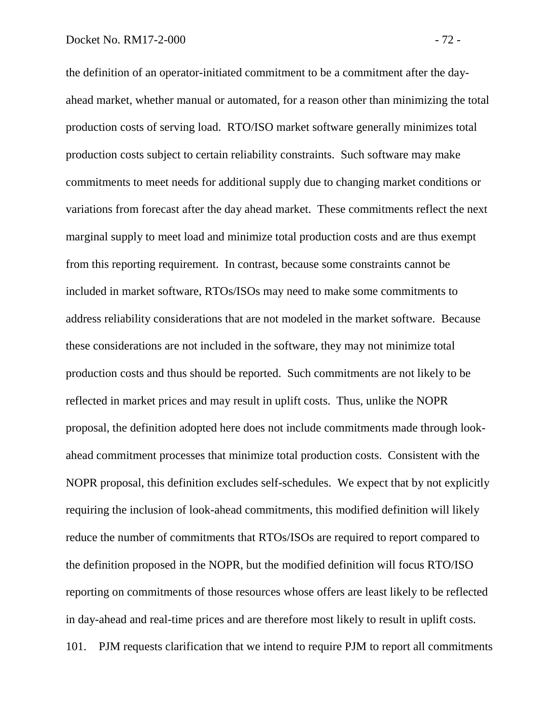the definition of an operator-initiated commitment to be a commitment after the dayahead market, whether manual or automated, for a reason other than minimizing the total production costs of serving load. RTO/ISO market software generally minimizes total production costs subject to certain reliability constraints. Such software may make commitments to meet needs for additional supply due to changing market conditions or variations from forecast after the day ahead market. These commitments reflect the next marginal supply to meet load and minimize total production costs and are thus exempt from this reporting requirement. In contrast, because some constraints cannot be included in market software, RTOs/ISOs may need to make some commitments to address reliability considerations that are not modeled in the market software. Because these considerations are not included in the software, they may not minimize total production costs and thus should be reported. Such commitments are not likely to be reflected in market prices and may result in uplift costs. Thus, unlike the NOPR proposal, the definition adopted here does not include commitments made through lookahead commitment processes that minimize total production costs. Consistent with the NOPR proposal, this definition excludes self-schedules. We expect that by not explicitly requiring the inclusion of look-ahead commitments, this modified definition will likely reduce the number of commitments that RTOs/ISOs are required to report compared to the definition proposed in the NOPR, but the modified definition will focus RTO/ISO reporting on commitments of those resources whose offers are least likely to be reflected in day-ahead and real-time prices and are therefore most likely to result in uplift costs. 101. PJM requests clarification that we intend to require PJM to report all commitments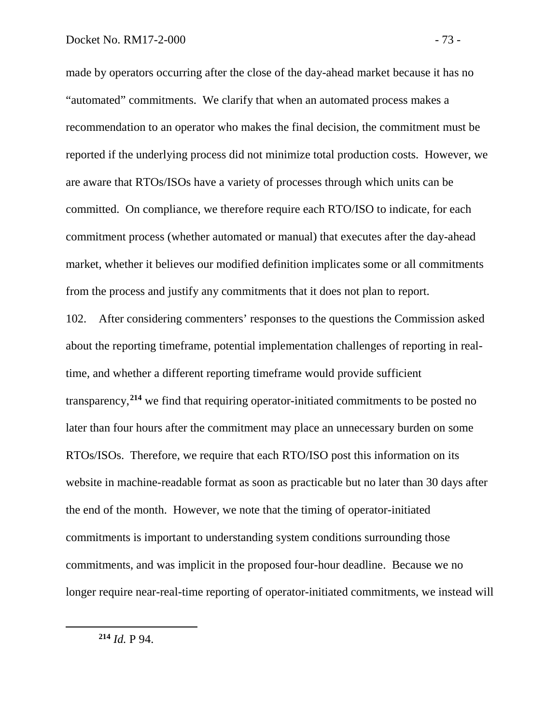made by operators occurring after the close of the day-ahead market because it has no "automated" commitments. We clarify that when an automated process makes a recommendation to an operator who makes the final decision, the commitment must be reported if the underlying process did not minimize total production costs. However, we are aware that RTOs/ISOs have a variety of processes through which units can be committed. On compliance, we therefore require each RTO/ISO to indicate, for each commitment process (whether automated or manual) that executes after the day-ahead market, whether it believes our modified definition implicates some or all commitments from the process and justify any commitments that it does not plan to report.

<span id="page-74-0"></span>102. After considering commenters' responses to the questions the Commission asked about the reporting timeframe, potential implementation challenges of reporting in realtime, and whether a different reporting timeframe would provide sufficient transparency,**[214](#page-74-0)** we find that requiring operator-initiated commitments to be posted no later than four hours after the commitment may place an unnecessary burden on some RTOs/ISOs. Therefore, we require that each RTO/ISO post this information on its website in machine-readable format as soon as practicable but no later than 30 days after the end of the month. However, we note that the timing of operator-initiated commitments is important to understanding system conditions surrounding those commitments, and was implicit in the proposed four-hour deadline. Because we no longer require near-real-time reporting of operator-initiated commitments, we instead will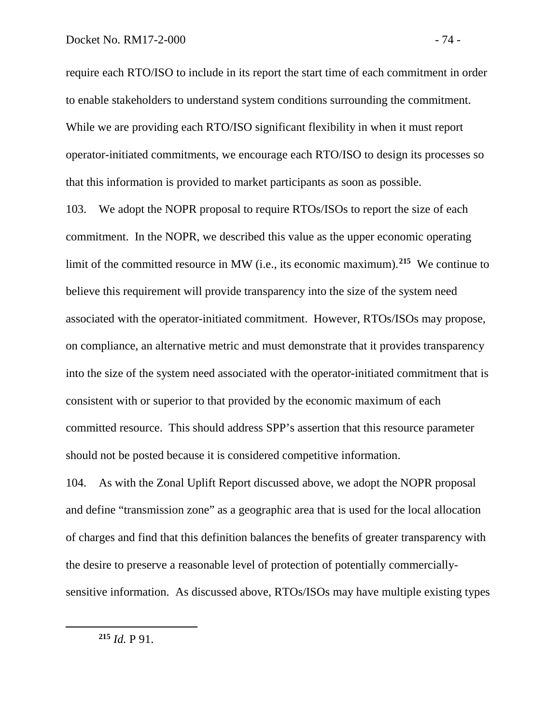require each RTO/ISO to include in its report the start time of each commitment in order to enable stakeholders to understand system conditions surrounding the commitment. While we are providing each RTO/ISO significant flexibility in when it must report operator-initiated commitments, we encourage each RTO/ISO to design its processes so that this information is provided to market participants as soon as possible.

103. We adopt the NOPR proposal to require RTOs/ISOs to report the size of each commitment. In the NOPR, we described this value as the upper economic operating limit of the committed resource in MW (i.e., its economic maximum). **[215](#page-75-0)** We continue to believe this requirement will provide transparency into the size of the system need associated with the operator-initiated commitment. However, RTOs/ISOs may propose, on compliance, an alternative metric and must demonstrate that it provides transparency into the size of the system need associated with the operator-initiated commitment that is consistent with or superior to that provided by the economic maximum of each committed resource. This should address SPP's assertion that this resource parameter should not be posted because it is considered competitive information.

104. As with the Zonal Uplift Report discussed above, we adopt the NOPR proposal and define "transmission zone" as a geographic area that is used for the local allocation of charges and find that this definition balances the benefits of greater transparency with the desire to preserve a reasonable level of protection of potentially commerciallysensitive information. As discussed above, RTOs/ISOs may have multiple existing types

<span id="page-75-0"></span>**<sup>215</sup>** *Id.* P 91.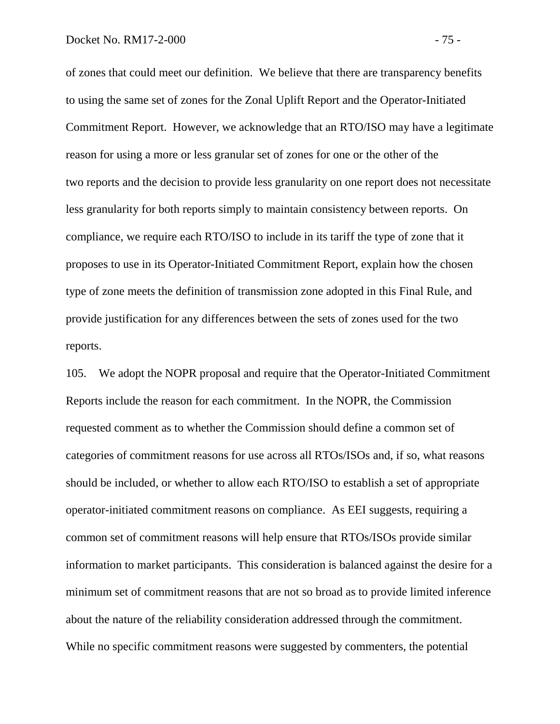of zones that could meet our definition. We believe that there are transparency benefits to using the same set of zones for the Zonal Uplift Report and the Operator-Initiated Commitment Report. However, we acknowledge that an RTO/ISO may have a legitimate reason for using a more or less granular set of zones for one or the other of the two reports and the decision to provide less granularity on one report does not necessitate less granularity for both reports simply to maintain consistency between reports. On compliance, we require each RTO/ISO to include in its tariff the type of zone that it proposes to use in its Operator-Initiated Commitment Report, explain how the chosen type of zone meets the definition of transmission zone adopted in this Final Rule, and provide justification for any differences between the sets of zones used for the two reports.

105. We adopt the NOPR proposal and require that the Operator-Initiated Commitment Reports include the reason for each commitment. In the NOPR, the Commission requested comment as to whether the Commission should define a common set of categories of commitment reasons for use across all RTOs/ISOs and, if so, what reasons should be included, or whether to allow each RTO/ISO to establish a set of appropriate operator-initiated commitment reasons on compliance. As EEI suggests, requiring a common set of commitment reasons will help ensure that RTOs/ISOs provide similar information to market participants. This consideration is balanced against the desire for a minimum set of commitment reasons that are not so broad as to provide limited inference about the nature of the reliability consideration addressed through the commitment. While no specific commitment reasons were suggested by commenters, the potential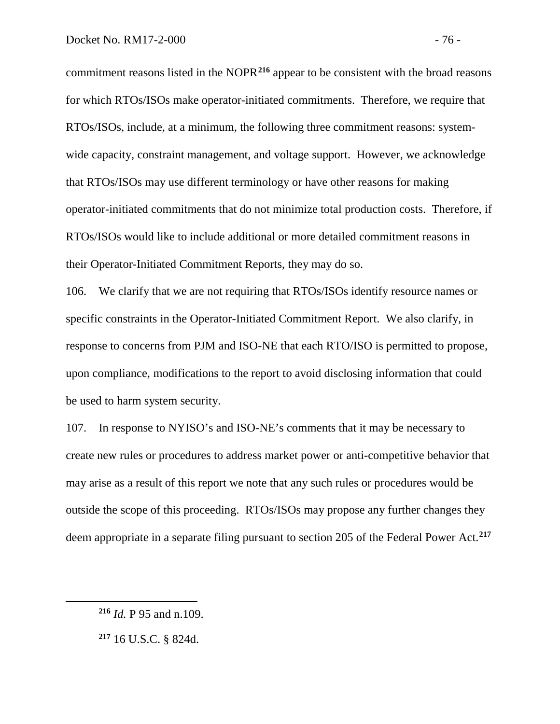commitment reasons listed in the NOPR**[216](#page-77-0)** appear to be consistent with the broad reasons for which RTOs/ISOs make operator-initiated commitments. Therefore, we require that RTOs/ISOs, include, at a minimum, the following three commitment reasons: systemwide capacity, constraint management, and voltage support. However, we acknowledge that RTOs/ISOs may use different terminology or have other reasons for making operator-initiated commitments that do not minimize total production costs. Therefore, if RTOs/ISOs would like to include additional or more detailed commitment reasons in their Operator-Initiated Commitment Reports, they may do so.

106. We clarify that we are not requiring that RTOs/ISOs identify resource names or specific constraints in the Operator-Initiated Commitment Report. We also clarify, in response to concerns from PJM and ISO-NE that each RTO/ISO is permitted to propose, upon compliance, modifications to the report to avoid disclosing information that could be used to harm system security.

107. In response to NYISO's and ISO-NE's comments that it may be necessary to create new rules or procedures to address market power or anti-competitive behavior that may arise as a result of this report we note that any such rules or procedures would be outside the scope of this proceeding. RTOs/ISOs may propose any further changes they deem appropriate in a separate filing pursuant to section 205 of the Federal Power Act.**[217](#page-77-1)**

<span id="page-77-0"></span>**<sup>216</sup>** *Id.* P 95 and n.109.

<span id="page-77-1"></span>**<sup>217</sup>** 16 U.S.C. § 824d.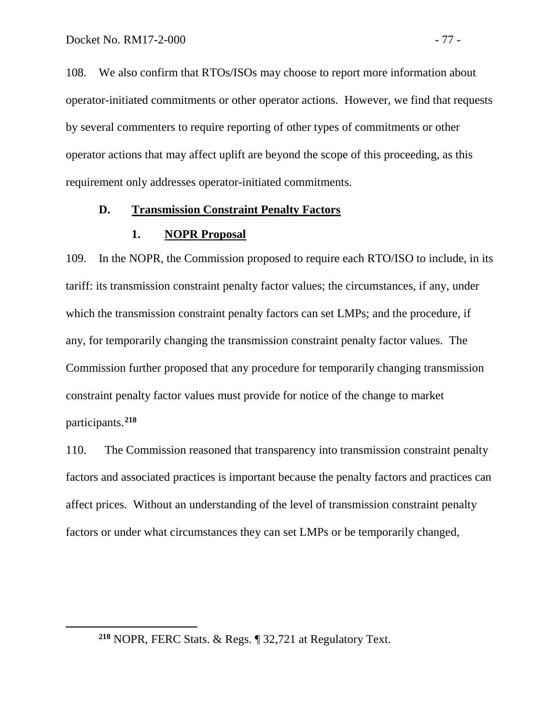<span id="page-78-0"></span> $\overline{a}$ 

108. We also confirm that RTOs/ISOs may choose to report more information about operator-initiated commitments or other operator actions. However, we find that requests by several commenters to require reporting of other types of commitments or other operator actions that may affect uplift are beyond the scope of this proceeding, as this requirement only addresses operator-initiated commitments.

## **D. Transmission Constraint Penalty Factors**

#### **1. NOPR Proposal**

109. In the NOPR, the Commission proposed to require each RTO/ISO to include, in its tariff: its transmission constraint penalty factor values; the circumstances, if any, under which the transmission constraint penalty factors can set LMPs; and the procedure, if any, for temporarily changing the transmission constraint penalty factor values. The Commission further proposed that any procedure for temporarily changing transmission constraint penalty factor values must provide for notice of the change to market participants. **[218](#page-78-0)**

110. The Commission reasoned that transparency into transmission constraint penalty factors and associated practices is important because the penalty factors and practices can affect prices. Without an understanding of the level of transmission constraint penalty factors or under what circumstances they can set LMPs or be temporarily changed,

**<sup>218</sup>** NOPR, FERC Stats. & Regs. ¶ 32,721 at Regulatory Text.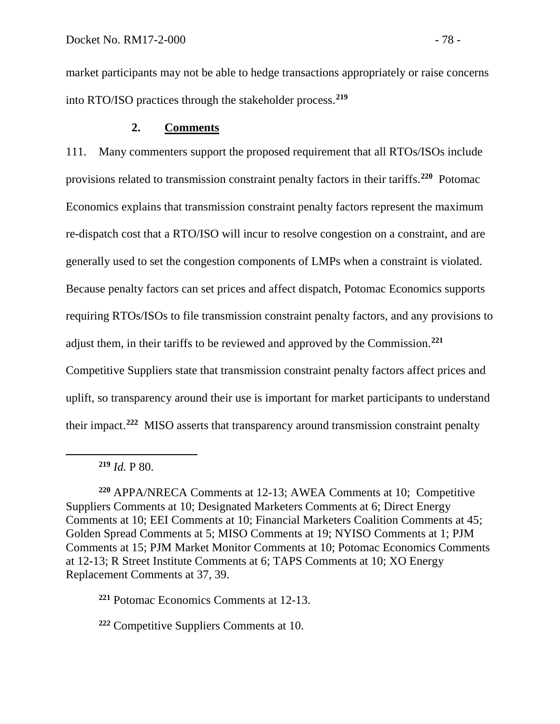market participants may not be able to hedge transactions appropriately or raise concerns into RTO/ISO practices through the stakeholder process.**[219](#page-79-0)**

## **2. Comments**

111. Many commenters support the proposed requirement that all RTOs/ISOs include provisions related to transmission constraint penalty factors in their tariffs.**[220](#page-79-1)** Potomac Economics explains that transmission constraint penalty factors represent the maximum re-dispatch cost that a RTO/ISO will incur to resolve congestion on a constraint, and are generally used to set the congestion components of LMPs when a constraint is violated. Because penalty factors can set prices and affect dispatch, Potomac Economics supports requiring RTOs/ISOs to file transmission constraint penalty factors, and any provisions to adjust them, in their tariffs to be reviewed and approved by the Commission.**[221](#page-79-2)** Competitive Suppliers state that transmission constraint penalty factors affect prices and uplift, so transparency around their use is important for market participants to understand their impact.**[222](#page-79-3)** MISO asserts that transparency around transmission constraint penalty

<span id="page-79-0"></span> $\overline{a}$ 

<span id="page-79-2"></span>**<sup>221</sup>** Potomac Economics Comments at 12-13.

<span id="page-79-3"></span>**<sup>222</sup>** Competitive Suppliers Comments at 10.

 $219$  *Id.* P 80.

<span id="page-79-1"></span>**<sup>220</sup>** APPA/NRECA Comments at 12-13; AWEA Comments at 10; Competitive Suppliers Comments at 10; Designated Marketers Comments at 6; Direct Energy Comments at 10; EEI Comments at 10; Financial Marketers Coalition Comments at 45; Golden Spread Comments at 5; MISO Comments at 19; NYISO Comments at 1; PJM Comments at 15; PJM Market Monitor Comments at 10; Potomac Economics Comments at 12-13; R Street Institute Comments at 6; TAPS Comments at 10; XO Energy Replacement Comments at 37, 39.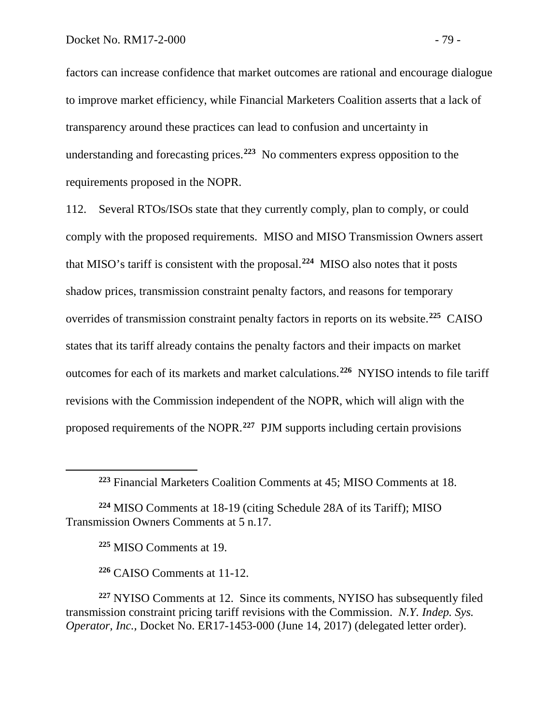factors can increase confidence that market outcomes are rational and encourage dialogue to improve market efficiency, while Financial Marketers Coalition asserts that a lack of transparency around these practices can lead to confusion and uncertainty in understanding and forecasting prices.**[223](#page-80-0)** No commenters express opposition to the requirements proposed in the NOPR.

112. Several RTOs/ISOs state that they currently comply, plan to comply, or could comply with the proposed requirements. MISO and MISO Transmission Owners assert that MISO's tariff is consistent with the proposal.**[224](#page-80-1)** MISO also notes that it posts shadow prices, transmission constraint penalty factors, and reasons for temporary overrides of transmission constraint penalty factors in reports on its website.**[225](#page-80-2)** CAISO states that its tariff already contains the penalty factors and their impacts on market outcomes for each of its markets and market calculations.**[226](#page-80-3)** NYISO intends to file tariff revisions with the Commission independent of the NOPR, which will align with the proposed requirements of the NOPR.**[227](#page-80-4)** PJM supports including certain provisions

**<sup>225</sup>** MISO Comments at 19.

<span id="page-80-0"></span> $\overline{a}$ 

**<sup>226</sup>** CAISO Comments at 11-12.

<span id="page-80-4"></span><span id="page-80-3"></span>**<sup>227</sup>** NYISO Comments at 12. Since its comments, NYISO has subsequently filed transmission constraint pricing tariff revisions with the Commission. *N.Y. Indep. Sys. Operator, Inc.,* Docket No. ER17-1453-000 (June 14, 2017) (delegated letter order).

**<sup>223</sup>** Financial Marketers Coalition Comments at 45; MISO Comments at 18.

<span id="page-80-2"></span><span id="page-80-1"></span>**<sup>224</sup>** MISO Comments at 18-19 (citing Schedule 28A of its Tariff); MISO Transmission Owners Comments at 5 n.17.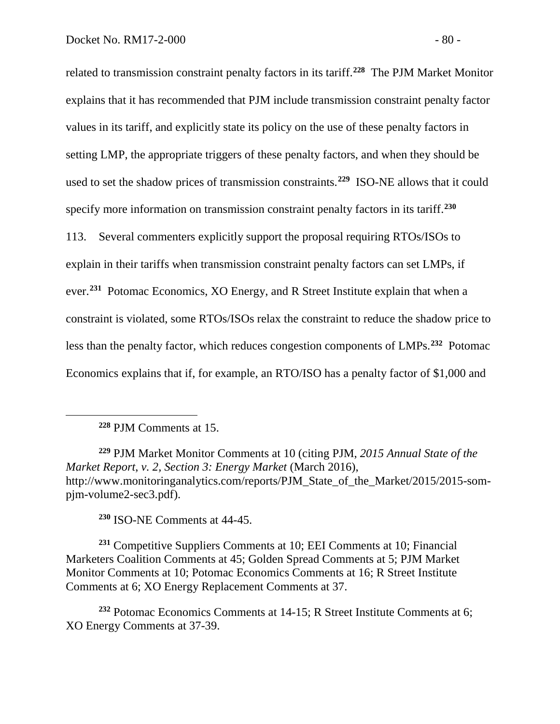related to transmission constraint penalty factors in its tariff.**[228](#page-81-0)** The PJM Market Monitor explains that it has recommended that PJM include transmission constraint penalty factor values in its tariff, and explicitly state its policy on the use of these penalty factors in setting LMP, the appropriate triggers of these penalty factors, and when they should be used to set the shadow prices of transmission constraints.**[229](#page-81-1)** ISO-NE allows that it could specify more information on transmission constraint penalty factors in its tariff.**[230](#page-81-2)** 113. Several commenters explicitly support the proposal requiring RTOs/ISOs to explain in their tariffs when transmission constraint penalty factors can set LMPs, if ever. **[231](#page-81-3)** Potomac Economics, XO Energy, and R Street Institute explain that when a constraint is violated, some RTOs/ISOs relax the constraint to reduce the shadow price to

less than the penalty factor, which reduces congestion components of LMPs.**[232](#page-81-4)** Potomac

Economics explains that if, for example, an RTO/ISO has a penalty factor of \$1,000 and

**<sup>228</sup>** PJM Comments at 15.

<span id="page-81-0"></span> $\overline{a}$ 

<span id="page-81-1"></span>**<sup>229</sup>** PJM Market Monitor Comments at 10 (citing PJM, *2015 Annual State of the Market Report*, *v. 2, Section 3: Energy Market* (March 2016), http://www.monitoringanalytics.com/reports/PJM\_State\_of\_the\_Market/2015/2015-sompjm-volume2-sec3.pdf).

**<sup>230</sup>** ISO-NE Comments at 44-45.

<span id="page-81-3"></span><span id="page-81-2"></span>**<sup>231</sup>** Competitive Suppliers Comments at 10; EEI Comments at 10; Financial Marketers Coalition Comments at 45; Golden Spread Comments at 5; PJM Market Monitor Comments at 10; Potomac Economics Comments at 16; R Street Institute Comments at 6; XO Energy Replacement Comments at 37.

<span id="page-81-4"></span>**<sup>232</sup>** Potomac Economics Comments at 14-15; R Street Institute Comments at 6; XO Energy Comments at 37-39.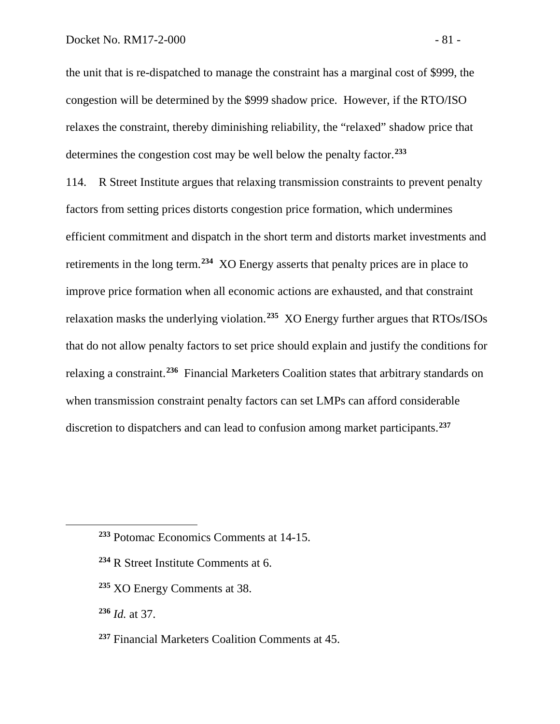the unit that is re-dispatched to manage the constraint has a marginal cost of \$999, the congestion will be determined by the \$999 shadow price. However, if the RTO/ISO relaxes the constraint, thereby diminishing reliability, the "relaxed" shadow price that determines the congestion cost may be well below the penalty factor.**[233](#page-82-0)**

114. R Street Institute argues that relaxing transmission constraints to prevent penalty factors from setting prices distorts congestion price formation, which undermines efficient commitment and dispatch in the short term and distorts market investments and retirements in the long term.**[234](#page-82-1)** XO Energy asserts that penalty prices are in place to improve price formation when all economic actions are exhausted, and that constraint relaxation masks the underlying violation.**[235](#page-82-2)** XO Energy further argues that RTOs/ISOs that do not allow penalty factors to set price should explain and justify the conditions for relaxing a constraint.**[236](#page-82-3)** Financial Marketers Coalition states that arbitrary standards on when transmission constraint penalty factors can set LMPs can afford considerable discretion to dispatchers and can lead to confusion among market participants.**[237](#page-82-4)**

- **<sup>234</sup>** R Street Institute Comments at 6.
- **<sup>235</sup>** XO Energy Comments at 38.

<span id="page-82-3"></span>**<sup>236</sup>** *Id.* at 37.

<span id="page-82-2"></span><span id="page-82-1"></span><span id="page-82-0"></span> $\overline{a}$ 

<span id="page-82-4"></span>**<sup>237</sup>** Financial Marketers Coalition Comments at 45.

**<sup>233</sup>** Potomac Economics Comments at 14-15.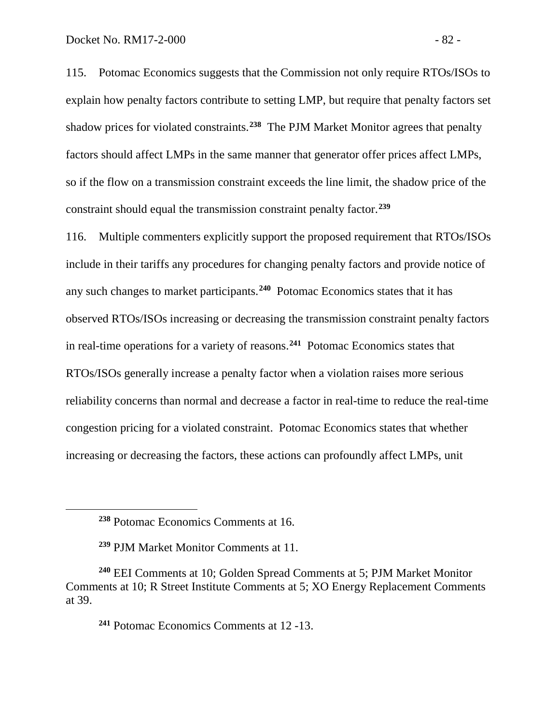115. Potomac Economics suggests that the Commission not only require RTOs/ISOs to explain how penalty factors contribute to setting LMP, but require that penalty factors set shadow prices for violated constraints.**[238](#page-83-0)** The PJM Market Monitor agrees that penalty factors should affect LMPs in the same manner that generator offer prices affect LMPs, so if the flow on a transmission constraint exceeds the line limit, the shadow price of the constraint should equal the transmission constraint penalty factor.**[239](#page-83-1)**

116. Multiple commenters explicitly support the proposed requirement that RTOs/ISOs include in their tariffs any procedures for changing penalty factors and provide notice of any such changes to market participants.**[240](#page-83-2)** Potomac Economics states that it has observed RTOs/ISOs increasing or decreasing the transmission constraint penalty factors in real-time operations for a variety of reasons.**[241](#page-83-3)** Potomac Economics states that RTOs/ISOs generally increase a penalty factor when a violation raises more serious reliability concerns than normal and decrease a factor in real-time to reduce the real-time congestion pricing for a violated constraint. Potomac Economics states that whether increasing or decreasing the factors, these actions can profoundly affect LMPs, unit

<span id="page-83-0"></span> $\overline{a}$ 

**<sup>241</sup>** Potomac Economics Comments at 12 -13.

**<sup>238</sup>** Potomac Economics Comments at 16.

**<sup>239</sup>** PJM Market Monitor Comments at 11.

<span id="page-83-3"></span><span id="page-83-2"></span><span id="page-83-1"></span>**<sup>240</sup>** EEI Comments at 10; Golden Spread Comments at 5; PJM Market Monitor Comments at 10; R Street Institute Comments at 5; XO Energy Replacement Comments at 39.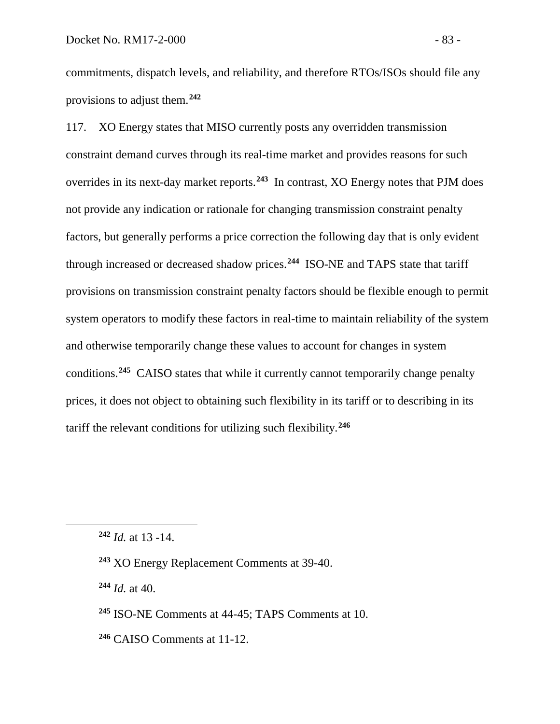commitments, dispatch levels, and reliability, and therefore RTOs/ISOs should file any provisions to adjust them.**[242](#page-84-0)**

117. XO Energy states that MISO currently posts any overridden transmission constraint demand curves through its real-time market and provides reasons for such overrides in its next-day market reports.**[243](#page-84-1)** In contrast, XO Energy notes that PJM does not provide any indication or rationale for changing transmission constraint penalty factors, but generally performs a price correction the following day that is only evident through increased or decreased shadow prices.**[244](#page-84-2)** ISO-NE and TAPS state that tariff provisions on transmission constraint penalty factors should be flexible enough to permit system operators to modify these factors in real-time to maintain reliability of the system and otherwise temporarily change these values to account for changes in system conditions.**[245](#page-84-3)** CAISO states that while it currently cannot temporarily change penalty prices, it does not object to obtaining such flexibility in its tariff or to describing in its tariff the relevant conditions for utilizing such flexibility.**[246](#page-84-4)**

<span id="page-84-2"></span><span id="page-84-1"></span><span id="page-84-0"></span> $\overline{a}$ 

**<sup>243</sup>** XO Energy Replacement Comments at 39-40.

**<sup>244</sup>** *Id.* at 40.

- <span id="page-84-3"></span>**<sup>245</sup>** ISO-NE Comments at 44-45; TAPS Comments at 10.
- <span id="page-84-4"></span>**<sup>246</sup>** CAISO Comments at 11-12.

**<sup>242</sup>** *Id.* at 13 -14.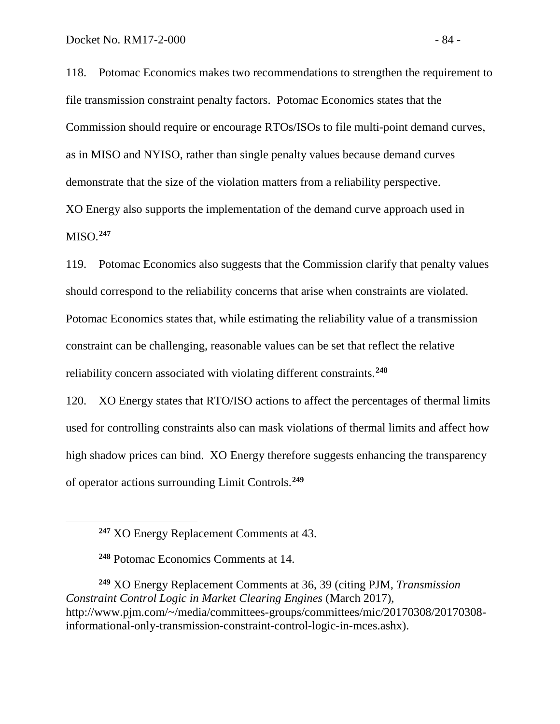118. Potomac Economics makes two recommendations to strengthen the requirement to file transmission constraint penalty factors. Potomac Economics states that the Commission should require or encourage RTOs/ISOs to file multi-point demand curves, as in MISO and NYISO, rather than single penalty values because demand curves demonstrate that the size of the violation matters from a reliability perspective. XO Energy also supports the implementation of the demand curve approach used in MISO.**[247](#page-85-0)**

119. Potomac Economics also suggests that the Commission clarify that penalty values should correspond to the reliability concerns that arise when constraints are violated. Potomac Economics states that, while estimating the reliability value of a transmission constraint can be challenging, reasonable values can be set that reflect the relative reliability concern associated with violating different constraints. **[248](#page-85-1)**

120. XO Energy states that RTO/ISO actions to affect the percentages of thermal limits used for controlling constraints also can mask violations of thermal limits and affect how high shadow prices can bind. XO Energy therefore suggests enhancing the transparency of operator actions surrounding Limit Controls.**[249](#page-85-2)**

<span id="page-85-0"></span> $\overline{a}$ 

<span id="page-85-2"></span><span id="page-85-1"></span>**<sup>249</sup>** XO Energy Replacement Comments at 36, 39 (citing PJM, *Transmission Constraint Control Logic in Market Clearing Engines* (March 2017), http://www.pjm.com/~/media/committees-groups/committees/mic/20170308/20170308 informational-only-transmission-constraint-control-logic-in-mces.ashx).

**<sup>247</sup>** XO Energy Replacement Comments at 43.

**<sup>248</sup>** Potomac Economics Comments at 14.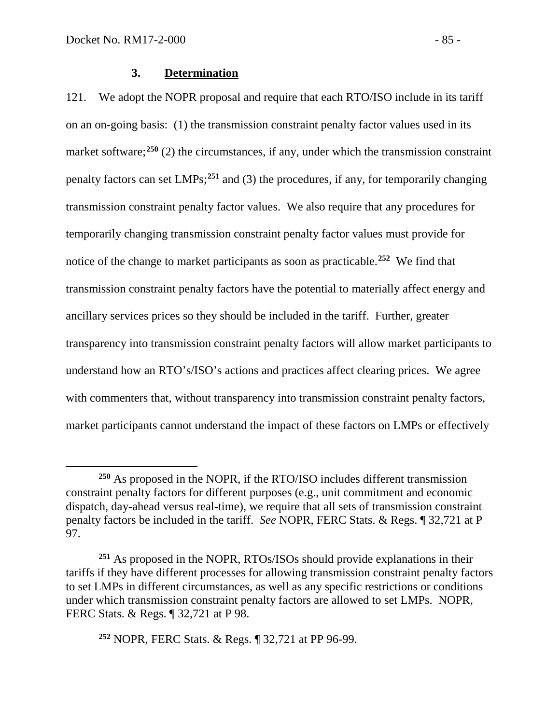$\overline{a}$ 

#### **3. Determination**

121. We adopt the NOPR proposal and require that each RTO/ISO include in its tariff on an on-going basis: (1) the transmission constraint penalty factor values used in its market software;<sup>[250](#page-86-0)</sup> (2) the circumstances, if any, under which the transmission constraint penalty factors can set LMPs; **[251](#page-86-1)** and (3) the procedures, if any, for temporarily changing transmission constraint penalty factor values. We also require that any procedures for temporarily changing transmission constraint penalty factor values must provide for notice of the change to market participants as soon as practicable. **[252](#page-86-2)** We find that transmission constraint penalty factors have the potential to materially affect energy and ancillary services prices so they should be included in the tariff. Further, greater transparency into transmission constraint penalty factors will allow market participants to understand how an RTO's/ISO's actions and practices affect clearing prices. We agree with commenters that, without transparency into transmission constraint penalty factors, market participants cannot understand the impact of these factors on LMPs or effectively

<span id="page-86-0"></span>**<sup>250</sup>** As proposed in the NOPR, if the RTO/ISO includes different transmission constraint penalty factors for different purposes (e.g., unit commitment and economic dispatch, day-ahead versus real-time), we require that all sets of transmission constraint penalty factors be included in the tariff. *See* NOPR, FERC Stats. & Regs. ¶ 32,721 at P 97.

<span id="page-86-1"></span>**<sup>251</sup>** As proposed in the NOPR, RTOs/ISOs should provide explanations in their tariffs if they have different processes for allowing transmission constraint penalty factors to set LMPs in different circumstances, as well as any specific restrictions or conditions under which transmission constraint penalty factors are allowed to set LMPs. NOPR, FERC Stats. & Regs. ¶ 32,721 at P 98.

<span id="page-86-2"></span>**<sup>252</sup>** NOPR, FERC Stats. & Regs. ¶ 32,721 at PP 96-99.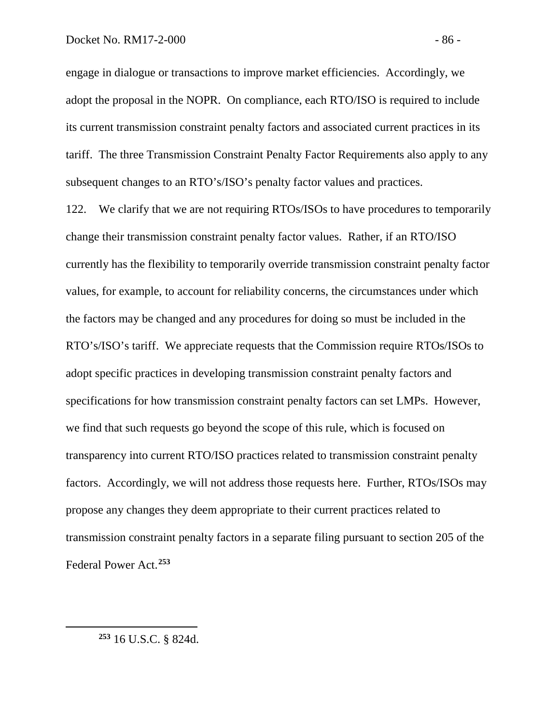engage in dialogue or transactions to improve market efficiencies. Accordingly, we adopt the proposal in the NOPR. On compliance, each RTO/ISO is required to include its current transmission constraint penalty factors and associated current practices in its tariff. The three Transmission Constraint Penalty Factor Requirements also apply to any subsequent changes to an RTO's/ISO's penalty factor values and practices.

122. We clarify that we are not requiring RTOs/ISOs to have procedures to temporarily change their transmission constraint penalty factor values. Rather, if an RTO/ISO currently has the flexibility to temporarily override transmission constraint penalty factor values, for example, to account for reliability concerns, the circumstances under which the factors may be changed and any procedures for doing so must be included in the RTO's/ISO's tariff. We appreciate requests that the Commission require RTOs/ISOs to adopt specific practices in developing transmission constraint penalty factors and specifications for how transmission constraint penalty factors can set LMPs. However, we find that such requests go beyond the scope of this rule, which is focused on transparency into current RTO/ISO practices related to transmission constraint penalty factors. Accordingly, we will not address those requests here. Further, RTOs/ISOs may propose any changes they deem appropriate to their current practices related to transmission constraint penalty factors in a separate filing pursuant to section 205 of the Federal Power Act.**[253](#page-87-0)**

<span id="page-87-0"></span>**<sup>253</sup>** 16 U.S.C. § 824d.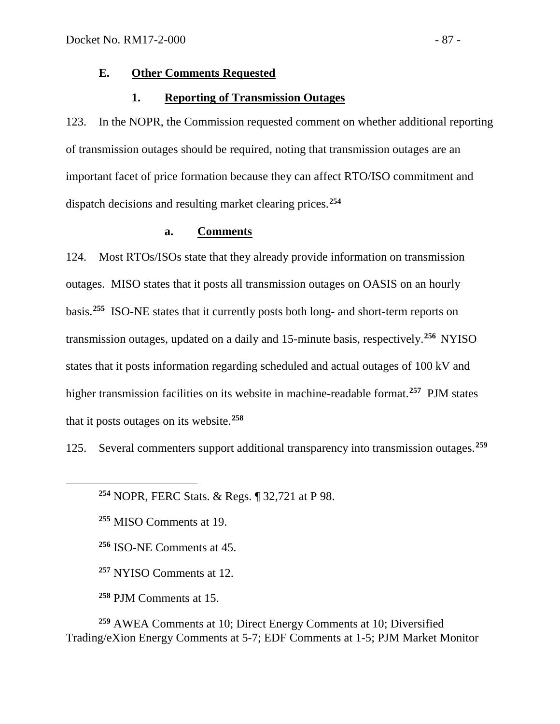### **E. Other Comments Requested**

#### **1. Reporting of Transmission Outages**

123. In the NOPR, the Commission requested comment on whether additional reporting of transmission outages should be required, noting that transmission outages are an important facet of price formation because they can affect RTO/ISO commitment and dispatch decisions and resulting market clearing prices. **[254](#page-88-0)**

### **a. Comments**

124. Most RTOs/ISOs state that they already provide information on transmission outages. MISO states that it posts all transmission outages on OASIS on an hourly basis.**[255](#page-88-1)** ISO-NE states that it currently posts both long- and short-term reports on transmission outages, updated on a daily and 15-minute basis, respectively.**[256](#page-88-2)** NYISO states that it posts information regarding scheduled and actual outages of 100 kV and higher transmission facilities on its website in machine-readable format. **[257](#page-88-3)** PJM states that it posts outages on its website.**[258](#page-88-4)**

125. Several commenters support additional transparency into transmission outages.**[259](#page-88-5)**

**<sup>254</sup>** NOPR, FERC Stats. & Regs. ¶ 32,721 at P 98.

**<sup>255</sup>** MISO Comments at 19.

<span id="page-88-2"></span><span id="page-88-1"></span><span id="page-88-0"></span> $\overline{a}$ 

**<sup>256</sup>** ISO-NE Comments at 45.

**<sup>257</sup>** NYISO Comments at 12.

**<sup>258</sup>** PJM Comments at 15.

<span id="page-88-5"></span><span id="page-88-4"></span><span id="page-88-3"></span>**<sup>259</sup>** AWEA Comments at 10; Direct Energy Comments at 10; Diversified Trading/eXion Energy Comments at 5-7; EDF Comments at 1-5; PJM Market Monitor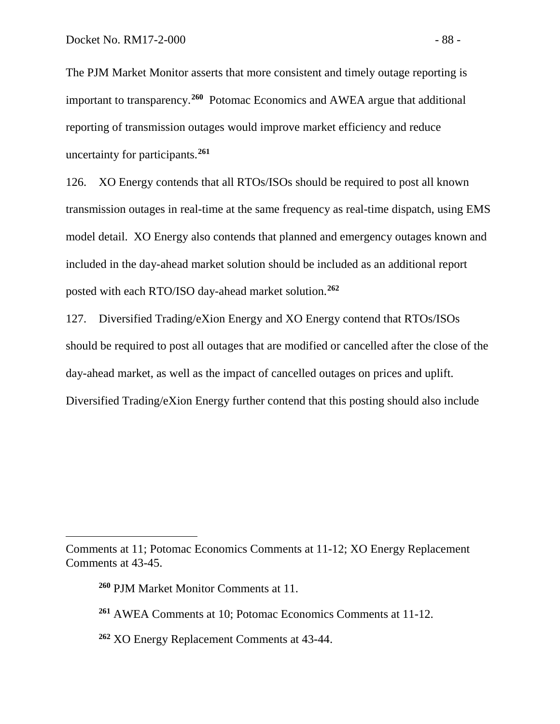The PJM Market Monitor asserts that more consistent and timely outage reporting is important to transparency. **[260](#page-89-0)** Potomac Economics and AWEA argue that additional reporting of transmission outages would improve market efficiency and reduce uncertainty for participants.**[261](#page-89-1)**

126. XO Energy contends that all RTOs/ISOs should be required to post all known transmission outages in real-time at the same frequency as real-time dispatch, using EMS model detail. XO Energy also contends that planned and emergency outages known and included in the day-ahead market solution should be included as an additional report posted with each RTO/ISO day-ahead market solution.**[262](#page-89-2)**

127. Diversified Trading/eXion Energy and XO Energy contend that RTOs/ISOs should be required to post all outages that are modified or cancelled after the close of the day-ahead market, as well as the impact of cancelled outages on prices and uplift. Diversified Trading/eXion Energy further contend that this posting should also include

 $\overline{a}$ 

<span id="page-89-2"></span>**<sup>262</sup>** XO Energy Replacement Comments at 43-44.

<span id="page-89-1"></span><span id="page-89-0"></span>Comments at 11; Potomac Economics Comments at 11-12; XO Energy Replacement Comments at 43-45.

**<sup>260</sup>** PJM Market Monitor Comments at 11.

**<sup>261</sup>** AWEA Comments at 10; Potomac Economics Comments at 11-12.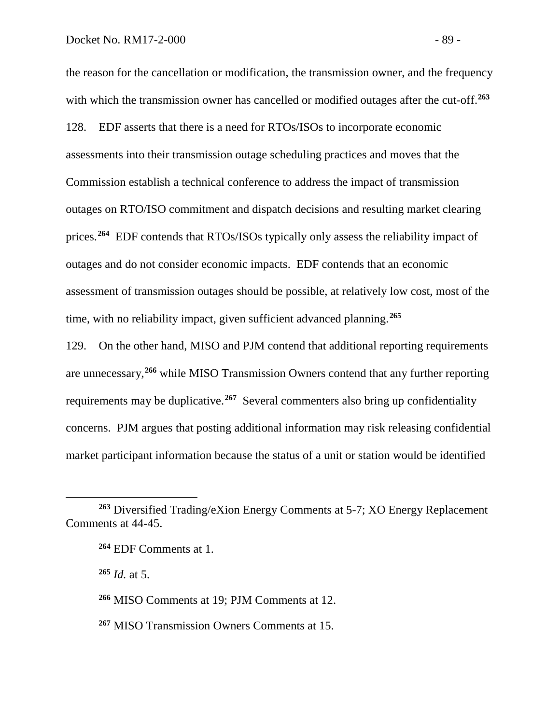the reason for the cancellation or modification, the transmission owner, and the frequency with which the transmission owner has cancelled or modified outages after the cut-off.<sup>[263](#page-90-0)</sup> 128. EDF asserts that there is a need for RTOs/ISOs to incorporate economic assessments into their transmission outage scheduling practices and moves that the Commission establish a technical conference to address the impact of transmission outages on RTO/ISO commitment and dispatch decisions and resulting market clearing prices.**[264](#page-90-1)** EDF contends that RTOs/ISOs typically only assess the reliability impact of outages and do not consider economic impacts. EDF contends that an economic assessment of transmission outages should be possible, at relatively low cost, most of the time, with no reliability impact, given sufficient advanced planning.**[265](#page-90-2)**

129. On the other hand, MISO and PJM contend that additional reporting requirements are unnecessary,**[266](#page-90-3)** while MISO Transmission Owners contend that any further reporting requirements may be duplicative.**[267](#page-90-4)** Several commenters also bring up confidentiality concerns. PJM argues that posting additional information may risk releasing confidential market participant information because the status of a unit or station would be identified

**<sup>265</sup>** *Id.* at 5.

 $\overline{a}$ 

<span id="page-90-3"></span>**<sup>266</sup>** MISO Comments at 19; PJM Comments at 12.

<span id="page-90-4"></span>**<sup>267</sup>** MISO Transmission Owners Comments at 15.

<span id="page-90-2"></span><span id="page-90-1"></span><span id="page-90-0"></span>**<sup>263</sup>** Diversified Trading/eXion Energy Comments at 5-7; XO Energy Replacement Comments at 44-45.

**<sup>264</sup>** EDF Comments at 1.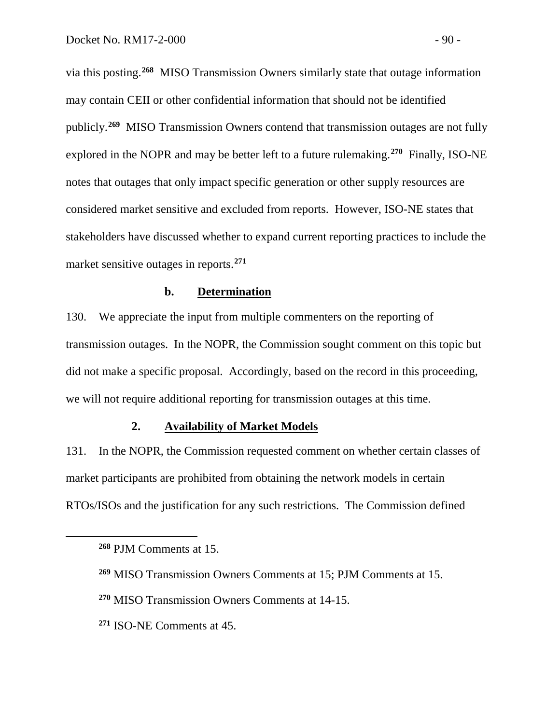via this posting.**[268](#page-91-0)** MISO Transmission Owners similarly state that outage information may contain CEII or other confidential information that should not be identified publicly.**[269](#page-91-1)** MISO Transmission Owners contend that transmission outages are not fully explored in the NOPR and may be better left to a future rulemaking.**[270](#page-91-2)** Finally, ISO-NE notes that outages that only impact specific generation or other supply resources are considered market sensitive and excluded from reports. However, ISO-NE states that stakeholders have discussed whether to expand current reporting practices to include the market sensitive outages in reports.**[271](#page-91-3)**

#### **b. Determination**

130. We appreciate the input from multiple commenters on the reporting of transmission outages. In the NOPR, the Commission sought comment on this topic but did not make a specific proposal. Accordingly, based on the record in this proceeding, we will not require additional reporting for transmission outages at this time.

#### **2. Availability of Market Models**

131. In the NOPR, the Commission requested comment on whether certain classes of market participants are prohibited from obtaining the network models in certain RTOs/ISOs and the justification for any such restrictions. The Commission defined

<span id="page-91-0"></span>**<sup>268</sup>** PJM Comments at 15.

<span id="page-91-1"></span>**<sup>269</sup>** MISO Transmission Owners Comments at 15; PJM Comments at 15.

<span id="page-91-2"></span>**<sup>270</sup>** MISO Transmission Owners Comments at 14-15.

<span id="page-91-3"></span>**<sup>271</sup>** ISO-NE Comments at 45.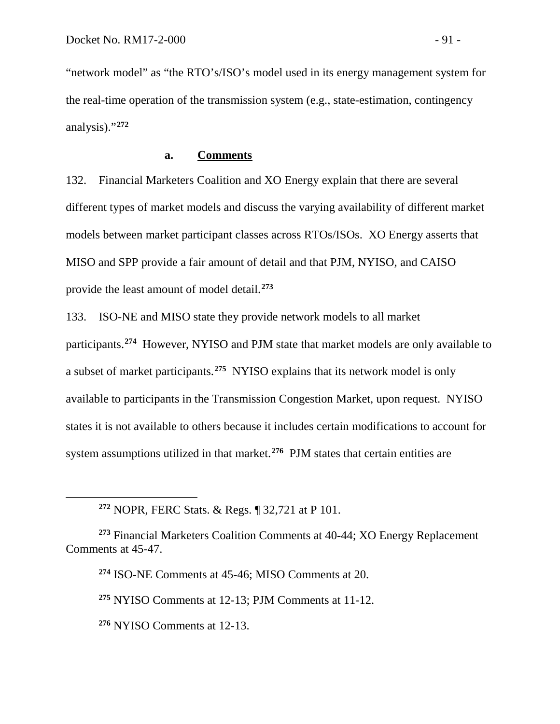"network model" as "the RTO's/ISO's model used in its energy management system for the real-time operation of the transmission system (e.g., state-estimation, contingency analysis)."**[272](#page-92-0)**

#### **a. Comments**

132. Financial Marketers Coalition and XO Energy explain that there are several different types of market models and discuss the varying availability of different market models between market participant classes across RTOs/ISOs. XO Energy asserts that MISO and SPP provide a fair amount of detail and that PJM, NYISO, and CAISO provide the least amount of model detail.**[273](#page-92-1)**

133. ISO-NE and MISO state they provide network models to all market participants.**[274](#page-92-2)** However, NYISO and PJM state that market models are only available to a subset of market participants.**[275](#page-92-3)** NYISO explains that its network model is only available to participants in the Transmission Congestion Market, upon request. NYISO states it is not available to others because it includes certain modifications to account for system assumptions utilized in that market.**[276](#page-92-4)** PJM states that certain entities are

**<sup>275</sup>** NYISO Comments at 12-13; PJM Comments at 11-12.

<span id="page-92-4"></span>**<sup>276</sup>** NYISO Comments at 12-13.

**<sup>272</sup>** NOPR, FERC Stats. & Regs. ¶ 32,721 at P 101.

<span id="page-92-3"></span><span id="page-92-2"></span><span id="page-92-1"></span><span id="page-92-0"></span>**<sup>273</sup>** Financial Marketers Coalition Comments at 40-44; XO Energy Replacement Comments at 45-47.

**<sup>274</sup>** ISO-NE Comments at 45-46; MISO Comments at 20.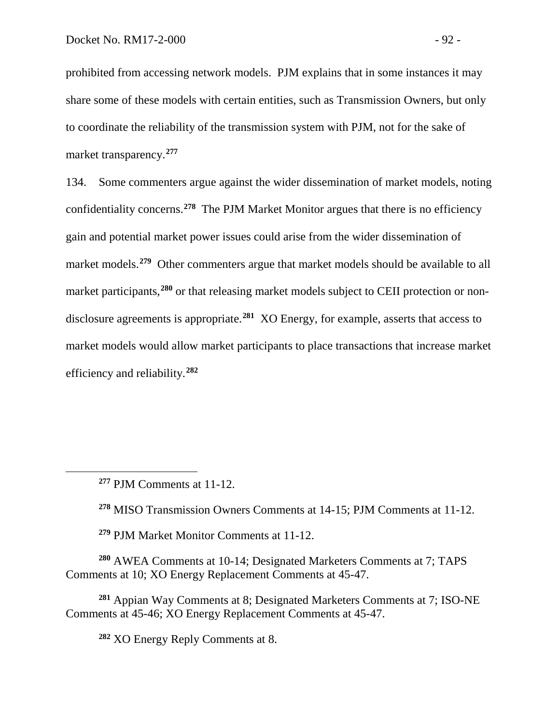prohibited from accessing network models. PJM explains that in some instances it may share some of these models with certain entities, such as Transmission Owners, but only to coordinate the reliability of the transmission system with PJM, not for the sake of market transparency.**[277](#page-93-0)**

134. Some commenters argue against the wider dissemination of market models, noting confidentiality concerns. **[278](#page-93-1)** The PJM Market Monitor argues that there is no efficiency gain and potential market power issues could arise from the wider dissemination of market models. **[279](#page-93-2)** Other commenters argue that market models should be available to all market participants, **[280](#page-93-3)** or that releasing market models subject to CEII protection or nondisclosure agreements is appropriate.**[281](#page-93-4)** XO Energy, for example, asserts that access to market models would allow market participants to place transactions that increase market efficiency and reliability. **[282](#page-93-5)**

<span id="page-93-1"></span><span id="page-93-0"></span> $\overline{a}$ 

**<sup>278</sup>** MISO Transmission Owners Comments at 14-15; PJM Comments at 11-12.

**<sup>279</sup>** PJM Market Monitor Comments at 11-12.

<span id="page-93-3"></span><span id="page-93-2"></span>**<sup>280</sup>** AWEA Comments at 10-14; Designated Marketers Comments at 7; TAPS Comments at 10; XO Energy Replacement Comments at 45-47.

<span id="page-93-5"></span><span id="page-93-4"></span>**<sup>281</sup>** Appian Way Comments at 8; Designated Marketers Comments at 7; ISO-NE Comments at 45-46; XO Energy Replacement Comments at 45-47.

**<sup>282</sup>** XO Energy Reply Comments at 8.

**<sup>277</sup>** PJM Comments at 11-12.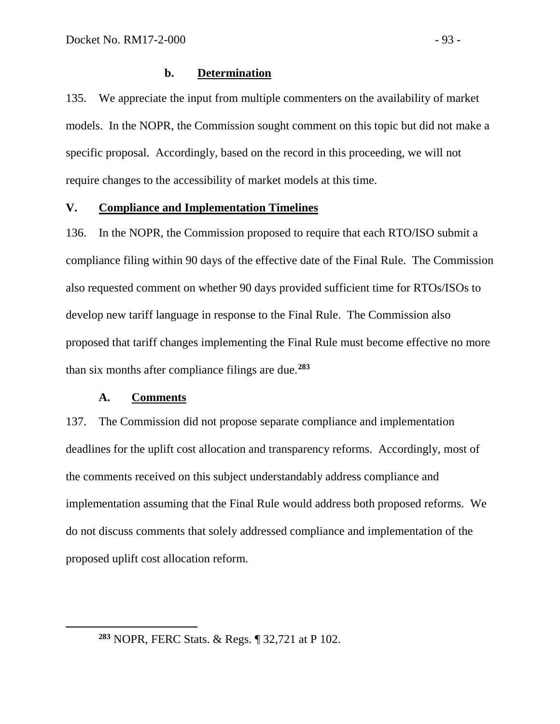### **b. Determination**

135. We appreciate the input from multiple commenters on the availability of market models. In the NOPR, the Commission sought comment on this topic but did not make a specific proposal. Accordingly, based on the record in this proceeding, we will not require changes to the accessibility of market models at this time.

## **V. Compliance and Implementation Timelines**

136. In the NOPR, the Commission proposed to require that each RTO/ISO submit a compliance filing within 90 days of the effective date of the Final Rule. The Commission also requested comment on whether 90 days provided sufficient time for RTOs/ISOs to develop new tariff language in response to the Final Rule. The Commission also proposed that tariff changes implementing the Final Rule must become effective no more than six months after compliance filings are due.**[283](#page-94-0)**

## **A. Comments**

<span id="page-94-0"></span> $\overline{a}$ 

137. The Commission did not propose separate compliance and implementation deadlines for the uplift cost allocation and transparency reforms. Accordingly, most of the comments received on this subject understandably address compliance and implementation assuming that the Final Rule would address both proposed reforms. We do not discuss comments that solely addressed compliance and implementation of the proposed uplift cost allocation reform.

**<sup>283</sup>** NOPR, FERC Stats. & Regs. ¶ 32,721 at P 102.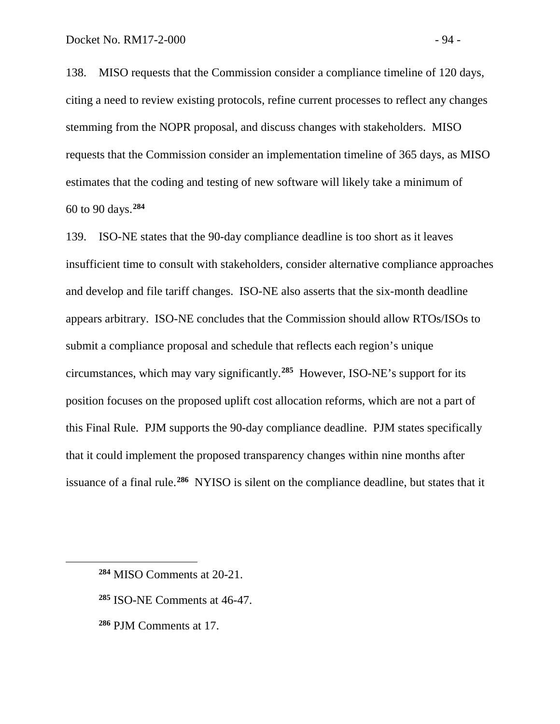138. MISO requests that the Commission consider a compliance timeline of 120 days, citing a need to review existing protocols, refine current processes to reflect any changes stemming from the NOPR proposal, and discuss changes with stakeholders. MISO requests that the Commission consider an implementation timeline of 365 days, as MISO estimates that the coding and testing of new software will likely take a minimum of 60 to 90 days.**[284](#page-95-0)**

139. ISO-NE states that the 90-day compliance deadline is too short as it leaves insufficient time to consult with stakeholders, consider alternative compliance approaches and develop and file tariff changes. ISO-NE also asserts that the six-month deadline appears arbitrary. ISO-NE concludes that the Commission should allow RTOs/ISOs to submit a compliance proposal and schedule that reflects each region's unique circumstances, which may vary significantly.**[285](#page-95-1)** However, ISO-NE's support for its position focuses on the proposed uplift cost allocation reforms, which are not a part of this Final Rule. PJM supports the 90-day compliance deadline. PJM states specifically that it could implement the proposed transparency changes within nine months after issuance of a final rule.**[286](#page-95-2)** NYISO is silent on the compliance deadline, but states that it

- <span id="page-95-1"></span>**<sup>285</sup>** ISO-NE Comments at 46-47.
- <span id="page-95-2"></span>**<sup>286</sup>** PJM Comments at 17.

<span id="page-95-0"></span>**<sup>284</sup>** MISO Comments at 20-21.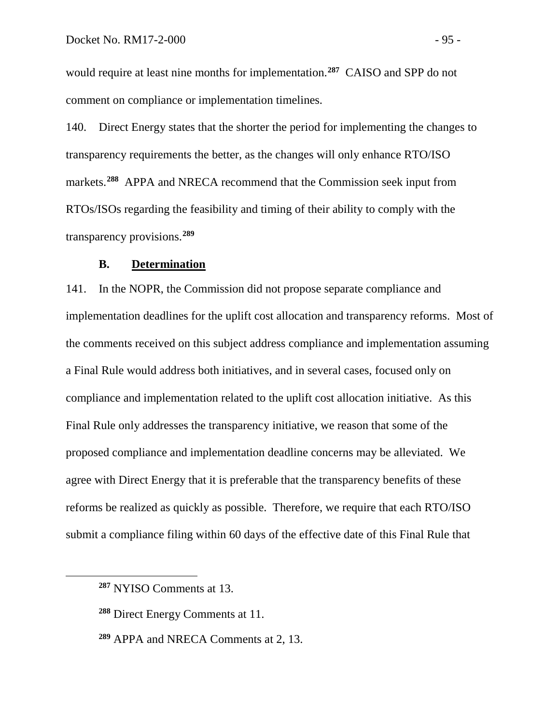would require at least nine months for implementation.**[287](#page-96-0)** CAISO and SPP do not comment on compliance or implementation timelines.

140. Direct Energy states that the shorter the period for implementing the changes to transparency requirements the better, as the changes will only enhance RTO/ISO markets.**[288](#page-96-1)** APPA and NRECA recommend that the Commission seek input from RTOs/ISOs regarding the feasibility and timing of their ability to comply with the transparency provisions.**[289](#page-96-2)**

#### **B. Determination**

141. In the NOPR, the Commission did not propose separate compliance and implementation deadlines for the uplift cost allocation and transparency reforms. Most of the comments received on this subject address compliance and implementation assuming a Final Rule would address both initiatives, and in several cases, focused only on compliance and implementation related to the uplift cost allocation initiative. As this Final Rule only addresses the transparency initiative, we reason that some of the proposed compliance and implementation deadline concerns may be alleviated. We agree with Direct Energy that it is preferable that the transparency benefits of these reforms be realized as quickly as possible. Therefore, we require that each RTO/ISO submit a compliance filing within 60 days of the effective date of this Final Rule that

<span id="page-96-0"></span>**<sup>287</sup>** NYISO Comments at 13.

<span id="page-96-1"></span>**<sup>288</sup>** Direct Energy Comments at 11.

<span id="page-96-2"></span>**<sup>289</sup>** APPA and NRECA Comments at 2, 13.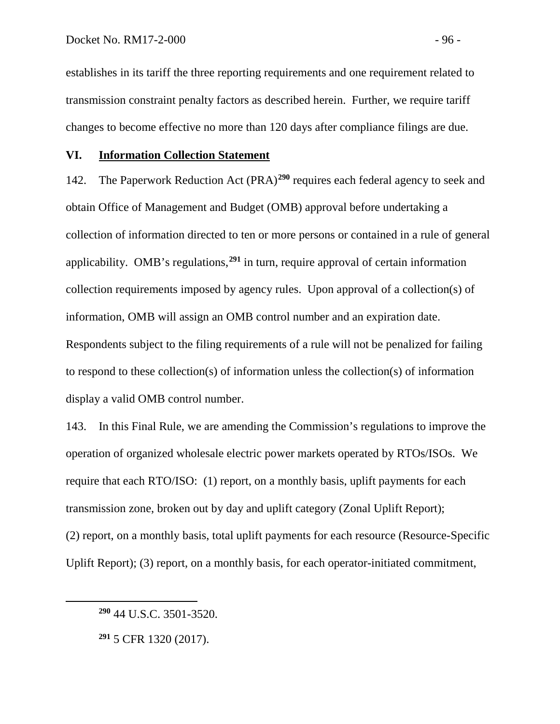establishes in its tariff the three reporting requirements and one requirement related to transmission constraint penalty factors as described herein. Further, we require tariff changes to become effective no more than 120 days after compliance filings are due.

#### **VI. Information Collection Statement**

142. The Paperwork Reduction Act (PRA)**[290](#page-97-0)** requires each federal agency to seek and obtain Office of Management and Budget (OMB) approval before undertaking a collection of information directed to ten or more persons or contained in a rule of general applicability. OMB's regulations,**[291](#page-97-1)** in turn, require approval of certain information collection requirements imposed by agency rules. Upon approval of a collection(s) of information, OMB will assign an OMB control number and an expiration date. Respondents subject to the filing requirements of a rule will not be penalized for failing to respond to these collection(s) of information unless the collection(s) of information display a valid OMB control number.

143. In this Final Rule, we are amending the Commission's regulations to improve the operation of organized wholesale electric power markets operated by RTOs/ISOs. We require that each RTO/ISO: (1) report, on a monthly basis, uplift payments for each transmission zone, broken out by day and uplift category (Zonal Uplift Report); (2) report, on a monthly basis, total uplift payments for each resource (Resource-Specific Uplift Report); (3) report, on a monthly basis, for each operator-initiated commitment,

<span id="page-97-0"></span>**<sup>290</sup>** 44 U.S.C. 3501-3520.

<span id="page-97-1"></span>**<sup>291</sup>** 5 CFR 1320 (2017).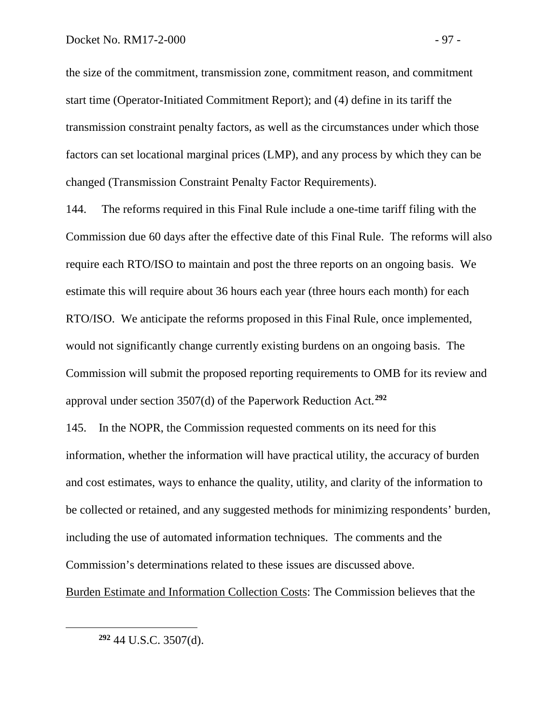the size of the commitment, transmission zone, commitment reason, and commitment start time (Operator-Initiated Commitment Report); and (4) define in its tariff the transmission constraint penalty factors, as well as the circumstances under which those factors can set locational marginal prices (LMP), and any process by which they can be changed (Transmission Constraint Penalty Factor Requirements).

144. The reforms required in this Final Rule include a one-time tariff filing with the Commission due 60 days after the effective date of this Final Rule. The reforms will also require each RTO/ISO to maintain and post the three reports on an ongoing basis. We estimate this will require about 36 hours each year (three hours each month) for each RTO/ISO. We anticipate the reforms proposed in this Final Rule, once implemented, would not significantly change currently existing burdens on an ongoing basis. The Commission will submit the proposed reporting requirements to OMB for its review and approval under section 3507(d) of the Paperwork Reduction Act.**[292](#page-98-0)**

145. In the NOPR, the Commission requested comments on its need for this information, whether the information will have practical utility, the accuracy of burden and cost estimates, ways to enhance the quality, utility, and clarity of the information to be collected or retained, and any suggested methods for minimizing respondents' burden, including the use of automated information techniques. The comments and the Commission's determinations related to these issues are discussed above.

<span id="page-98-0"></span>Burden Estimate and Information Collection Costs: The Commission believes that the

**<sup>292</sup>** 44 U.S.C. 3507(d).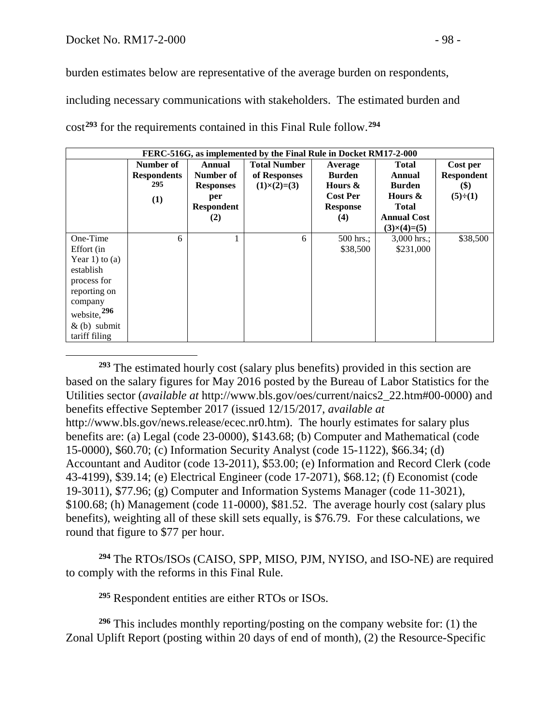burden estimates below are representative of the average burden on respondents,

including necessary communications with stakeholders. The estimated burden and cost**[293](#page-99-0)** for the requirements contained in this Final Rule follow. **[294](#page-99-1)**

| FERC-516G, as implemented by the Final Rule in Docket RM17-2-000 |                    |                   |                     |                 |                    |                   |  |  |  |
|------------------------------------------------------------------|--------------------|-------------------|---------------------|-----------------|--------------------|-------------------|--|--|--|
|                                                                  | Number of          | Annual            | <b>Total Number</b> | Average         | <b>Total</b>       | Cost per          |  |  |  |
|                                                                  | <b>Respondents</b> | Number of         | of Responses        | <b>Burden</b>   | Annual             | <b>Respondent</b> |  |  |  |
|                                                                  | 295                | <b>Responses</b>  | $(1)\times(2)=(3)$  | Hours &         | <b>Burden</b>      | \$)               |  |  |  |
|                                                                  | (1)                | per               |                     | <b>Cost Per</b> | Hours &            | $(5)\div(1)$      |  |  |  |
|                                                                  |                    | <b>Respondent</b> |                     | <b>Response</b> | <b>Total</b>       |                   |  |  |  |
|                                                                  |                    | (2)               |                     | (4)             | <b>Annual Cost</b> |                   |  |  |  |
|                                                                  |                    |                   |                     |                 | $(3)\times(4)=(5)$ |                   |  |  |  |
| One-Time                                                         | 6                  |                   | 6                   | $500$ hrs.;     | $3,000$ hrs.;      | \$38,500          |  |  |  |
| Effort (in                                                       |                    |                   |                     | \$38,500        | \$231,000          |                   |  |  |  |
| Year 1) to (a)                                                   |                    |                   |                     |                 |                    |                   |  |  |  |
| establish                                                        |                    |                   |                     |                 |                    |                   |  |  |  |
| process for                                                      |                    |                   |                     |                 |                    |                   |  |  |  |
| reporting on                                                     |                    |                   |                     |                 |                    |                   |  |  |  |
| company                                                          |                    |                   |                     |                 |                    |                   |  |  |  |
| website, 296                                                     |                    |                   |                     |                 |                    |                   |  |  |  |
| $\&$ (b) submit                                                  |                    |                   |                     |                 |                    |                   |  |  |  |
| tariff filing                                                    |                    |                   |                     |                 |                    |                   |  |  |  |

<span id="page-99-0"></span> $\overline{a}$ **<sup>293</sup>** The estimated hourly cost (salary plus benefits) provided in this section are based on the salary figures for May 2016 posted by the Bureau of Labor Statistics for the Utilities sector (*available at* http://www.bls.gov/oes/current/naics2\_22.htm#00-0000) and benefits effective September 2017 (issued 12/15/2017, *available at* http://www.bls.gov/news.release/ecec.nr0.htm). The hourly estimates for salary plus benefits are: (a) Legal (code 23-0000), \$143.68; (b) Computer and Mathematical (code 15-0000), \$60.70; (c) Information Security Analyst (code 15-1122), \$66.34; (d) Accountant and Auditor (code 13-2011), \$53.00; (e) Information and Record Clerk (code 43-4199), \$39.14; (e) Electrical Engineer (code 17-2071), \$68.12; (f) Economist (code 19-3011), \$77.96; (g) Computer and Information Systems Manager (code 11-3021), \$100.68; (h) Management (code 11-0000), \$81.52. The average hourly cost (salary plus benefits), weighting all of these skill sets equally, is \$76.79. For these calculations, we round that figure to \$77 per hour.

**<sup>294</sup>** The RTOs/ISOs (CAISO, SPP, MISO, PJM, NYISO, and ISO-NE) are required to comply with the reforms in this Final Rule.

**<sup>295</sup>** Respondent entities are either RTOs or ISOs.

<span id="page-99-3"></span><span id="page-99-2"></span><span id="page-99-1"></span>**<sup>296</sup>** This includes monthly reporting/posting on the company website for: (1) the Zonal Uplift Report (posting within 20 days of end of month), (2) the Resource-Specific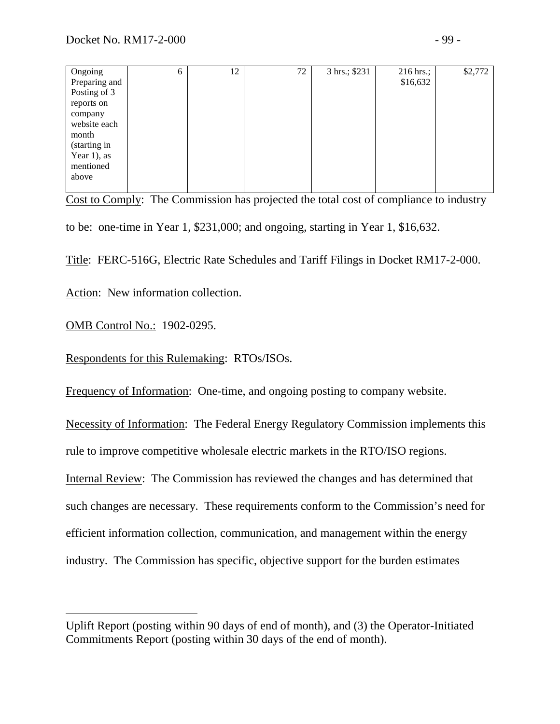| Ongoing        | 6 | 12 | 72 | 3 hrs.; \$231 | 216 hrs.; | \$2,772 |
|----------------|---|----|----|---------------|-----------|---------|
| Preparing and  |   |    |    |               | \$16,632  |         |
| Posting of 3   |   |    |    |               |           |         |
| reports on     |   |    |    |               |           |         |
| company        |   |    |    |               |           |         |
| website each   |   |    |    |               |           |         |
| month          |   |    |    |               |           |         |
| (starting in   |   |    |    |               |           |         |
| Year $1$ ), as |   |    |    |               |           |         |
| mentioned      |   |    |    |               |           |         |
| above          |   |    |    |               |           |         |
|                |   |    |    |               |           |         |

Cost to Comply: The Commission has projected the total cost of compliance to industry to be: one-time in Year 1, \$231,000; and ongoing, starting in Year 1, \$16,632.

Title: FERC-516G, Electric Rate Schedules and Tariff Filings in Docket RM17-2-000.

Action: New information collection.

OMB Control No.: 1902-0295.

 $\overline{a}$ 

Respondents for this Rulemaking: RTOs/ISOs.

Frequency of Information: One-time, and ongoing posting to company website.

Necessity of Information: The Federal Energy Regulatory Commission implements this rule to improve competitive wholesale electric markets in the RTO/ISO regions. Internal Review: The Commission has reviewed the changes and has determined that such changes are necessary. These requirements conform to the Commission's need for efficient information collection, communication, and management within the energy industry. The Commission has specific, objective support for the burden estimates

Uplift Report (posting within 90 days of end of month), and (3) the Operator-Initiated Commitments Report (posting within 30 days of the end of month).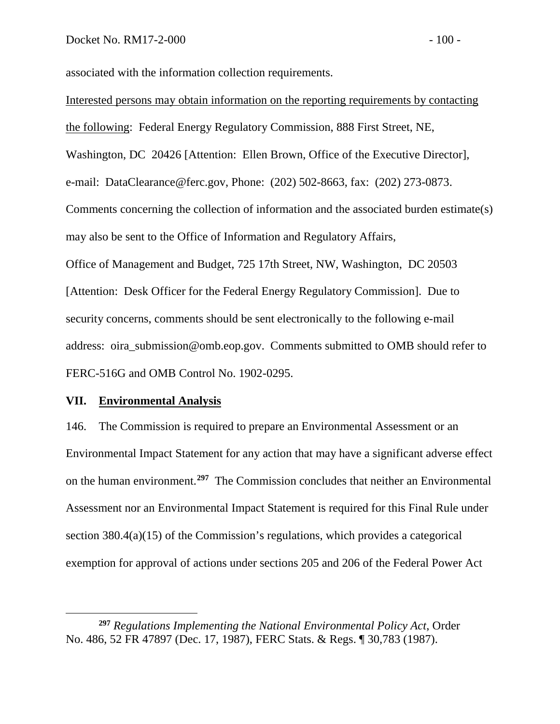associated with the information collection requirements.

Interested persons may obtain information on the reporting requirements by contacting the following: Federal Energy Regulatory Commission, 888 First Street, NE, Washington, DC 20426 [Attention: Ellen Brown, Office of the Executive Director], e-mail: DataClearance@ferc.gov, Phone: (202) 502-8663, fax: (202) 273-0873. Comments concerning the collection of information and the associated burden estimate(s) may also be sent to the Office of Information and Regulatory Affairs, Office of Management and Budget, 725 17th Street, NW, Washington, DC 20503 [Attention: Desk Officer for the Federal Energy Regulatory Commission]. Due to security concerns, comments should be sent electronically to the following e-mail address: oira\_submission@omb.eop.gov. Comments submitted to OMB should refer to FERC-516G and OMB Control No. 1902-0295.

#### **VII. Environmental Analysis**

 $\overline{a}$ 

146. The Commission is required to prepare an Environmental Assessment or an Environmental Impact Statement for any action that may have a significant adverse effect on the human environment.**[297](#page-101-0)** The Commission concludes that neither an Environmental Assessment nor an Environmental Impact Statement is required for this Final Rule under section 380.4(a)(15) of the Commission's regulations, which provides a categorical exemption for approval of actions under sections 205 and 206 of the Federal Power Act

<span id="page-101-0"></span>**<sup>297</sup>** *Regulations Implementing the National Environmental Policy Act*, Order No. 486, 52 FR 47897 (Dec. 17, 1987), FERC Stats. & Regs. ¶ 30,783 (1987).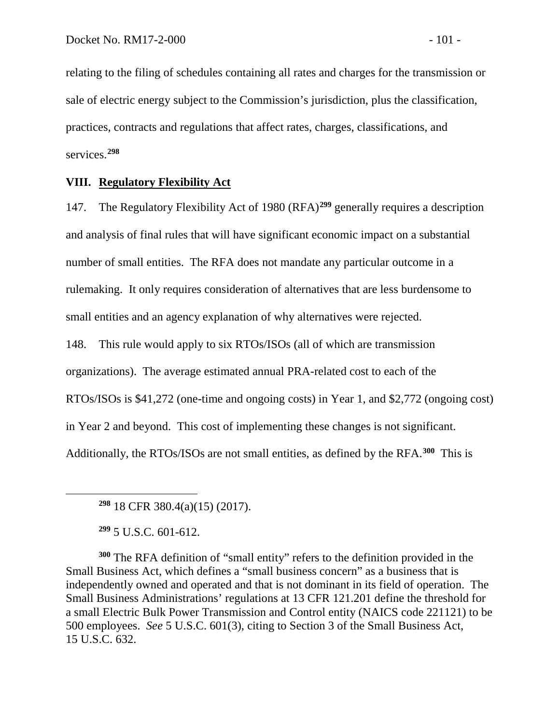relating to the filing of schedules containing all rates and charges for the transmission or sale of electric energy subject to the Commission's jurisdiction, plus the classification, practices, contracts and regulations that affect rates, charges, classifications, and services.**[298](#page-102-0)**

## **VIII. Regulatory Flexibility Act**

147. The Regulatory Flexibility Act of 1980 (RFA)**[299](#page-102-1)** generally requires a description and analysis of final rules that will have significant economic impact on a substantial number of small entities. The RFA does not mandate any particular outcome in a rulemaking. It only requires consideration of alternatives that are less burdensome to small entities and an agency explanation of why alternatives were rejected.

148. This rule would apply to six RTOs/ISOs (all of which are transmission organizations). The average estimated annual PRA-related cost to each of the RTOs/ISOs is \$41,272 (one-time and ongoing costs) in Year 1, and \$2,772 (ongoing cost) in Year 2 and beyond. This cost of implementing these changes is not significant. Additionally, the RTOs/ISOs are not small entities, as defined by the RFA.**[300](#page-102-2)** This is

**<sup>298</sup>** 18 CFR 380.4(a)(15) (2017).

**<sup>299</sup>** 5 U.S.C. 601-612.

<span id="page-102-0"></span> $\overline{a}$ 

<span id="page-102-2"></span><span id="page-102-1"></span>**<sup>300</sup>** The RFA definition of "small entity" refers to the definition provided in the Small Business Act, which defines a "small business concern" as a business that is independently owned and operated and that is not dominant in its field of operation. The Small Business Administrations' regulations at 13 CFR 121.201 define the threshold for a small Electric Bulk Power Transmission and Control entity (NAICS code 221121) to be 500 employees. *See* 5 U.S.C. 601(3), citing to Section 3 of the Small Business Act, 15 U.S.C. 632.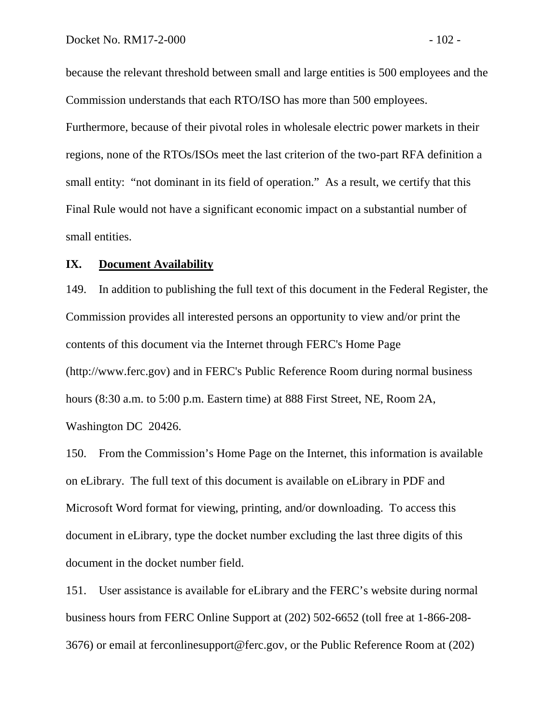because the relevant threshold between small and large entities is 500 employees and the Commission understands that each RTO/ISO has more than 500 employees. Furthermore, because of their pivotal roles in wholesale electric power markets in their regions, none of the RTOs/ISOs meet the last criterion of the two-part RFA definition a small entity: "not dominant in its field of operation." As a result, we certify that this Final Rule would not have a significant economic impact on a substantial number of small entities.

#### **IX. Document Availability**

149. In addition to publishing the full text of this document in the Federal Register, the Commission provides all interested persons an opportunity to view and/or print the contents of this document via the Internet through FERC's Home Page (http://www.ferc.gov) and in FERC's Public Reference Room during normal business hours (8:30 a.m. to 5:00 p.m. Eastern time) at 888 First Street, NE, Room 2A, Washington DC 20426.

150. From the Commission's Home Page on the Internet, this information is available on eLibrary. The full text of this document is available on eLibrary in PDF and Microsoft Word format for viewing, printing, and/or downloading. To access this document in eLibrary, type the docket number excluding the last three digits of this document in the docket number field.

151. User assistance is available for eLibrary and the FERC's website during normal business hours from FERC Online Support at (202) 502-6652 (toll free at 1-866-208- 3676) or email at ferconlinesupport@ferc.gov, or the Public Reference Room at (202)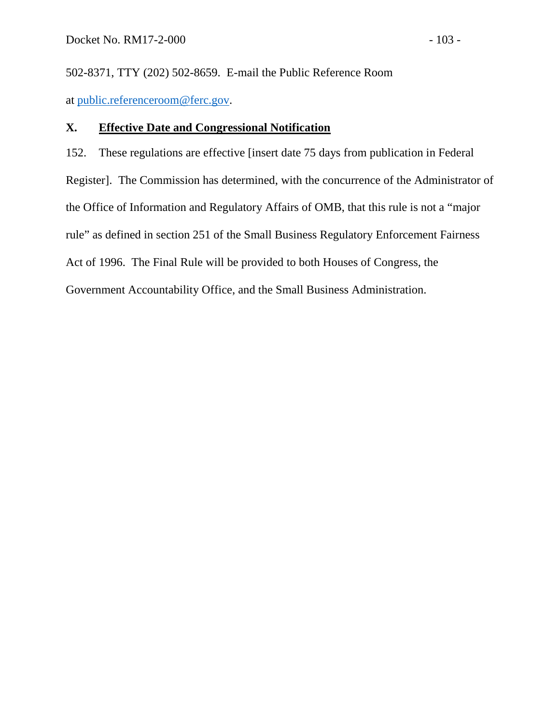502-8371, TTY (202) 502-8659. E-mail the Public Reference Room at [public.referenceroom@ferc.gov.](mailto:public.referenceroom@ferc.gov)

## **X. Effective Date and Congressional Notification**

152. These regulations are effective [insert date 75 days from publication in Federal Register]. The Commission has determined, with the concurrence of the Administrator of the Office of Information and Regulatory Affairs of OMB, that this rule is not a "major rule" as defined in section 251 of the Small Business Regulatory Enforcement Fairness Act of 1996. The Final Rule will be provided to both Houses of Congress, the Government Accountability Office, and the Small Business Administration.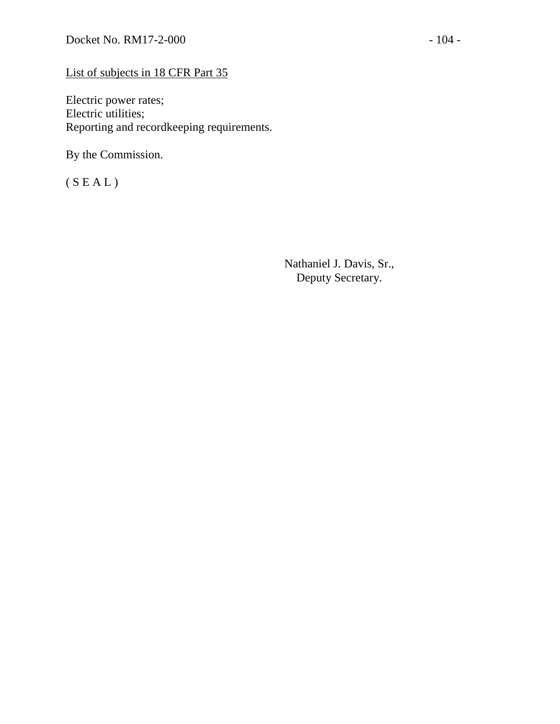# List of subjects in 18 CFR Part 35

Electric power rates; Electric utilities; Reporting and recordkeeping requirements.

By the Commission.

 $(S E A L)$ 

Nathaniel J. Davis, Sr., Deputy Secretary.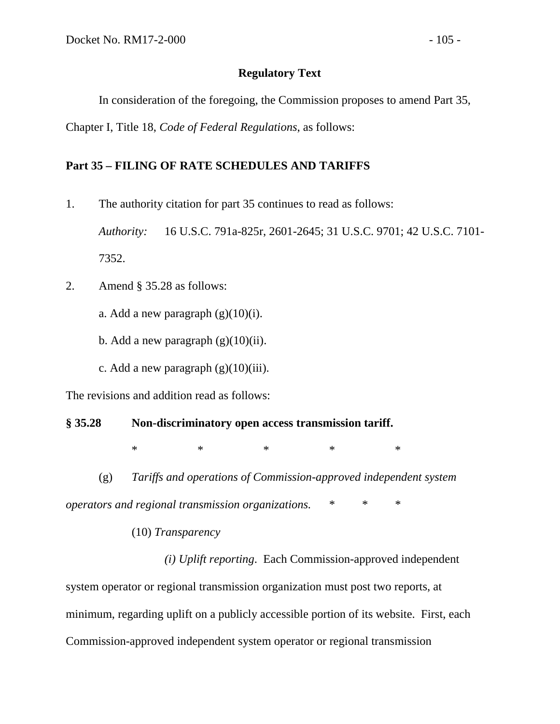## **Regulatory Text**

In consideration of the foregoing, the Commission proposes to amend Part 35,

Chapter I, Title 18, *Code of Federal Regulations*, as follows:

## **Part 35 – FILING OF RATE SCHEDULES AND TARIFFS**

1. The authority citation for part 35 continues to read as follows:

*Authority:* 16 U.S.C. 791a-825r, 2601-2645; 31 U.S.C. 9701; 42 U.S.C. 7101- 7352.

- 2. Amend § 35.28 as follows:
	- a. Add a new paragraph  $(g)(10)(i)$ .
	- b. Add a new paragraph  $(g)(10)(ii)$ .
	- c. Add a new paragraph  $(g)(10)(iii)$ .

The revisions and addition read as follows:

# **§ 35.28 Non-discriminatory open access transmission tariff.**

\* \* \* \* \* \* \*

(g) *Tariffs and operations of Commission-approved independent system* 

*operators and regional transmission organizations.* \* \* \*

## (10) *Transparency*

*(i) Uplift reporting*. Each Commission-approved independent system operator or regional transmission organization must post two reports, at minimum, regarding uplift on a publicly accessible portion of its website. First, each Commission-approved independent system operator or regional transmission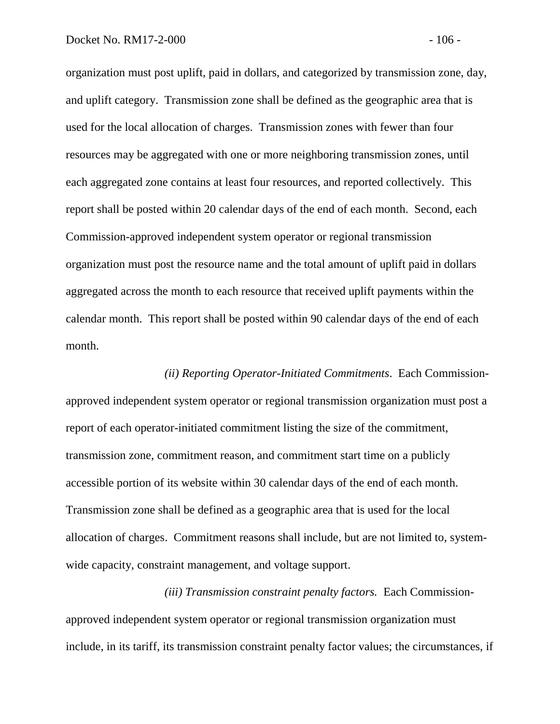organization must post uplift, paid in dollars, and categorized by transmission zone, day, and uplift category. Transmission zone shall be defined as the geographic area that is used for the local allocation of charges. Transmission zones with fewer than four resources may be aggregated with one or more neighboring transmission zones, until each aggregated zone contains at least four resources, and reported collectively. This report shall be posted within 20 calendar days of the end of each month. Second, each Commission-approved independent system operator or regional transmission organization must post the resource name and the total amount of uplift paid in dollars aggregated across the month to each resource that received uplift payments within the calendar month. This report shall be posted within 90 calendar days of the end of each month.

*(ii) Reporting Operator-Initiated Commitments*. Each Commissionapproved independent system operator or regional transmission organization must post a report of each operator-initiated commitment listing the size of the commitment, transmission zone, commitment reason, and commitment start time on a publicly accessible portion of its website within 30 calendar days of the end of each month. Transmission zone shall be defined as a geographic area that is used for the local allocation of charges. Commitment reasons shall include, but are not limited to, systemwide capacity, constraint management, and voltage support.

*(iii) Transmission constraint penalty factors.* Each Commissionapproved independent system operator or regional transmission organization must include, in its tariff, its transmission constraint penalty factor values; the circumstances, if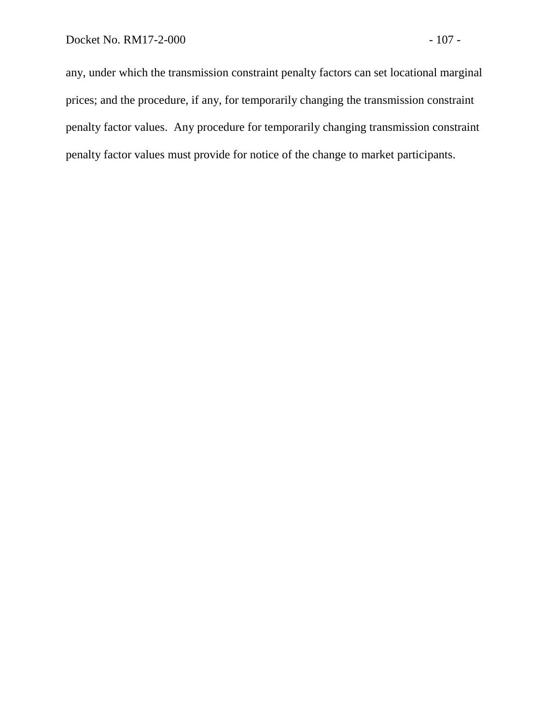any, under which the transmission constraint penalty factors can set locational marginal prices; and the procedure, if any, for temporarily changing the transmission constraint penalty factor values. Any procedure for temporarily changing transmission constraint penalty factor values must provide for notice of the change to market participants.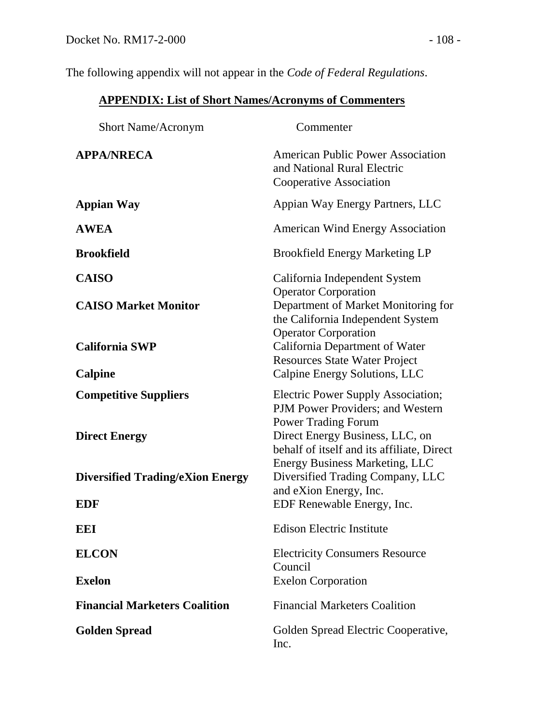The following appendix will not appear in the *Code of Federal Regulations*.

## **APPENDIX: List of Short Names/Acronyms of Commenters**

| <b>Short Name/Acronym</b>                             | Commenter                                                                                                                                                                                    |
|-------------------------------------------------------|----------------------------------------------------------------------------------------------------------------------------------------------------------------------------------------------|
| <b>APPA/NRECA</b>                                     | <b>American Public Power Association</b><br>and National Rural Electric<br>Cooperative Association                                                                                           |
| <b>Appian Way</b>                                     | Appian Way Energy Partners, LLC                                                                                                                                                              |
| <b>AWEA</b>                                           | <b>American Wind Energy Association</b>                                                                                                                                                      |
| <b>Brookfield</b>                                     | <b>Brookfield Energy Marketing LP</b>                                                                                                                                                        |
| <b>CAISO</b><br><b>CAISO Market Monitor</b>           | California Independent System<br><b>Operator Corporation</b><br>Department of Market Monitoring for<br>the California Independent System<br><b>Operator Corporation</b>                      |
| <b>California SWP</b><br>Calpine                      | California Department of Water<br><b>Resources State Water Project</b><br>Calpine Energy Solutions, LLC                                                                                      |
| <b>Competitive Suppliers</b><br><b>Direct Energy</b>  | <b>Electric Power Supply Association;</b><br>PJM Power Providers; and Western<br><b>Power Trading Forum</b><br>Direct Energy Business, LLC, on<br>behalf of itself and its affiliate, Direct |
| <b>Diversified Trading/eXion Energy</b><br><b>EDF</b> | <b>Energy Business Marketing, LLC</b><br>Diversified Trading Company, LLC<br>and eXion Energy, Inc.<br>EDF Renewable Energy, Inc.                                                            |
| <b>EEI</b>                                            | <b>Edison Electric Institute</b>                                                                                                                                                             |
| <b>ELCON</b><br><b>Exelon</b>                         | <b>Electricity Consumers Resource</b><br>Council<br><b>Exelon Corporation</b>                                                                                                                |
| <b>Financial Marketers Coalition</b>                  | <b>Financial Marketers Coalition</b>                                                                                                                                                         |
| <b>Golden Spread</b>                                  | Golden Spread Electric Cooperative,<br>Inc.                                                                                                                                                  |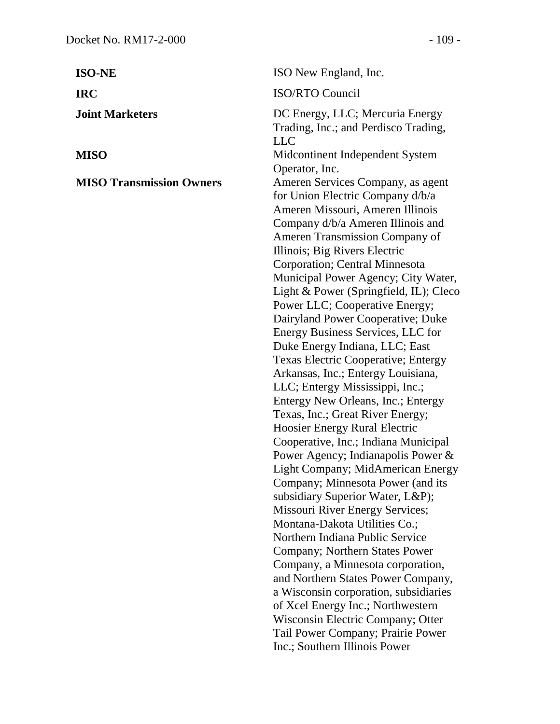| <b>ISO-NE</b>                   | ISO New England, Inc.                                                                                                                                                                                                                                                                                                                                                                                                                                                                                                                                                                                                                                                                                                                                                                                                                                                                                                                                                                                                                                                                                                                                                                                                                                                                                                     |
|---------------------------------|---------------------------------------------------------------------------------------------------------------------------------------------------------------------------------------------------------------------------------------------------------------------------------------------------------------------------------------------------------------------------------------------------------------------------------------------------------------------------------------------------------------------------------------------------------------------------------------------------------------------------------------------------------------------------------------------------------------------------------------------------------------------------------------------------------------------------------------------------------------------------------------------------------------------------------------------------------------------------------------------------------------------------------------------------------------------------------------------------------------------------------------------------------------------------------------------------------------------------------------------------------------------------------------------------------------------------|
| <b>IRC</b>                      | <b>ISO/RTO Council</b>                                                                                                                                                                                                                                                                                                                                                                                                                                                                                                                                                                                                                                                                                                                                                                                                                                                                                                                                                                                                                                                                                                                                                                                                                                                                                                    |
| <b>Joint Marketers</b>          | DC Energy, LLC; Mercuria Energy<br>Trading, Inc.; and Perdisco Trading,<br><b>LLC</b>                                                                                                                                                                                                                                                                                                                                                                                                                                                                                                                                                                                                                                                                                                                                                                                                                                                                                                                                                                                                                                                                                                                                                                                                                                     |
| MISO                            | Midcontinent Independent System<br>Operator, Inc.                                                                                                                                                                                                                                                                                                                                                                                                                                                                                                                                                                                                                                                                                                                                                                                                                                                                                                                                                                                                                                                                                                                                                                                                                                                                         |
| <b>MISO Transmission Owners</b> | Ameren Services Company, as agent<br>for Union Electric Company d/b/a<br>Ameren Missouri, Ameren Illinois<br>Company d/b/a Ameren Illinois and<br>Ameren Transmission Company of<br>Illinois; Big Rivers Electric<br>Corporation; Central Minnesota<br>Municipal Power Agency; City Water,<br>Light & Power (Springfield, IL); Cleco<br>Power LLC; Cooperative Energy;<br>Dairyland Power Cooperative; Duke<br>Energy Business Services, LLC for<br>Duke Energy Indiana, LLC; East<br>Texas Electric Cooperative; Entergy<br>Arkansas, Inc.; Entergy Louisiana,<br>LLC; Entergy Mississippi, Inc.;<br>Entergy New Orleans, Inc.; Entergy<br>Texas, Inc.; Great River Energy;<br>Hoosier Energy Rural Electric<br>Cooperative, Inc.; Indiana Municipal<br>Power Agency; Indianapolis Power $\&$<br>Light Company; MidAmerican Energy<br>Company; Minnesota Power (and its<br>subsidiary Superior Water, L&P);<br>Missouri River Energy Services;<br>Montana-Dakota Utilities Co.;<br>Northern Indiana Public Service<br>Company; Northern States Power<br>Company, a Minnesota corporation,<br>and Northern States Power Company,<br>a Wisconsin corporation, subsidiaries<br>of Xcel Energy Inc.; Northwestern<br>Wisconsin Electric Company; Otter<br>Tail Power Company; Prairie Power<br>Inc.; Southern Illinois Power |
|                                 |                                                                                                                                                                                                                                                                                                                                                                                                                                                                                                                                                                                                                                                                                                                                                                                                                                                                                                                                                                                                                                                                                                                                                                                                                                                                                                                           |